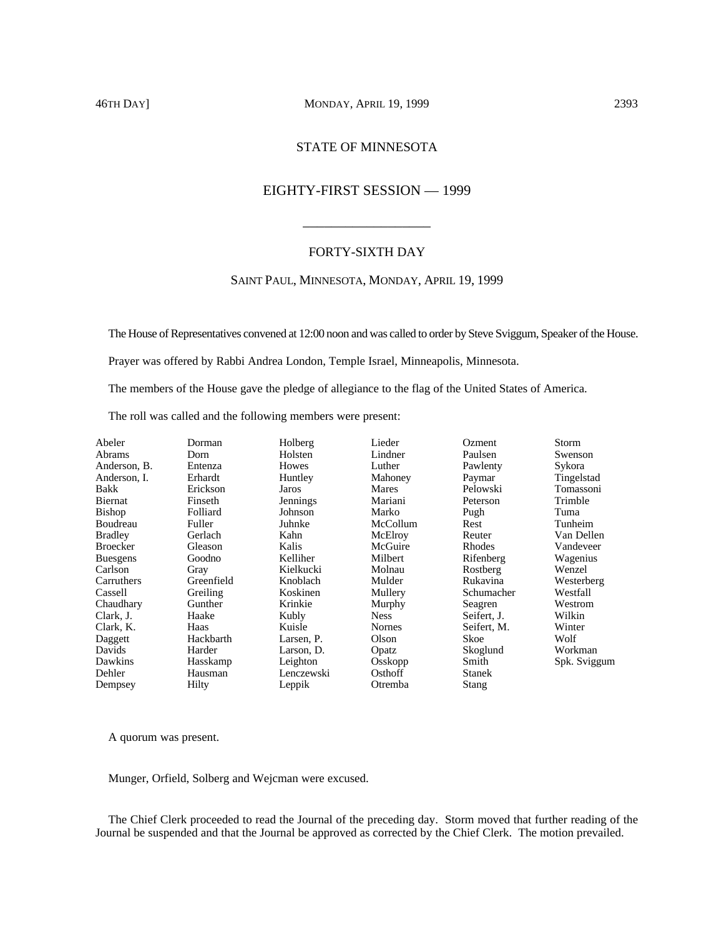# 46TH DAY] MONDAY, APRIL 19, 1999 2393

# STATE OF MINNESOTA

# EIGHTY-FIRST SESSION — 1999

\_\_\_\_\_\_\_\_\_\_\_\_\_\_\_\_\_\_

# FORTY-SIXTH DAY

# SAINT PAUL, MINNESOTA, MONDAY, APRIL 19, 1999

The House of Representatives convened at 12:00 noon and was called to order by Steve Sviggum, Speaker of the House.

Prayer was offered by Rabbi Andrea London, Temple Israel, Minneapolis, Minnesota.

The members of the House gave the pledge of allegiance to the flag of the United States of America.

The roll was called and the following members were present:

| Abeler          | Dorman     | Holberg    | Lieder        | <b>Ozment</b> | Storm        |
|-----------------|------------|------------|---------------|---------------|--------------|
| Abrams          | Dorn       | Holsten    | Lindner       | Paulsen       | Swenson      |
| Anderson, B.    | Entenza    | Howes      | Luther        | Pawlenty      | Sykora       |
| Anderson. I.    | Erhardt    | Huntley    | Mahoney       | Paymar        | Tingelstad   |
| Bakk            | Erickson   | Jaros      | Mares         | Pelowski      | Tomassoni    |
| Biernat         | Finseth    | Jennings   | Mariani       | Peterson      | Trimble      |
| Bishop          | Folliard   | Johnson    | Marko         | Pugh          | Tuma         |
| Boudreau        | Fuller     | Juhnke     | McCollum      | Rest          | Tunheim      |
| Bradley         | Gerlach    | Kahn       | McElroy       | Reuter        | Van Dellen   |
| Broecker        | Gleason    | Kalis      | McGuire       | Rhodes        | Vandeveer    |
| <b>Buesgens</b> | Goodno     | Kelliher   | Milbert       | Rifenberg     | Wagenius     |
| Carlson         | Gray       | Kielkucki  | Molnau        | Rostberg      | Wenzel       |
| Carruthers      | Greenfield | Knoblach   | Mulder        | Rukavina      | Westerberg   |
| Cassell         | Greiling   | Koskinen   | Mullery       | Schumacher    | Westfall     |
| Chaudhary       | Gunther    | Krinkie    | Murphy        | Seagren       | Westrom      |
| Clark, J.       | Haake      | Kubly      | <b>Ness</b>   | Seifert, J.   | Wilkin       |
| Clark, K.       | Haas       | Kuisle     | <b>Nornes</b> | Seifert, M.   | Winter       |
| Daggett         | Hackbarth  | Larsen, P. | Olson         | Skoe          | Wolf         |
| Davids          | Harder     | Larson, D. | Opatz         | Skoglund      | Workman      |
| Dawkins         | Hasskamp   | Leighton   | Osskopp       | Smith         | Spk. Sviggum |
| Dehler          | Hausman    | Lenczewski | Osthoff       | <b>Stanek</b> |              |
| Dempsey         | Hilty      | Leppik     | Otremba       | Stang         |              |

A quorum was present.

Munger, Orfield, Solberg and Wejcman were excused.

The Chief Clerk proceeded to read the Journal of the preceding day. Storm moved that further reading of the Journal be suspended and that the Journal be approved as corrected by the Chief Clerk. The motion prevailed.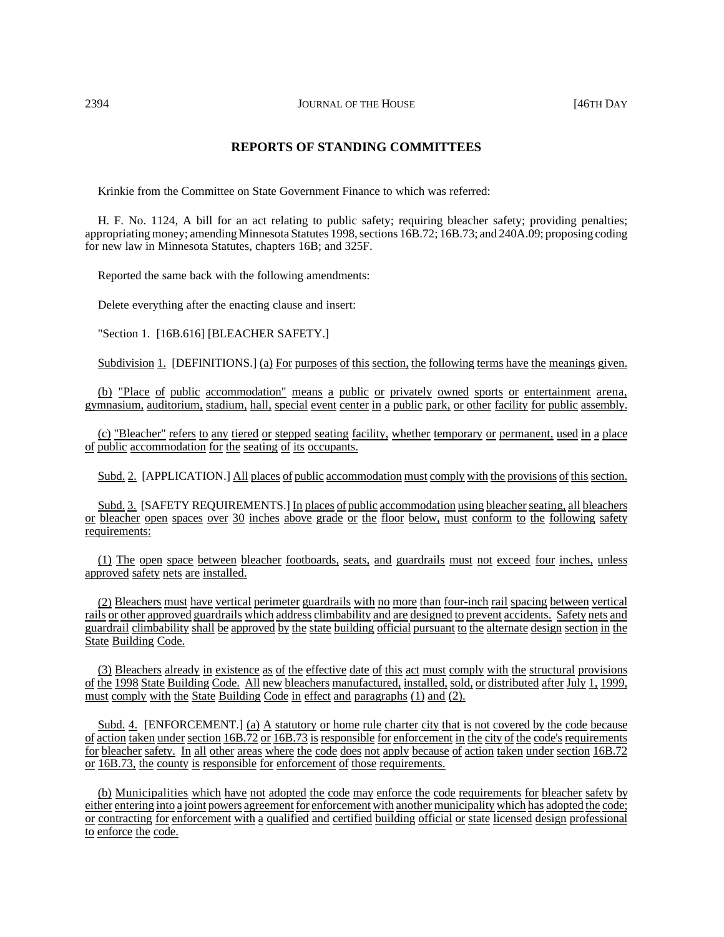# **REPORTS OF STANDING COMMITTEES**

Krinkie from the Committee on State Government Finance to which was referred:

H. F. No. 1124, A bill for an act relating to public safety; requiring bleacher safety; providing penalties; appropriating money; amending Minnesota Statutes 1998, sections 16B.72; 16B.73; and 240A.09; proposing coding for new law in Minnesota Statutes, chapters 16B; and 325F.

Reported the same back with the following amendments:

Delete everything after the enacting clause and insert:

"Section 1. [16B.616] [BLEACHER SAFETY.]

Subdivision 1. [DEFINITIONS.] (a) For purposes of this section, the following terms have the meanings given.

(b) "Place of public accommodation" means a public or privately owned sports or entertainment arena, gymnasium, auditorium, stadium, hall, special event center in a public park, or other facility for public assembly.

(c) "Bleacher" refers to any tiered or stepped seating facility, whether temporary or permanent, used in a place of public accommodation for the seating of its occupants.

Subd. 2. [APPLICATION.] All places of public accommodation must comply with the provisions of this section.

Subd. 3. [SAFETY REQUIREMENTS.] In places of public accommodation using bleacherseating, all bleachers or bleacher open spaces over 30 inches above grade or the floor below, must conform to the following safety requirements:

(1) The open space between bleacher footboards, seats, and guardrails must not exceed four inches, unless approved safety nets are installed.

(2) Bleachers must have vertical perimeter guardrails with no more than four-inch rail spacing between vertical rails or other approved guardrails which address climbability and are designed to prevent accidents. Safety nets and guardrail climbability shall be approved by the state building official pursuant to the alternate design section in the State Building Code.

(3) Bleachers already in existence as of the effective date of this act must comply with the structural provisions of the 1998 State Building Code. All new bleachers manufactured, installed, sold, or distributed after July 1, 1999, must comply with the State Building Code in effect and paragraphs  $(1)$  and  $(2)$ .

Subd. 4. [ENFORCEMENT.] (a) A statutory or home rule charter city that is not covered by the code because of action taken under section 16B.72 or 16B.73 is responsible for enforcement in the city of the code's requirements for bleacher safety. In all other areas where the code does not apply because of action taken under section 16B.72 or 16B.73, the county is responsible for enforcement of those requirements.

(b) Municipalities which have not adopted the code may enforce the code requirements for bleacher safety by either entering into a joint powers agreement for enforcement with another municipality which has adopted the code; or contracting for enforcement with a qualified and certified building official or state licensed design professional to enforce the code.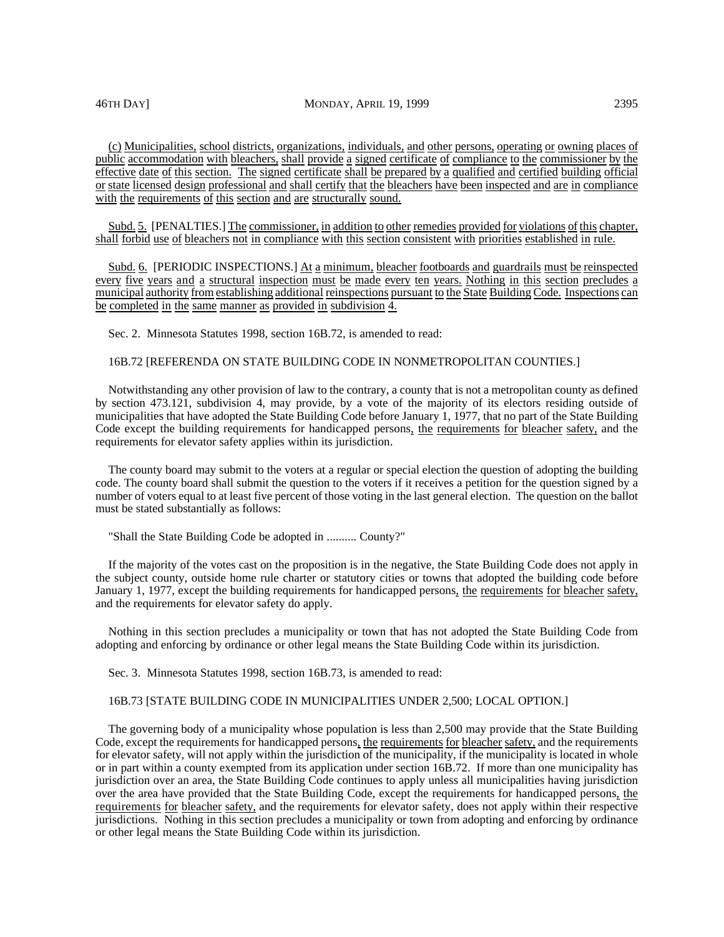(c) Municipalities, school districts, organizations, individuals, and other persons, operating or owning places of public accommodation with bleachers, shall provide a signed certificate of compliance to the commissioner by the effective date of this section. The signed certificate shall be prepared by a qualified and certified building official or state licensed design professional and shall certify that the bleachers have been inspected and are in compliance with the requirements of this section and are structurally sound.

Subd. 5. [PENALTIES.] The commissioner, in addition to other remedies provided for violations of this chapter, shall forbid use of bleachers not in compliance with this section consistent with priorities established in rule.

Subd. 6. [PERIODIC INSPECTIONS.] At a minimum, bleacher footboards and guardrails must be reinspected every five years and a structural inspection must be made every ten years. Nothing in this section precludes a municipal authority from establishing additional reinspections pursuant to the State Building Code. Inspections can be completed in the same manner as provided in subdivision 4.

Sec. 2. Minnesota Statutes 1998, section 16B.72, is amended to read:

## 16B.72 [REFERENDA ON STATE BUILDING CODE IN NONMETROPOLITAN COUNTIES.]

Notwithstanding any other provision of law to the contrary, a county that is not a metropolitan county as defined by section 473.121, subdivision 4, may provide, by a vote of the majority of its electors residing outside of municipalities that have adopted the State Building Code before January 1, 1977, that no part of the State Building Code except the building requirements for handicapped persons, the requirements for bleacher safety, and the requirements for elevator safety applies within its jurisdiction.

The county board may submit to the voters at a regular or special election the question of adopting the building code. The county board shall submit the question to the voters if it receives a petition for the question signed by a number of voters equal to at least five percent of those voting in the last general election. The question on the ballot must be stated substantially as follows:

"Shall the State Building Code be adopted in .......... County?"

If the majority of the votes cast on the proposition is in the negative, the State Building Code does not apply in the subject county, outside home rule charter or statutory cities or towns that adopted the building code before January 1, 1977, except the building requirements for handicapped persons, the requirements for bleacher safety, and the requirements for elevator safety do apply.

Nothing in this section precludes a municipality or town that has not adopted the State Building Code from adopting and enforcing by ordinance or other legal means the State Building Code within its jurisdiction.

Sec. 3. Minnesota Statutes 1998, section 16B.73, is amended to read:

# 16B.73 [STATE BUILDING CODE IN MUNICIPALITIES UNDER 2,500; LOCAL OPTION.]

The governing body of a municipality whose population is less than 2,500 may provide that the State Building Code, except the requirements for handicapped persons, the requirements for bleacher safety, and the requirements for elevator safety, will not apply within the jurisdiction of the municipality, if the municipality is located in whole or in part within a county exempted from its application under section 16B.72. If more than one municipality has jurisdiction over an area, the State Building Code continues to apply unless all municipalities having jurisdiction over the area have provided that the State Building Code, except the requirements for handicapped persons, the requirements for bleacher safety, and the requirements for elevator safety, does not apply within their respective jurisdictions. Nothing in this section precludes a municipality or town from adopting and enforcing by ordinance or other legal means the State Building Code within its jurisdiction.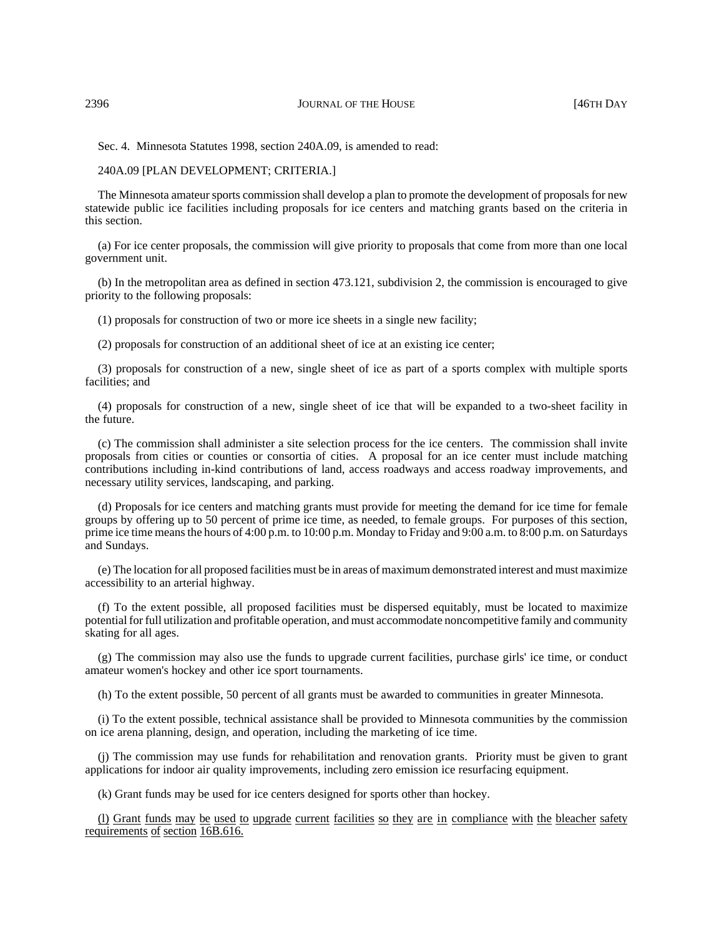Sec. 4. Minnesota Statutes 1998, section 240A.09, is amended to read:

240A.09 [PLAN DEVELOPMENT; CRITERIA.]

The Minnesota amateur sports commission shall develop a plan to promote the development of proposals for new statewide public ice facilities including proposals for ice centers and matching grants based on the criteria in this section.

(a) For ice center proposals, the commission will give priority to proposals that come from more than one local government unit.

(b) In the metropolitan area as defined in section 473.121, subdivision 2, the commission is encouraged to give priority to the following proposals:

(1) proposals for construction of two or more ice sheets in a single new facility;

(2) proposals for construction of an additional sheet of ice at an existing ice center;

(3) proposals for construction of a new, single sheet of ice as part of a sports complex with multiple sports facilities; and

(4) proposals for construction of a new, single sheet of ice that will be expanded to a two-sheet facility in the future.

(c) The commission shall administer a site selection process for the ice centers. The commission shall invite proposals from cities or counties or consortia of cities. A proposal for an ice center must include matching contributions including in-kind contributions of land, access roadways and access roadway improvements, and necessary utility services, landscaping, and parking.

(d) Proposals for ice centers and matching grants must provide for meeting the demand for ice time for female groups by offering up to 50 percent of prime ice time, as needed, to female groups. For purposes of this section, prime ice time means the hours of 4:00 p.m. to 10:00 p.m. Monday to Friday and 9:00 a.m. to 8:00 p.m. on Saturdays and Sundays.

(e) The location for all proposed facilities must be in areas of maximum demonstrated interest and must maximize accessibility to an arterial highway.

(f) To the extent possible, all proposed facilities must be dispersed equitably, must be located to maximize potential for full utilization and profitable operation, and must accommodate noncompetitive family and community skating for all ages.

(g) The commission may also use the funds to upgrade current facilities, purchase girls' ice time, or conduct amateur women's hockey and other ice sport tournaments.

(h) To the extent possible, 50 percent of all grants must be awarded to communities in greater Minnesota.

(i) To the extent possible, technical assistance shall be provided to Minnesota communities by the commission on ice arena planning, design, and operation, including the marketing of ice time.

(j) The commission may use funds for rehabilitation and renovation grants. Priority must be given to grant applications for indoor air quality improvements, including zero emission ice resurfacing equipment.

(k) Grant funds may be used for ice centers designed for sports other than hockey.

(l) Grant funds may be used to upgrade current facilities so they are in compliance with the bleacher safety requirements of section 16B.616.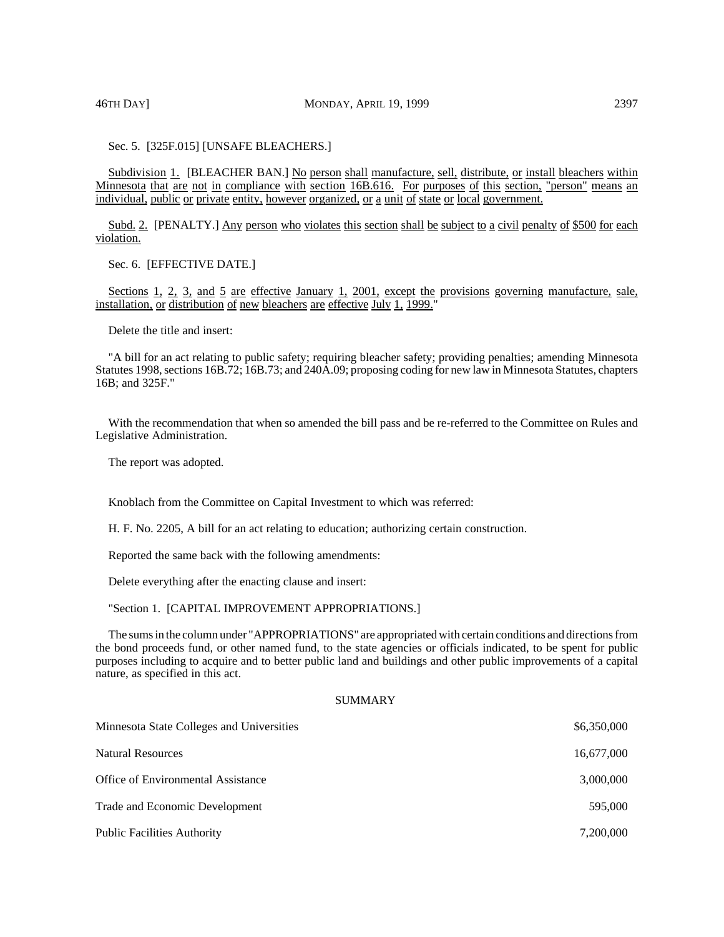Sec. 5. [325F.015] [UNSAFE BLEACHERS.]

Subdivision 1. [BLEACHER BAN.] No person shall manufacture, sell, distribute, or install bleachers within Minnesota that are not in compliance with section 16B.616. For purposes of this section, "person" means an individual, public or private entity, however organized, or a unit of state or local government.

Subd. 2. [PENALTY.] Any person who violates this section shall be subject to a civil penalty of \$500 for each violation.

Sec. 6. [EFFECTIVE DATE.]

Sections 1, 2, 3, and 5 are effective January 1, 2001, except the provisions governing manufacture, sale, installation, or distribution of new bleachers are effective July 1, 1999."

Delete the title and insert:

"A bill for an act relating to public safety; requiring bleacher safety; providing penalties; amending Minnesota Statutes 1998, sections 16B.72; 16B.73; and 240A.09; proposing coding for new law in Minnesota Statutes, chapters 16B; and 325F."

With the recommendation that when so amended the bill pass and be re-referred to the Committee on Rules and Legislative Administration.

The report was adopted.

Knoblach from the Committee on Capital Investment to which was referred:

H. F. No. 2205, A bill for an act relating to education; authorizing certain construction.

Reported the same back with the following amendments:

Delete everything after the enacting clause and insert:

"Section 1. [CAPITAL IMPROVEMENT APPROPRIATIONS.]

The sums in the column under "APPROPRIATIONS" are appropriated with certain conditions and directions from the bond proceeds fund, or other named fund, to the state agencies or officials indicated, to be spent for public purposes including to acquire and to better public land and buildings and other public improvements of a capital nature, as specified in this act.

### SUMMARY

| Minnesota State Colleges and Universities | \$6,350,000 |
|-------------------------------------------|-------------|
| <b>Natural Resources</b>                  | 16,677,000  |
| Office of Environmental Assistance        | 3,000,000   |
| Trade and Economic Development            | 595,000     |
| <b>Public Facilities Authority</b>        | 7,200,000   |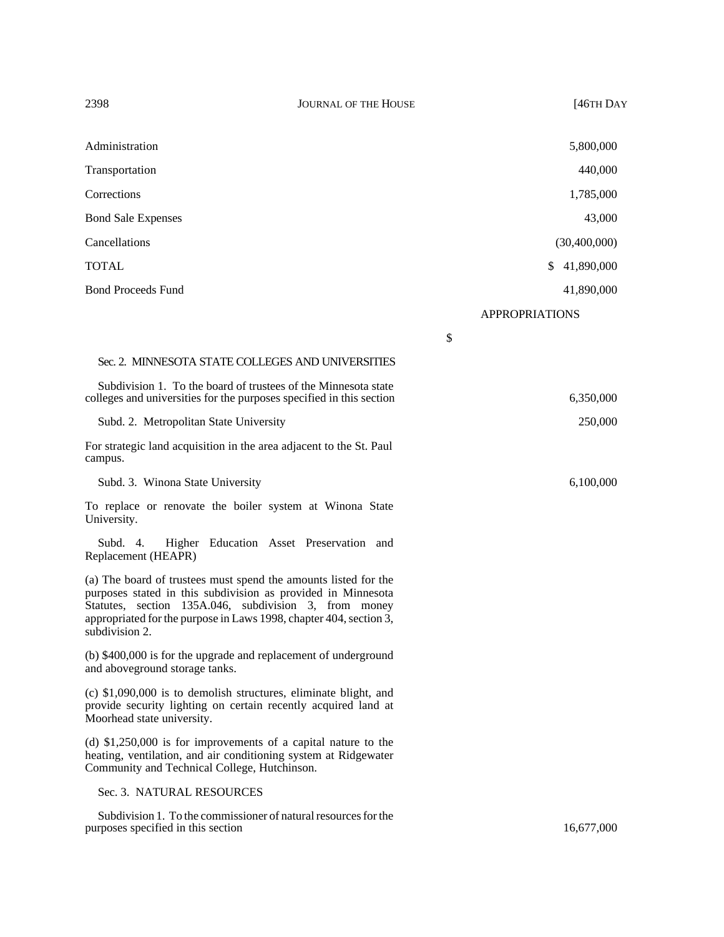| Administration                                                                                                                                                                                                                                                                   | 5,800,000        |
|----------------------------------------------------------------------------------------------------------------------------------------------------------------------------------------------------------------------------------------------------------------------------------|------------------|
| Transportation                                                                                                                                                                                                                                                                   | 440,000          |
| Corrections                                                                                                                                                                                                                                                                      | 1,785,000        |
| <b>Bond Sale Expenses</b>                                                                                                                                                                                                                                                        | 43,000           |
| Cancellations                                                                                                                                                                                                                                                                    | (30,400,000)     |
| TOTAL                                                                                                                                                                                                                                                                            | 41,890,000<br>\$ |
| <b>Bond Proceeds Fund</b>                                                                                                                                                                                                                                                        | 41,890,000       |
|                                                                                                                                                                                                                                                                                  | APPROPRIATIONS   |
|                                                                                                                                                                                                                                                                                  | \$               |
| Sec. 2. MINNESOTA STATE COLLEGES AND UNIVERSITIES                                                                                                                                                                                                                                |                  |
| Subdivision 1. To the board of trustees of the Minnesota state<br>colleges and universities for the purposes specified in this section                                                                                                                                           | 6,350,000        |
| Subd. 2. Metropolitan State University                                                                                                                                                                                                                                           | 250,000          |
| For strategic land acquisition in the area adjacent to the St. Paul<br>campus.                                                                                                                                                                                                   |                  |
| Subd. 3. Winona State University                                                                                                                                                                                                                                                 | 6,100,000        |
| To replace or renovate the boiler system at Winona State<br>University.                                                                                                                                                                                                          |                  |
| Higher Education Asset Preservation and<br>Subd. $4.$<br>Replacement (HEAPR)                                                                                                                                                                                                     |                  |
| (a) The board of trustees must spend the amounts listed for the<br>purposes stated in this subdivision as provided in Minnesota<br>Statutes, section 135A.046, subdivision 3, from money<br>appropriated for the purpose in Laws 1998, chapter 404, section 3,<br>subdivision 2. |                  |
| (b) \$400,000 is for the upgrade and replacement of underground<br>and aboveground storage tanks.                                                                                                                                                                                |                  |
| (c) \$1,090,000 is to demolish structures, eliminate blight, and<br>provide security lighting on certain recently acquired land at<br>Moorhead state university.                                                                                                                 |                  |
| (d) \$1,250,000 is for improvements of a capital nature to the                                                                                                                                                                                                                   |                  |

# Sec. 3. NATURAL RESOURCES

Community and Technical College, Hutchinson.

Subdivision 1. To the commissioner of natural resources for the purposes specified in this section 16,677,000

heating, ventilation, and air conditioning system at Ridgewater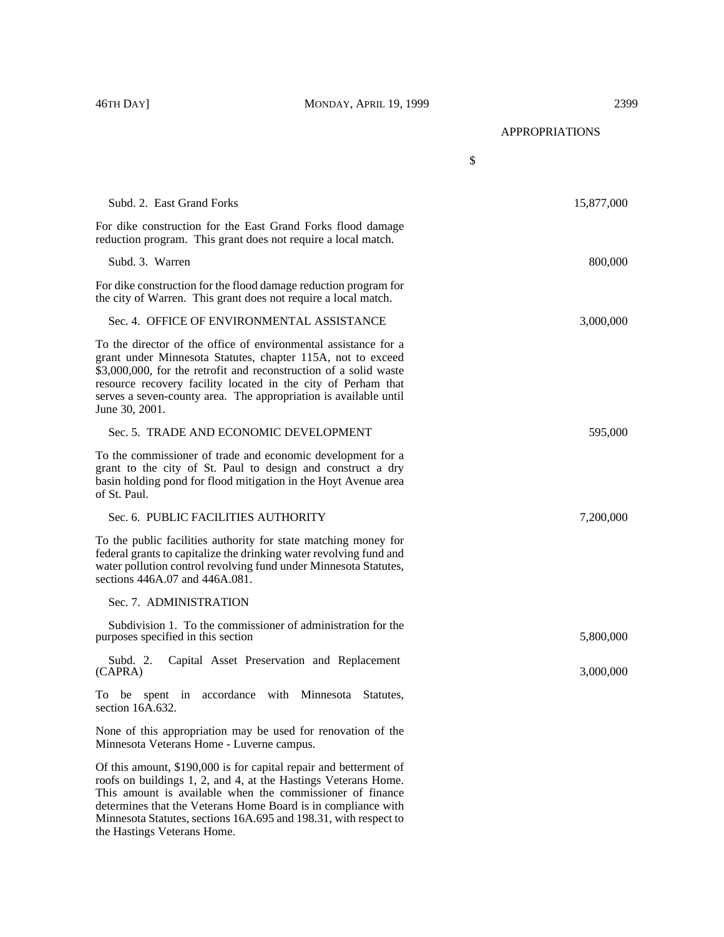APPROPRIATIONS

|                                                                                                                                                                                                                                                                                                                                                            | \$         |
|------------------------------------------------------------------------------------------------------------------------------------------------------------------------------------------------------------------------------------------------------------------------------------------------------------------------------------------------------------|------------|
| Subd. 2. East Grand Forks                                                                                                                                                                                                                                                                                                                                  | 15,877,000 |
| For dike construction for the East Grand Forks flood damage<br>reduction program. This grant does not require a local match.                                                                                                                                                                                                                               |            |
| Subd. 3. Warren                                                                                                                                                                                                                                                                                                                                            | 800,000    |
| For dike construction for the flood damage reduction program for<br>the city of Warren. This grant does not require a local match.                                                                                                                                                                                                                         |            |
| Sec. 4. OFFICE OF ENVIRONMENTAL ASSISTANCE                                                                                                                                                                                                                                                                                                                 | 3,000,000  |
| To the director of the office of environmental assistance for a<br>grant under Minnesota Statutes, chapter 115A, not to exceed<br>\$3,000,000, for the retrofit and reconstruction of a solid waste<br>resource recovery facility located in the city of Perham that<br>serves a seven-county area. The appropriation is available until<br>June 30, 2001. |            |
| Sec. 5. TRADE AND ECONOMIC DEVELOPMENT                                                                                                                                                                                                                                                                                                                     | 595,000    |
| To the commissioner of trade and economic development for a<br>grant to the city of St. Paul to design and construct a dry<br>basin holding pond for flood mitigation in the Hoyt Avenue area<br>of St. Paul.                                                                                                                                              |            |
| Sec. 6. PUBLIC FACILITIES AUTHORITY                                                                                                                                                                                                                                                                                                                        | 7,200,000  |
| To the public facilities authority for state matching money for<br>federal grants to capitalize the drinking water revolving fund and<br>water pollution control revolving fund under Minnesota Statutes,<br>sections 446A.07 and 446A.081.                                                                                                                |            |
| Sec. 7. ADMINISTRATION                                                                                                                                                                                                                                                                                                                                     |            |
| Subdivision 1. To the commissioner of administration for the<br>purposes specified in this section                                                                                                                                                                                                                                                         | 5,800,000  |
| Capital Asset Preservation and Replacement<br>Subd. $2$ .<br>(CAPRA)                                                                                                                                                                                                                                                                                       | 3,000,000  |
| To be spent in accordance with Minnesota Statutes,<br>section 16A.632.                                                                                                                                                                                                                                                                                     |            |
| None of this appropriation may be used for renovation of the<br>Minnesota Veterans Home - Luverne campus.                                                                                                                                                                                                                                                  |            |
| Of this amount, \$190,000 is for capital repair and betterment of<br>roofs on buildings 1, 2, and 4, at the Hastings Veterans Home.<br>This amount is available when the commissioner of finance<br>determines that the Veterans Home Board is in compliance with                                                                                          |            |

Minnesota Statutes, sections 16A.695 and 198.31, with respect to

the Hastings Veterans Home.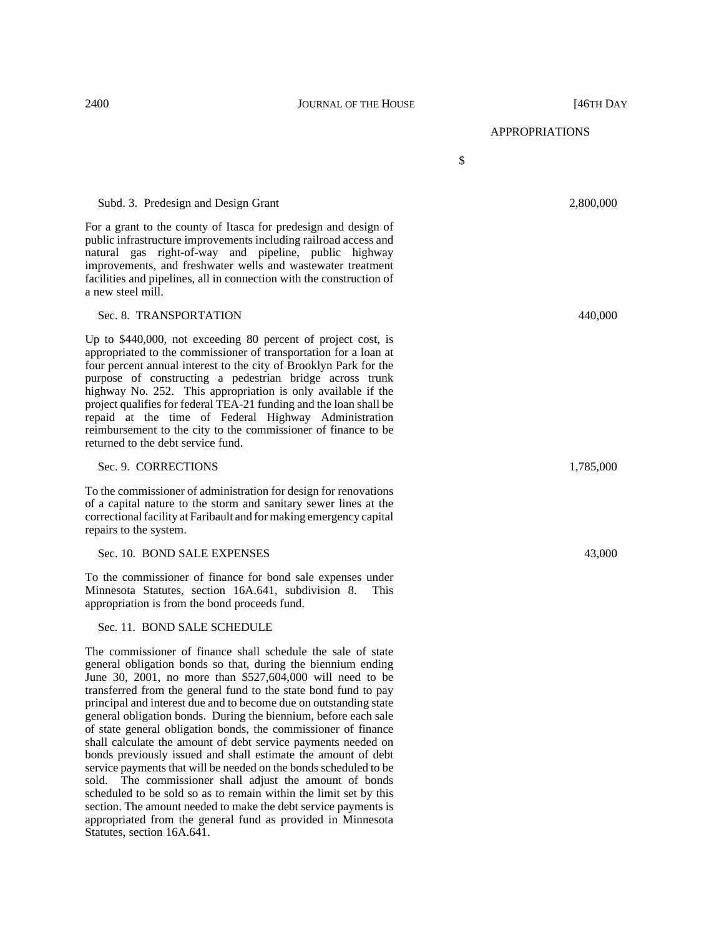#### 2400 **JOURNAL OF THE HOUSE JOURNAL OF THE HOUSE 146TH DAY**

APPROPRIATIONS

\$

#### Subd. 3. Predesign and Design Grant 2,800,000 and 2,800,000 and 2,800,000 and 2,800,000 and 2,800,000 and 2,800,000 and 2,800,000 and 2,800,000 and 2,800,000 and 2,800,000 and 2,800,000 and 2,800,000 and 2,800,000 and 2,80

For a grant to the county of Itasca for predesign and design of public infrastructure improvements including railroad access and natural gas right-of-way and pipeline, public highway improvements, and freshwater wells and wastewater treatment facilities and pipelines, all in connection with the construction of a new steel mill.

## Sec. 8. TRANSPORTATION 440,000

Up to \$440,000, not exceeding 80 percent of project cost, is appropriated to the commissioner of transportation for a loan at four percent annual interest to the city of Brooklyn Park for the purpose of constructing a pedestrian bridge across trunk highway No. 252. This appropriation is only available if the project qualifies for federal TEA-21 funding and the loan shall be repaid at the time of Federal Highway Administration reimbursement to the city to the commissioner of finance to be returned to the debt service fund.

#### Sec. 9. CORRECTIONS 1,785,000

To the commissioner of administration for design for renovations of a capital nature to the storm and sanitary sewer lines at the correctional facility at Faribault and for making emergency capital repairs to the system.

### Sec. 10. BOND SALE EXPENSES 43,000

To the commissioner of finance for bond sale expenses under Minnesota Statutes, section 16A.641, subdivision 8. This appropriation is from the bond proceeds fund.

# Sec. 11. BOND SALE SCHEDULE

The commissioner of finance shall schedule the sale of state general obligation bonds so that, during the biennium ending June 30, 2001, no more than \$527,604,000 will need to be transferred from the general fund to the state bond fund to pay principal and interest due and to become due on outstanding state general obligation bonds. During the biennium, before each sale of state general obligation bonds, the commissioner of finance shall calculate the amount of debt service payments needed on bonds previously issued and shall estimate the amount of debt service payments that will be needed on the bonds scheduled to be sold. The commissioner shall adjust the amount of bonds scheduled to be sold so as to remain within the limit set by this section. The amount needed to make the debt service payments is appropriated from the general fund as provided in Minnesota Statutes, section 16A.641.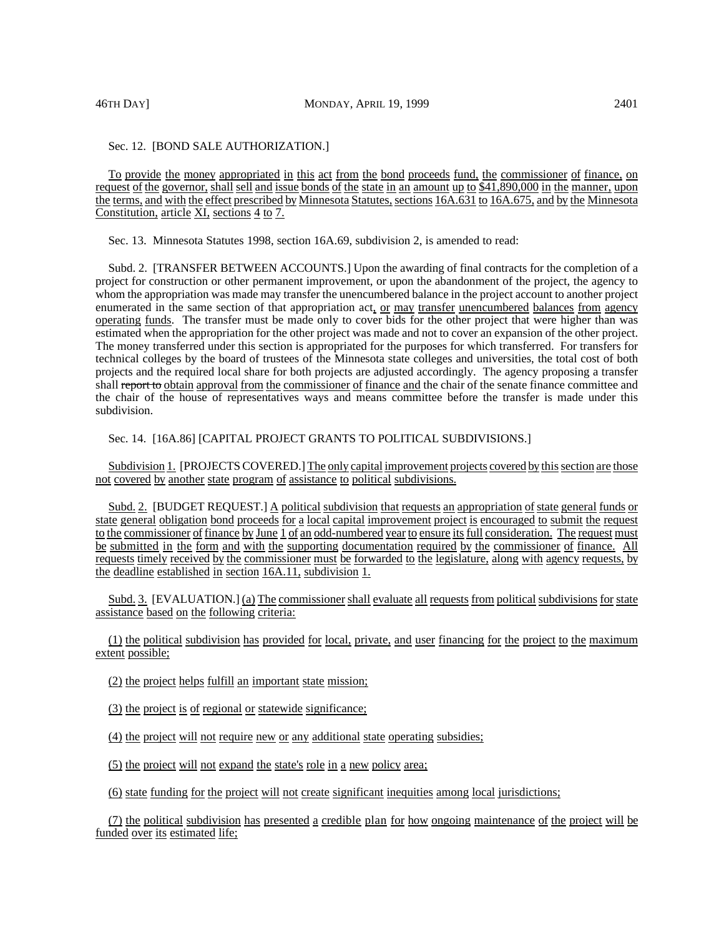# Sec. 12. [BOND SALE AUTHORIZATION.]

To provide the money appropriated in this act from the bond proceeds fund, the commissioner of finance, on request of the governor, shall sell and issue bonds of the state in an amount up to \$41,890,000 in the manner, upon the terms, and with the effect prescribed by Minnesota Statutes, sections 16A.631 to 16A.675, and by the Minnesota Constitution, article XI, sections 4 to 7.

Sec. 13. Minnesota Statutes 1998, section 16A.69, subdivision 2, is amended to read:

Subd. 2. [TRANSFER BETWEEN ACCOUNTS.] Upon the awarding of final contracts for the completion of a project for construction or other permanent improvement, or upon the abandonment of the project, the agency to whom the appropriation was made may transfer the unencumbered balance in the project account to another project enumerated in the same section of that appropriation act, or may transfer unencumbered balances from agency operating funds. The transfer must be made only to cover bids for the other project that were higher than was estimated when the appropriation for the other project was made and not to cover an expansion of the other project. The money transferred under this section is appropriated for the purposes for which transferred. For transfers for technical colleges by the board of trustees of the Minnesota state colleges and universities, the total cost of both projects and the required local share for both projects are adjusted accordingly. The agency proposing a transfer shall report to obtain approval from the commissioner of finance and the chair of the senate finance committee and the chair of the house of representatives ways and means committee before the transfer is made under this subdivision.

Sec. 14. [16A.86] [CAPITAL PROJECT GRANTS TO POLITICAL SUBDIVISIONS.]

Subdivision 1. [PROJECTS COVERED.] The only capital improvement projects covered by this section are those not covered by another state program of assistance to political subdivisions.

Subd. 2. [BUDGET REQUEST.] A political subdivision that requests an appropriation of state general funds or state general obligation bond proceeds for a local capital improvement project is encouraged to submit the request to the commissioner of finance by June 1 of an odd-numbered year to ensure its full consideration. The request must be submitted in the form and with the supporting documentation required by the commissioner of finance. All requests timely received by the commissioner must be forwarded to the legislature, along with agency requests, by the deadline established in section 16A.11, subdivision 1.

Subd. 3. [EVALUATION.] (a) The commissioner shall evaluate all requests from political subdivisions for state assistance based on the following criteria:

(1) the political subdivision has provided for local, private, and user financing for the project to the maximum extent possible;

(2) the project helps fulfill an important state mission;

(3) the project is of regional or statewide significance;

(4) the project will not require new or any additional state operating subsidies;

(5) the project will not expand the state's role in a new policy area;

(6) state funding for the project will not create significant inequities among local jurisdictions;

(7) the political subdivision has presented a credible plan for how ongoing maintenance of the project will be funded over its estimated life;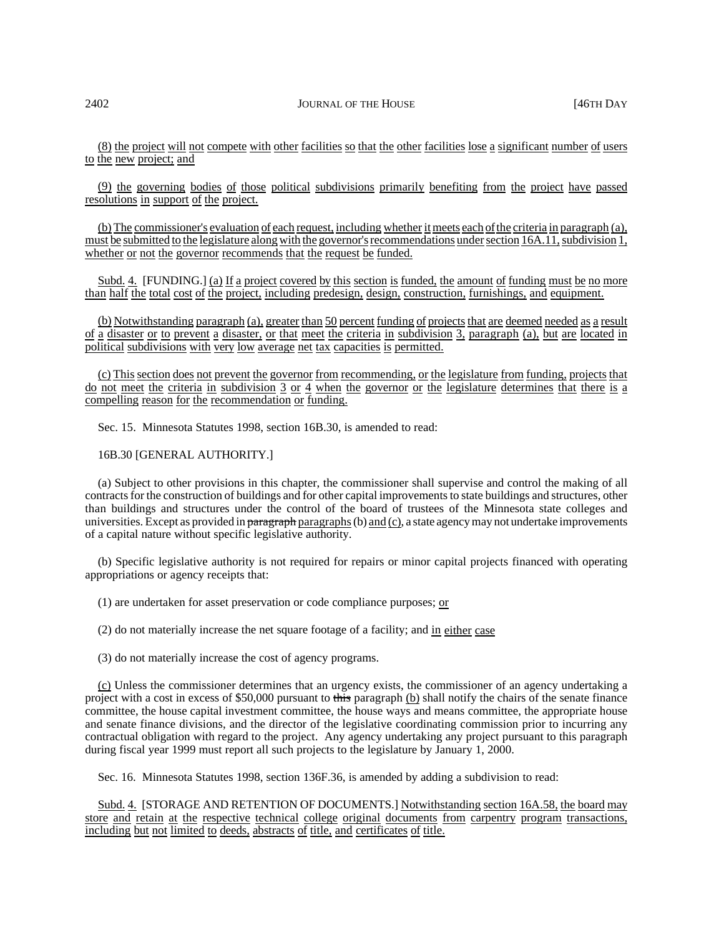(8) the project will not compete with other facilities so that the other facilities lose a significant number of users to the new project; and

(9) the governing bodies of those political subdivisions primarily benefiting from the project have passed resolutions in support of the project.

(b) The commissioner's evaluation of each request, including whether itmeets each ofthe criteria in paragraph (a), must be submitted to the legislature along with the governor's recommendations under section 16A.11, subdivision 1, whether or not the governor recommends that the request be funded.

Subd. 4. [FUNDING.] (a) If a project covered by this section is funded, the amount of funding must be no more than half the total cost of the project, including predesign, design, construction, furnishings, and equipment.

(b) Notwithstanding paragraph (a), greater than 50 percent funding of projectsthat are deemed needed as a result of a disaster or to prevent a disaster, or that meet the criteria in subdivision 3, paragraph (a), but are located in political subdivisions with very low average net tax capacities is permitted.

(c) This section does not prevent the governor from recommending, or the legislature from funding, projects that do not meet the criteria in subdivision 3 or 4 when the governor or the legislature determines that there is a compelling reason for the recommendation or funding.

Sec. 15. Minnesota Statutes 1998, section 16B.30, is amended to read:

# 16B.30 [GENERAL AUTHORITY.]

(a) Subject to other provisions in this chapter, the commissioner shall supervise and control the making of all contracts for the construction of buildings and for other capital improvements to state buildings and structures, other than buildings and structures under the control of the board of trustees of the Minnesota state colleges and universities. Except as provided in paragraph paragraphs  $(b)$  and  $(c)$ , a state agency may not undertake improvements of a capital nature without specific legislative authority.

(b) Specific legislative authority is not required for repairs or minor capital projects financed with operating appropriations or agency receipts that:

(1) are undertaken for asset preservation or code compliance purposes; or

(2) do not materially increase the net square footage of a facility; and in either case

(3) do not materially increase the cost of agency programs.

(c) Unless the commissioner determines that an urgency exists, the commissioner of an agency undertaking a project with a cost in excess of \$50,000 pursuant to this paragraph (b) shall notify the chairs of the senate finance committee, the house capital investment committee, the house ways and means committee, the appropriate house and senate finance divisions, and the director of the legislative coordinating commission prior to incurring any contractual obligation with regard to the project. Any agency undertaking any project pursuant to this paragraph during fiscal year 1999 must report all such projects to the legislature by January 1, 2000.

Sec. 16. Minnesota Statutes 1998, section 136F.36, is amended by adding a subdivision to read:

Subd. 4. [STORAGE AND RETENTION OF DOCUMENTS.] Notwithstanding section 16A.58, the board may store and retain at the respective technical college original documents from carpentry program transactions, including but not limited to deeds, abstracts of title, and certificates of title.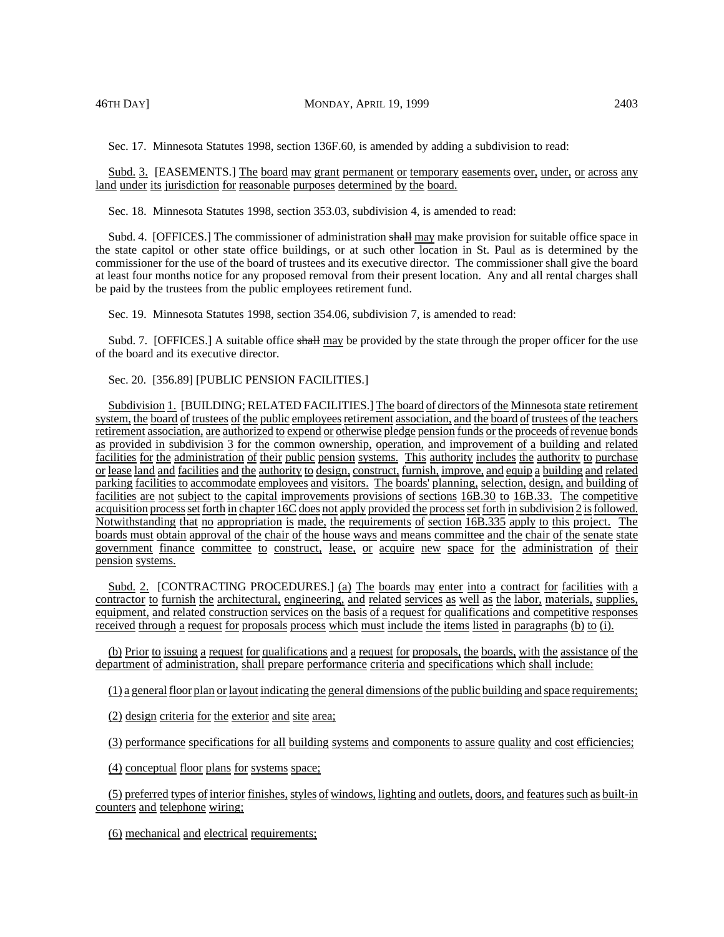Sec. 17. Minnesota Statutes 1998, section 136F.60, is amended by adding a subdivision to read:

Subd. 3. [EASEMENTS.] The board may grant permanent or temporary easements over, under, or across any land under its jurisdiction for reasonable purposes determined by the board.

Sec. 18. Minnesota Statutes 1998, section 353.03, subdivision 4, is amended to read:

Subd. 4. [OFFICES.] The commissioner of administration shall may make provision for suitable office space in the state capitol or other state office buildings, or at such other location in St. Paul as is determined by the commissioner for the use of the board of trustees and its executive director. The commissioner shall give the board at least four months notice for any proposed removal from their present location. Any and all rental charges shall be paid by the trustees from the public employees retirement fund.

Sec. 19. Minnesota Statutes 1998, section 354.06, subdivision 7, is amended to read:

Subd. 7. [OFFICES.] A suitable office shall may be provided by the state through the proper officer for the use of the board and its executive director.

# Sec. 20. [356.89] [PUBLIC PENSION FACILITIES.]

Subdivision 1. [BUILDING; RELATED FACILITIES.] The board of directors of the Minnesota state retirement system, the board of trustees of the public employees retirement association, and the board of trustees of the teachers retirement association, are authorized to expend or otherwise pledge pension funds or the proceeds ofrevenue bonds as provided in subdivision 3 for the common ownership, operation, and improvement of a building and related facilities for the administration of their public pension systems. This authority includes the authority to purchase or lease land and facilities and the authority to design, construct, furnish, improve, and equip a building and related parking facilities to accommodate employees and visitors. The boards' planning, selection, design, and building of facilities are not subject to the capital improvements provisions of sections 16B.30 to 16B.33. The competitive acquisition processsetforth in chapter 16C does not apply provided the processset forth in subdivision 2 isfollowed. Notwithstanding that no appropriation is made, the requirements of section 16B.335 apply to this project. The boards must obtain approval of the chair of the house ways and means committee and the chair of the senate state government finance committee to construct, lease, or acquire new space for the administration of their pension systems.

Subd. 2. [CONTRACTING PROCEDURES.] (a) The boards may enter into a contract for facilities with a contractor to furnish the architectural, engineering, and related services as well as the labor, materials, supplies, equipment, and related construction services on the basis of a request for qualifications and competitive responses received through a request for proposals process which must include the items listed in paragraphs (b) to (i).

(b) Prior to issuing a request for qualifications and a request for proposals, the boards, with the assistance of the department of administration, shall prepare performance criteria and specifications which shall include:

(1) a general floor plan or layout indicating the general dimensions ofthe public building and space requirements;

(2) design criteria for the exterior and site area;

(3) performance specifications for all building systems and components to assure quality and cost efficiencies;

(4) conceptual floor plans for systems space;

(5) preferred types of interior finishes, styles of windows, lighting and outlets, doors, and features such as built-in counters and telephone wiring;

(6) mechanical and electrical requirements;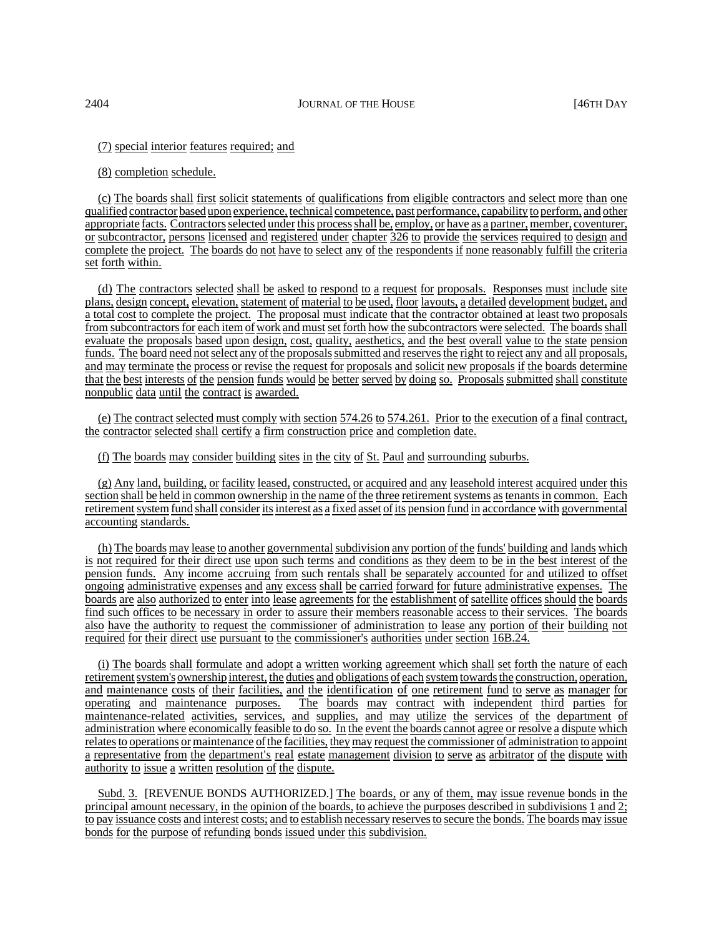(7) special interior features required; and

# (8) completion schedule.

(c) The boards shall first solicit statements of qualifications from eligible contractors and select more than one qualified contractor based upon experience, technical competence, past performance, capability to perform, and other appropriate facts. Contractors selected under this process shall be, employ, or have as a partner, member, coventurer, or subcontractor, persons licensed and registered under chapter 326 to provide the services required to design and complete the project. The boards do not have to select any of the respondents if none reasonably fulfill the criteria set forth within.

(d) The contractors selected shall be asked to respond to a request for proposals. Responses must include site plans, design concept, elevation, statement of material to be used, floor layouts, a detailed development budget, and a total cost to complete the project. The proposal must indicate that the contractor obtained at least two proposals from subcontractors for each item of work and must set forth how the subcontractors were selected. The boards shall evaluate the proposals based upon design, cost, quality, aesthetics, and the best overall value to the state pension funds. The board need not select any of the proposals submitted and reserves the right to reject any and all proposals, and may terminate the process or revise the request for proposals and solicit new proposals if the boards determine that the best interests of the pension funds would be better served by doing so. Proposals submitted shall constitute nonpublic data until the contract is awarded.

(e) The contract selected must comply with section 574.26 to 574.261. Prior to the execution of a final contract, the contractor selected shall certify a firm construction price and completion date.

(f) The boards may consider building sites in the city of St. Paul and surrounding suburbs.

(g) Any land, building, or facility leased, constructed, or acquired and any leasehold interest acquired under this section shall be held in common ownership in the name of the three retirement systems astenants in common. Each retirement system fund shall consider its interest as a fixed asset of its pension fund in accordance with governmental accounting standards.

(h) The boards may lease to another governmental subdivision any portion of the funds' building and lands which is not required for their direct use upon such terms and conditions as they deem to be in the best interest of the pension funds. Any income accruing from such rentals shall be separately accounted for and utilized to offset ongoing administrative expenses and any excess shall be carried forward for future administrative expenses. The boards are also authorized to enter into lease agreements for the establishment of satellite offices should the boards find such offices to be necessary in order to assure their members reasonable access to their services. The boards also have the authority to request the commissioner of administration to lease any portion of their building not required for their direct use pursuant to the commissioner's authorities under section 16B.24.

(i) The boards shall formulate and adopt a written working agreement which shall set forth the nature of each retirementsystem's ownership interest, the duties and obligations of each systemtowardsthe construction, operation, and maintenance costs of their facilities, and the identification of one retirement fund to serve as manager for operating and maintenance purposes. The boards may contract with independent third parties for maintenance-related activities, services, and supplies, and may utilize the services of the department of administration where economically feasible to do so. In the event the boards cannot agree or resolve a dispute which relates to operations or maintenance of the facilities, they may request the commissioner of administration to appoint a representative from the department's real estate management division to serve as arbitrator of the dispute with authority to issue a written resolution of the dispute.

Subd. 3. [REVENUE BONDS AUTHORIZED.] The boards, or any of them, may issue revenue bonds in the principal amount necessary, in the opinion of the boards, to achieve the purposes described in subdivisions 1 and 2; to pay issuance costs and interest costs; and to establish necessary reserves to secure the bonds. The boards may issue bonds for the purpose of refunding bonds issued under this subdivision.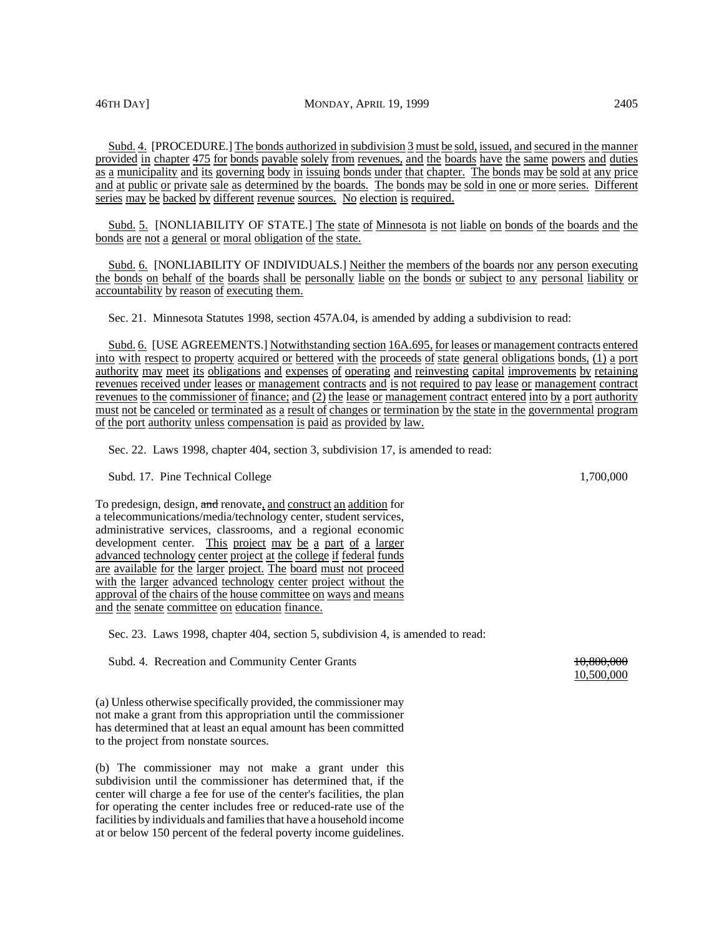Subd. 4. [PROCEDURE.] The bonds authorized in subdivision 3 must be sold, issued, and secured in the manner provided in chapter 475 for bonds payable solely from revenues, and the boards have the same powers and duties as a municipality and its governing body in issuing bonds under that chapter. The bonds may be sold at any price and at public or private sale as determined by the boards. The bonds may be sold in one or more series. Different series may be backed by different revenue sources. No election is required.

Subd. 5. [NONLIABILITY OF STATE.] The state of Minnesota is not liable on bonds of the boards and the bonds are not a general or moral obligation of the state.

Subd. 6. [NONLIABILITY OF INDIVIDUALS.] Neither the members of the boards nor any person executing the bonds on behalf of the boards shall be personally liable on the bonds or subject to any personal liability or accountability by reason of executing them.

Sec. 21. Minnesota Statutes 1998, section 457A.04, is amended by adding a subdivision to read:

Subd. 6. [USE AGREEMENTS.] Notwithstanding section 16A.695, for leases or management contracts entered into with respect to property acquired or bettered with the proceeds of state general obligations bonds, (1) a port authority may meet its obligations and expenses of operating and reinvesting capital improvements by retaining revenues received under leases or management contracts and is not required to pay lease or management contract revenues to the commissioner of finance; and (2) the lease or management contract entered into by a port authority must not be canceled or terminated as a result of changes or termination by the state in the governmental program of the port authority unless compensation is paid as provided by law.

Sec. 22. Laws 1998, chapter 404, section 3, subdivision 17, is amended to read:

Subd. 17. Pine Technical College 1,700,000 and 1,700,000 and 1,700,000 and 1,700,000 and 1,700,000 and 1,700,000 and 1,700,000 and 1,700,000 and 1,700,000 and 1,700,000 and 1,700,000 and 1,700,000 and 1,700,000 and 1,700,0

To predesign, design, and renovate, and construct an addition for a telecommunications/media/technology center, student services, administrative services, classrooms, and a regional economic development center. This project may be a part of a larger advanced technology center project at the college if federal funds are available for the larger project. The board must not proceed with the larger advanced technology center project without the approval of the chairs of the house committee on ways and means and the senate committee on education finance.

Sec. 23. Laws 1998, chapter 404, section 5, subdivision 4, is amended to read:

Subd. 4. Recreation and Community Center Grants 10,800,000 10,800,000

(a) Unless otherwise specifically provided, the commissioner may not make a grant from this appropriation until the commissioner has determined that at least an equal amount has been committed to the project from nonstate sources.

(b) The commissioner may not make a grant under this subdivision until the commissioner has determined that, if the center will charge a fee for use of the center's facilities, the plan for operating the center includes free or reduced-rate use of the facilities by individuals and families that have a household income at or below 150 percent of the federal poverty income guidelines.

10,500,000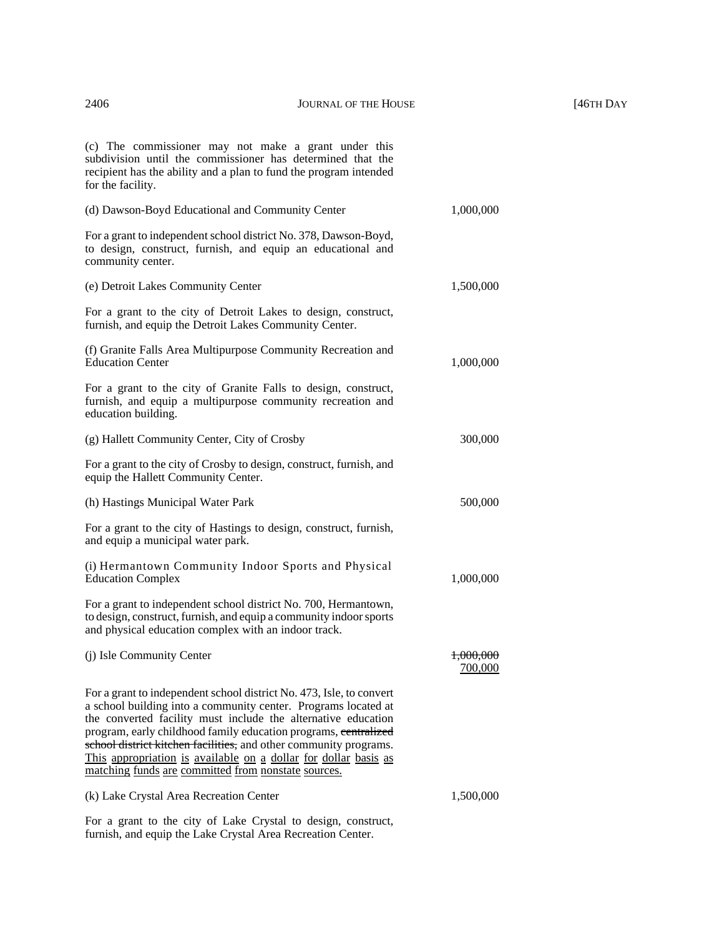(c) The commissioner may not make a grant under this subdivision until the commissioner has determined that the recipient has the ability and a plan to fund the program intended for the facility. (d) Dawson-Boyd Educational and Community Center 1,000,000

For a grant to independent school district No. 378, Dawson-Boyd, to design, construct, furnish, and equip an educational and community center.

For a grant to the city of Detroit Lakes to design, construct, furnish, and equip the Detroit Lakes Community Center.

(e) Detroit Lakes Community Center 1,500,000

(g) Hallett Community Center, City of Crosby 300,000

(h) Hastings Municipal Water Park 500,000

(f) Granite Falls Area Multipurpose Community Recreation and Education Center 1,000,000

For a grant to the city of Granite Falls to design, construct, furnish, and equip a multipurpose community recreation and education building.

For a grant to the city of Crosby to design, construct, furnish, and equip the Hallett Community Center.

For a grant to the city of Hastings to design, construct, furnish, and equip a municipal water park.

(i) Hermantown Community Indoor Sports and Physical Education Complex 1,000,000

For a grant to independent school district No. 700, Hermantown, to design, construct, furnish, and equip a community indoor sports and physical education complex with an indoor track.

(j) Isle Community Center 1,000,000 For a grant to independent school district No. 473, Isle, to convert a school building into a community center. Programs located at the converted facility must include the alternative education program, early childhood family education programs, centralized school district kitchen facilities, and other community programs. This appropriation is available on a dollar for dollar basis as matching funds are committed from nonstate sources.

(k) Lake Crystal Area Recreation Center 1,500,000

700,000

For a grant to the city of Lake Crystal to design, construct, furnish, and equip the Lake Crystal Area Recreation Center.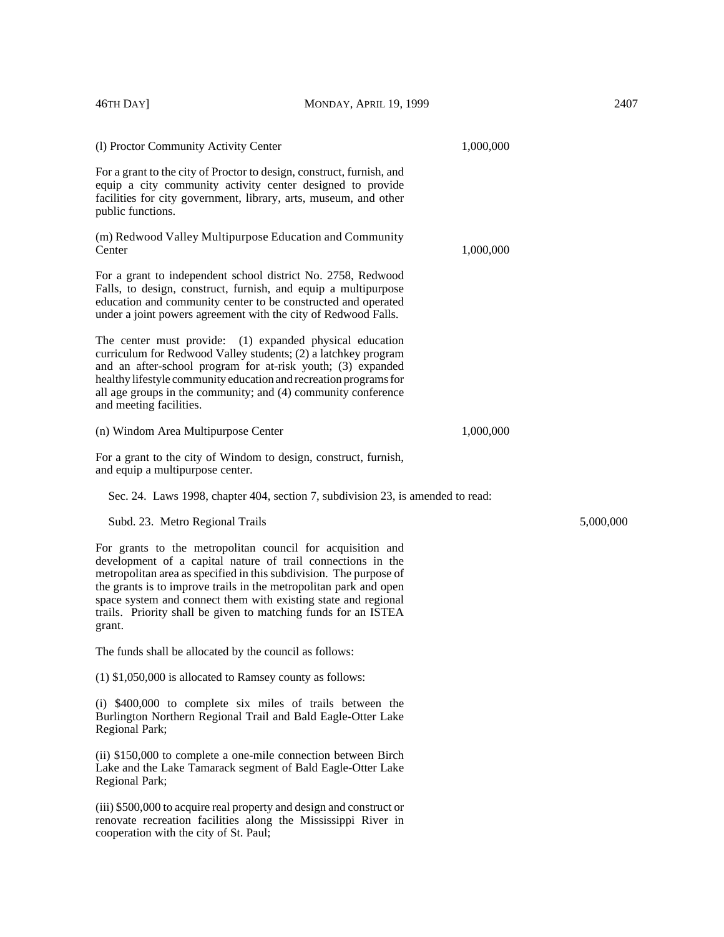| 46TH DAY]                                                 | MONDAY, APRIL 19, 1999                                                                                                                                                                                                                                                                                                                                                                                   |           | 2407      |
|-----------------------------------------------------------|----------------------------------------------------------------------------------------------------------------------------------------------------------------------------------------------------------------------------------------------------------------------------------------------------------------------------------------------------------------------------------------------------------|-----------|-----------|
| (l) Proctor Community Activity Center                     |                                                                                                                                                                                                                                                                                                                                                                                                          | 1,000,000 |           |
| public functions.                                         | For a grant to the city of Proctor to design, construct, furnish, and<br>equip a city community activity center designed to provide<br>facilities for city government, library, arts, museum, and other                                                                                                                                                                                                  |           |           |
| Center                                                    | (m) Redwood Valley Multipurpose Education and Community                                                                                                                                                                                                                                                                                                                                                  | 1,000,000 |           |
|                                                           | For a grant to independent school district No. 2758, Redwood<br>Falls, to design, construct, furnish, and equip a multipurpose<br>education and community center to be constructed and operated<br>under a joint powers agreement with the city of Redwood Falls.                                                                                                                                        |           |           |
| and meeting facilities.                                   | The center must provide: (1) expanded physical education<br>curriculum for Redwood Valley students; (2) a latchkey program<br>and an after-school program for at-risk youth; (3) expanded<br>healthy lifestyle community education and recreation programs for<br>all age groups in the community; and (4) community conference                                                                          |           |           |
| (n) Windom Area Multipurpose Center                       |                                                                                                                                                                                                                                                                                                                                                                                                          | 1,000,000 |           |
| and equip a multipurpose center.                          | For a grant to the city of Windom to design, construct, furnish,                                                                                                                                                                                                                                                                                                                                         |           |           |
|                                                           | Sec. 24. Laws 1998, chapter 404, section 7, subdivision 23, is amended to read:                                                                                                                                                                                                                                                                                                                          |           |           |
| Subd. 23. Metro Regional Trails                           |                                                                                                                                                                                                                                                                                                                                                                                                          |           | 5,000,000 |
| grant.                                                    | For grants to the metropolitan council for acquisition and<br>development of a capital nature of trail connections in the<br>metropolitan area as specified in this subdivision. The purpose of<br>the grants is to improve trails in the metropolitan park and open<br>space system and connect them with existing state and regional<br>trails. Priority shall be given to matching funds for an ISTEA |           |           |
| The funds shall be allocated by the council as follows:   |                                                                                                                                                                                                                                                                                                                                                                                                          |           |           |
| (1) \$1,050,000 is allocated to Ramsey county as follows: |                                                                                                                                                                                                                                                                                                                                                                                                          |           |           |
| Regional Park;                                            | (i) \$400,000 to complete six miles of trails between the<br>Burlington Northern Regional Trail and Bald Eagle-Otter Lake                                                                                                                                                                                                                                                                                |           |           |
| Regional Park;                                            | (ii) \$150,000 to complete a one-mile connection between Birch<br>Lake and the Lake Tamarack segment of Bald Eagle-Otter Lake                                                                                                                                                                                                                                                                            |           |           |

(iii) \$500,000 to acquire real property and design and construct or renovate recreation facilities along the Mississippi River in cooperation with the city of St. Paul;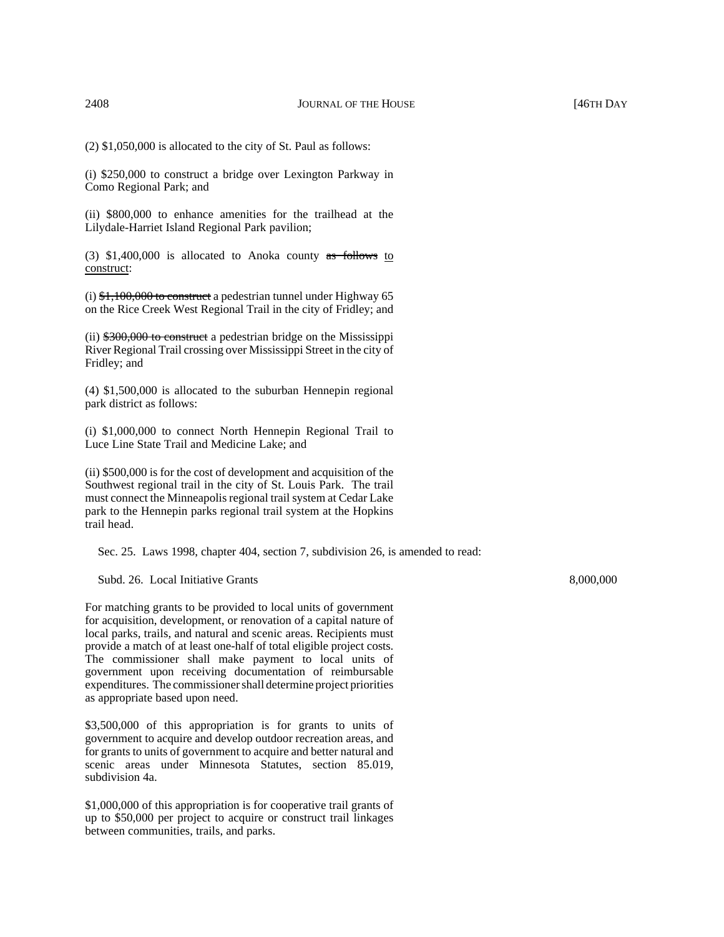(2) \$1,050,000 is allocated to the city of St. Paul as follows:

(i) \$250,000 to construct a bridge over Lexington Parkway in Como Regional Park; and

(ii) \$800,000 to enhance amenities for the trailhead at the Lilydale-Harriet Island Regional Park pavilion;

(3)  $$1,400,000$  is allocated to Anoka county as follows to construct:

(i)  $\frac{1}{2}$ , 100,000 to construct a pedestrian tunnel under Highway 65 on the Rice Creek West Regional Trail in the city of Fridley; and

(ii) \$300,000 to construct a pedestrian bridge on the Mississippi River Regional Trail crossing over Mississippi Street in the city of Fridley; and

(4) \$1,500,000 is allocated to the suburban Hennepin regional park district as follows:

(i) \$1,000,000 to connect North Hennepin Regional Trail to Luce Line State Trail and Medicine Lake; and

(ii) \$500,000 is for the cost of development and acquisition of the Southwest regional trail in the city of St. Louis Park. The trail must connect the Minneapolis regional trail system at Cedar Lake park to the Hennepin parks regional trail system at the Hopkins trail head.

Sec. 25. Laws 1998, chapter 404, section 7, subdivision 26, is amended to read:

Subd. 26. Local Initiative Grants 8,000,000 and 8,000,000 and 8,000,000 and 8,000,000 and 8,000,000 and 8,000,000 and 8,000,000 and 8,000,000 and 8,000,000 and 8,000,000 and 8,000,000 and 8,000,000 and 8,000,000 and 8,000,

For matching grants to be provided to local units of government for acquisition, development, or renovation of a capital nature of local parks, trails, and natural and scenic areas. Recipients must provide a match of at least one-half of total eligible project costs. The commissioner shall make payment to local units of government upon receiving documentation of reimbursable expenditures. The commissioner shall determine project priorities as appropriate based upon need.

\$3,500,000 of this appropriation is for grants to units of government to acquire and develop outdoor recreation areas, and for grants to units of government to acquire and better natural and scenic areas under Minnesota Statutes, section 85.019, subdivision 4a.

\$1,000,000 of this appropriation is for cooperative trail grants of up to \$50,000 per project to acquire or construct trail linkages between communities, trails, and parks.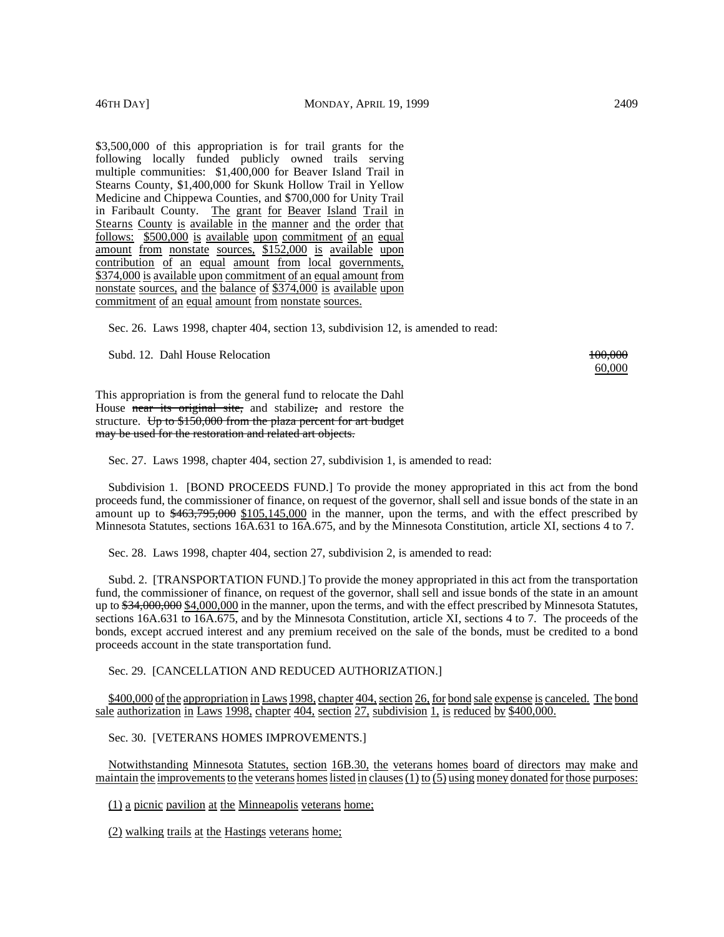\$3,500,000 of this appropriation is for trail grants for the following locally funded publicly owned trails serving multiple communities: \$1,400,000 for Beaver Island Trail in Stearns County, \$1,400,000 for Skunk Hollow Trail in Yellow Medicine and Chippewa Counties, and \$700,000 for Unity Trail in Faribault County. The grant for Beaver Island Trail in Stearns County is available in the manner and the order that follows: \$500,000 is available upon commitment of an equal amount from nonstate sources, \$152,000 is available upon contribution of an equal amount from local governments, \$374,000 is available upon commitment of an equal amount from nonstate sources, and the balance of \$374,000 is available upon commitment of an equal amount from nonstate sources.

Sec. 26. Laws 1998, chapter 404, section 13, subdivision 12, is amended to read:

Subd. 12. Dahl House Relocation 100,000 and 100,000 and 100,000 and 100,000 and 100,000 and 100,000 and 100,000 and 100,000 and 100,000 and 100,000 and 100,000 and 100,000 and 100,000 and 100,000 and 100,000 and 100,000 an

60,000

This appropriation is from the general fund to relocate the Dahl House near its original site, and stabilize, and restore the structure. Up to  $$150,000$  from the plaza percent for art budget may be used for the restoration and related art objects.

Sec. 27. Laws 1998, chapter 404, section 27, subdivision 1, is amended to read:

Subdivision 1. [BOND PROCEEDS FUND.] To provide the money appropriated in this act from the bond proceeds fund, the commissioner of finance, on request of the governor, shall sell and issue bonds of the state in an amount up to  $\frac{463,795,000}{105,145,000}$  in the manner, upon the terms, and with the effect prescribed by Minnesota Statutes, sections 16A.631 to 16A.675, and by the Minnesota Constitution, article XI, sections 4 to 7.

Sec. 28. Laws 1998, chapter 404, section 27, subdivision 2, is amended to read:

Subd. 2. [TRANSPORTATION FUND.] To provide the money appropriated in this act from the transportation fund, the commissioner of finance, on request of the governor, shall sell and issue bonds of the state in an amount up to  $\frac{634,000,000}{534,000,000}$  in the manner, upon the terms, and with the effect prescribed by Minnesota Statutes, sections 16A.631 to 16A.675, and by the Minnesota Constitution, article XI, sections 4 to 7. The proceeds of the bonds, except accrued interest and any premium received on the sale of the bonds, must be credited to a bond proceeds account in the state transportation fund.

Sec. 29. [CANCELLATION AND REDUCED AUTHORIZATION.]

\$400,000 of the appropriation in Laws 1998, chapter 404, section 26, for bond sale expense is canceled. The bond sale authorization in Laws 1998, chapter 404, section 27, subdivision 1, is reduced by \$400,000.

Sec. 30. [VETERANS HOMES IMPROVEMENTS.]

Notwithstanding Minnesota Statutes, section 16B.30, the veterans homes board of directors may make and maintain the improvements to the veterans homes listed in clauses  $(1)$  to  $(5)$  using money donated for those purposes:

(1) a picnic pavilion at the Minneapolis veterans home;

(2) walking trails at the Hastings veterans home;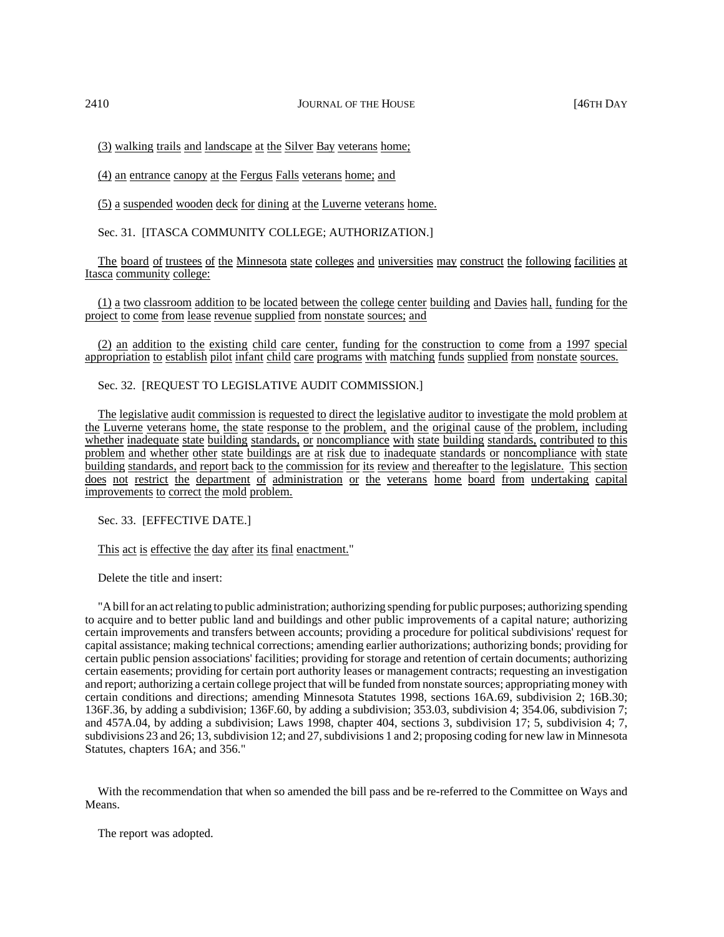(3) walking trails and landscape at the Silver Bay veterans home;

(4) an entrance canopy at the Fergus Falls veterans home; and

(5) a suspended wooden deck for dining at the Luverne veterans home.

Sec. 31. [ITASCA COMMUNITY COLLEGE; AUTHORIZATION.]

The board of trustees of the Minnesota state colleges and universities may construct the following facilities at Itasca community college:

(1) a two classroom addition to be located between the college center building and Davies hall, funding for the project to come from lease revenue supplied from nonstate sources; and

(2) an addition to the existing child care center, funding for the construction to come from a 1997 special appropriation to establish pilot infant child care programs with matching funds supplied from nonstate sources.

Sec. 32. [REQUEST TO LEGISLATIVE AUDIT COMMISSION.]

The legislative audit commission is requested to direct the legislative auditor to investigate the mold problem at the Luverne veterans home, the state response to the problem, and the original cause of the problem, including whether inadequate state building standards, or noncompliance with state building standards, contributed to this problem and whether other state buildings are at risk due to inadequate standards or noncompliance with state building standards, and report back to the commission for its review and thereafter to the legislature. This section does not restrict the department of administration or the veterans home board from undertaking capital improvements to correct the mold problem.

Sec. 33. [EFFECTIVE DATE.]

This act is effective the day after its final enactment."

Delete the title and insert:

"A bill for an act relating to public administration; authorizing spending for public purposes; authorizing spending to acquire and to better public land and buildings and other public improvements of a capital nature; authorizing certain improvements and transfers between accounts; providing a procedure for political subdivisions' request for capital assistance; making technical corrections; amending earlier authorizations; authorizing bonds; providing for certain public pension associations' facilities; providing for storage and retention of certain documents; authorizing certain easements; providing for certain port authority leases or management contracts; requesting an investigation and report; authorizing a certain college project that will be funded from nonstate sources; appropriating money with certain conditions and directions; amending Minnesota Statutes 1998, sections 16A.69, subdivision 2; 16B.30; 136F.36, by adding a subdivision; 136F.60, by adding a subdivision; 353.03, subdivision 4; 354.06, subdivision 7; and 457A.04, by adding a subdivision; Laws 1998, chapter 404, sections 3, subdivision 17; 5, subdivision 4; 7, subdivisions 23 and 26; 13, subdivision 12; and 27, subdivisions 1 and 2; proposing coding for new law in Minnesota Statutes, chapters 16A; and 356."

With the recommendation that when so amended the bill pass and be re-referred to the Committee on Ways and Means.

The report was adopted.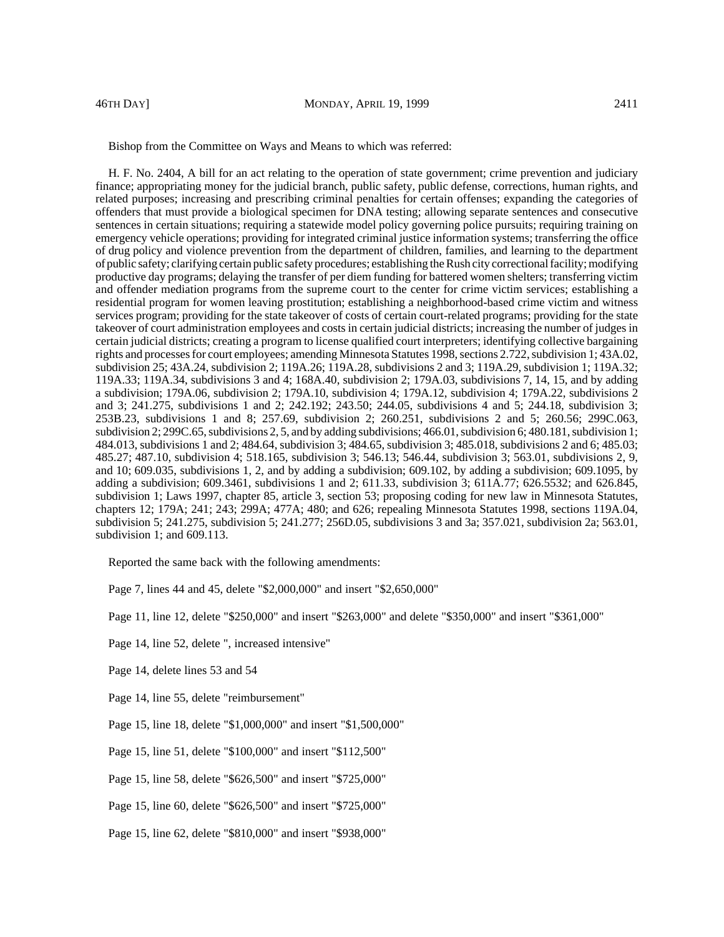Bishop from the Committee on Ways and Means to which was referred:

H. F. No. 2404, A bill for an act relating to the operation of state government; crime prevention and judiciary finance; appropriating money for the judicial branch, public safety, public defense, corrections, human rights, and related purposes; increasing and prescribing criminal penalties for certain offenses; expanding the categories of offenders that must provide a biological specimen for DNA testing; allowing separate sentences and consecutive sentences in certain situations; requiring a statewide model policy governing police pursuits; requiring training on emergency vehicle operations; providing for integrated criminal justice information systems; transferring the office of drug policy and violence prevention from the department of children, families, and learning to the department of public safety; clarifying certain public safety procedures; establishing the Rush city correctional facility; modifying productive day programs; delaying the transfer of per diem funding for battered women shelters; transferring victim and offender mediation programs from the supreme court to the center for crime victim services; establishing a residential program for women leaving prostitution; establishing a neighborhood-based crime victim and witness services program; providing for the state takeover of costs of certain court-related programs; providing for the state takeover of court administration employees and costs in certain judicial districts; increasing the number of judges in certain judicial districts; creating a program to license qualified court interpreters; identifying collective bargaining rights and processes for court employees; amending Minnesota Statutes 1998, sections 2.722, subdivision 1; 43A.02, subdivision 25; 43A.24, subdivision 2; 119A.26; 119A.28, subdivisions 2 and 3; 119A.29, subdivision 1; 119A.32; 119A.33; 119A.34, subdivisions 3 and 4; 168A.40, subdivision 2; 179A.03, subdivisions 7, 14, 15, and by adding a subdivision; 179A.06, subdivision 2; 179A.10, subdivision 4; 179A.12, subdivision 4; 179A.22, subdivisions 2 and 3; 241.275, subdivisions 1 and 2; 242.192; 243.50; 244.05, subdivisions 4 and 5; 244.18, subdivision 3; 253B.23, subdivisions 1 and 8; 257.69, subdivision 2; 260.251, subdivisions 2 and 5; 260.56; 299C.063, subdivision 2; 299C.65, subdivisions 2, 5, and by adding subdivisions; 466.01, subdivision 6; 480.181, subdivision 1; 484.013, subdivisions 1 and 2; 484.64, subdivision 3; 484.65, subdivision 3; 485.018, subdivisions 2 and 6; 485.03; 485.27; 487.10, subdivision 4; 518.165, subdivision 3; 546.13; 546.44, subdivision 3; 563.01, subdivisions 2, 9, and 10; 609.035, subdivisions 1, 2, and by adding a subdivision; 609.102, by adding a subdivision; 609.1095, by adding a subdivision; 609.3461, subdivisions 1 and 2; 611.33, subdivision 3; 611A.77; 626.5532; and 626.845, subdivision 1; Laws 1997, chapter 85, article 3, section 53; proposing coding for new law in Minnesota Statutes, chapters 12; 179A; 241; 243; 299A; 477A; 480; and 626; repealing Minnesota Statutes 1998, sections 119A.04, subdivision 5; 241.275, subdivision 5; 241.277; 256D.05, subdivisions 3 and 3a; 357.021, subdivision 2a; 563.01, subdivision 1; and 609.113.

Reported the same back with the following amendments:

Page 7, lines 44 and 45, delete "\$2,000,000" and insert "\$2,650,000"

Page 11, line 12, delete "\$250,000" and insert "\$263,000" and delete "\$350,000" and insert "\$361,000"

Page 14, line 52, delete ", increased intensive"

Page 14, delete lines 53 and 54

Page 14, line 55, delete "reimbursement"

Page 15, line 18, delete "\$1,000,000" and insert "\$1,500,000"

Page 15, line 51, delete "\$100,000" and insert "\$112,500"

Page 15, line 58, delete "\$626,500" and insert "\$725,000"

Page 15, line 60, delete "\$626,500" and insert "\$725,000"

Page 15, line 62, delete "\$810,000" and insert "\$938,000"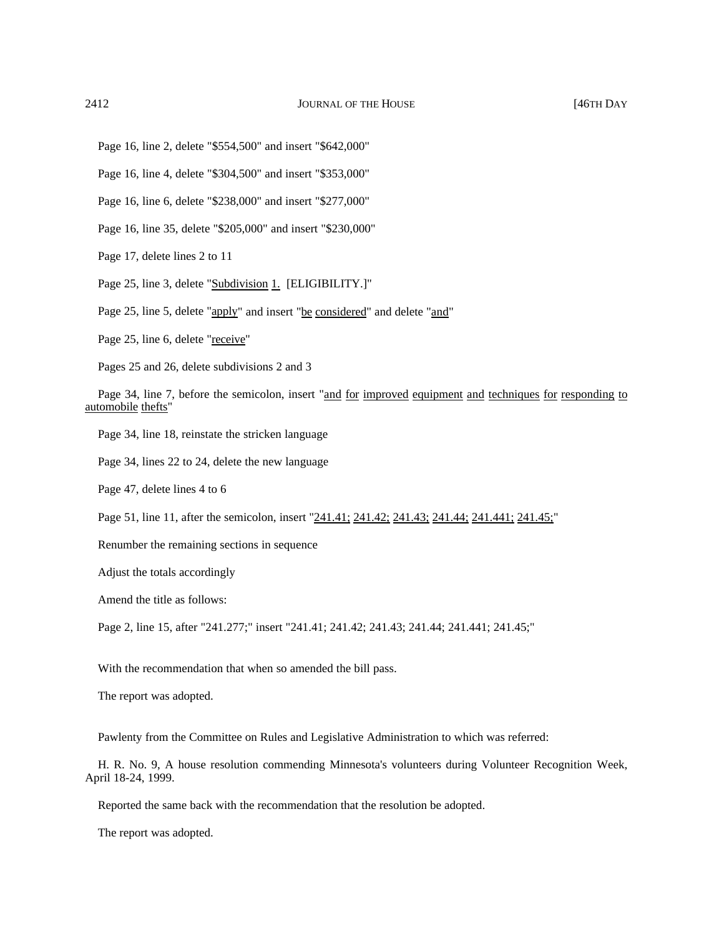Page 16, line 2, delete "\$554,500" and insert "\$642,000"

Page 16, line 4, delete "\$304,500" and insert "\$353,000"

Page 16, line 6, delete "\$238,000" and insert "\$277,000"

Page 16, line 35, delete "\$205,000" and insert "\$230,000"

Page 17, delete lines 2 to 11

Page 25, line 3, delete "Subdivision 1. [ELIGIBILITY.]"

Page 25, line 5, delete "apply" and insert "be considered" and delete "and"

Page 25, line 6, delete "receive"

Pages 25 and 26, delete subdivisions 2 and 3

Page 34, line 7, before the semicolon, insert "and for improved equipment and techniques for responding to automobile thefts"

Page 34, line 18, reinstate the stricken language

Page 34, lines 22 to 24, delete the new language

Page 47, delete lines 4 to 6

Page 51, line 11, after the semicolon, insert "241.41; 241.42; 241.43; 241.44; 241.441; 241.45;"

Renumber the remaining sections in sequence

Adjust the totals accordingly

Amend the title as follows:

Page 2, line 15, after "241.277;" insert "241.41; 241.42; 241.43; 241.44; 241.441; 241.45;"

With the recommendation that when so amended the bill pass.

The report was adopted.

Pawlenty from the Committee on Rules and Legislative Administration to which was referred:

H. R. No. 9, A house resolution commending Minnesota's volunteers during Volunteer Recognition Week, April 18-24, 1999.

Reported the same back with the recommendation that the resolution be adopted.

The report was adopted.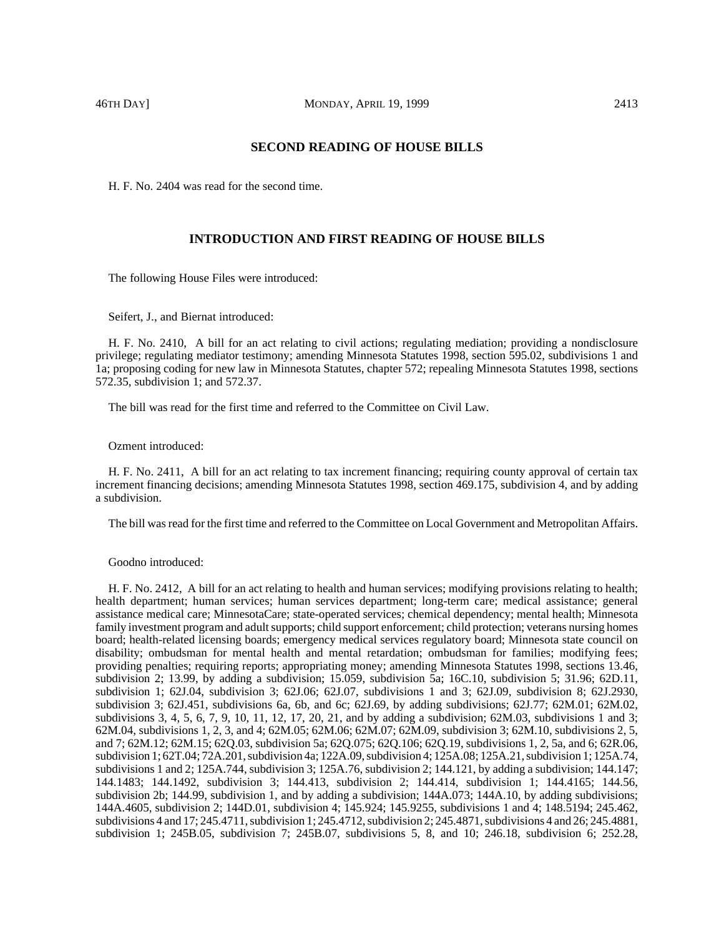H. F. No. 2404 was read for the second time.

# **INTRODUCTION AND FIRST READING OF HOUSE BILLS**

The following House Files were introduced:

Seifert, J., and Biernat introduced:

H. F. No. 2410, A bill for an act relating to civil actions; regulating mediation; providing a nondisclosure privilege; regulating mediator testimony; amending Minnesota Statutes 1998, section 595.02, subdivisions 1 and 1a; proposing coding for new law in Minnesota Statutes, chapter 572; repealing Minnesota Statutes 1998, sections 572.35, subdivision 1; and 572.37.

The bill was read for the first time and referred to the Committee on Civil Law.

Ozment introduced:

H. F. No. 2411, A bill for an act relating to tax increment financing; requiring county approval of certain tax increment financing decisions; amending Minnesota Statutes 1998, section 469.175, subdivision 4, and by adding a subdivision.

The bill was read for the first time and referred to the Committee on Local Government and Metropolitan Affairs.

Goodno introduced:

H. F. No. 2412, A bill for an act relating to health and human services; modifying provisions relating to health; health department; human services; human services department; long-term care; medical assistance; general assistance medical care; MinnesotaCare; state-operated services; chemical dependency; mental health; Minnesota family investment program and adult supports; child support enforcement; child protection; veterans nursing homes board; health-related licensing boards; emergency medical services regulatory board; Minnesota state council on disability; ombudsman for mental health and mental retardation; ombudsman for families; modifying fees; providing penalties; requiring reports; appropriating money; amending Minnesota Statutes 1998, sections 13.46, subdivision 2; 13.99, by adding a subdivision; 15.059, subdivision 5a; 16C.10, subdivision 5; 31.96; 62D.11, subdivision 1; 62J.04, subdivision 3; 62J.06; 62J.07, subdivisions 1 and 3; 62J.09, subdivision 8; 62J.2930, subdivision 3; 62J.451, subdivisions 6a, 6b, and 6c; 62J.69, by adding subdivisions; 62J.77; 62M.01; 62M.02, subdivisions 3, 4, 5, 6, 7, 9, 10, 11, 12, 17, 20, 21, and by adding a subdivision; 62M.03, subdivisions 1 and 3; 62M.04, subdivisions 1, 2, 3, and 4; 62M.05; 62M.06; 62M.07; 62M.09, subdivision 3; 62M.10, subdivisions 2, 5, and 7; 62M.12; 62M.15; 62Q.03, subdivision 5a; 62Q.075; 62Q.106; 62Q.19, subdivisions 1, 2, 5a, and 6; 62R.06, subdivision 1; 62T.04; 72A.201, subdivision 4a; 122A.09, subdivision 4; 125A.08; 125A.21, subdivision 1; 125A.74, subdivisions 1 and 2; 125A.744, subdivision 3; 125A.76, subdivision 2; 144.121, by adding a subdivision; 144.147; 144.1483; 144.1492, subdivision 3; 144.413, subdivision 2; 144.414, subdivision 1; 144.4165; 144.56, subdivision 2b; 144.99, subdivision 1, and by adding a subdivision; 144A.073; 144A.10, by adding subdivisions; 144A.4605, subdivision 2; 144D.01, subdivision 4; 145.924; 145.9255, subdivisions 1 and 4; 148.5194; 245.462, subdivisions 4 and 17; 245.4711, subdivision 1; 245.4712, subdivision 2; 245.4871, subdivisions 4 and 26; 245.4881, subdivision 1; 245B.05, subdivision 7; 245B.07, subdivisions 5, 8, and 10; 246.18, subdivision 6; 252.28,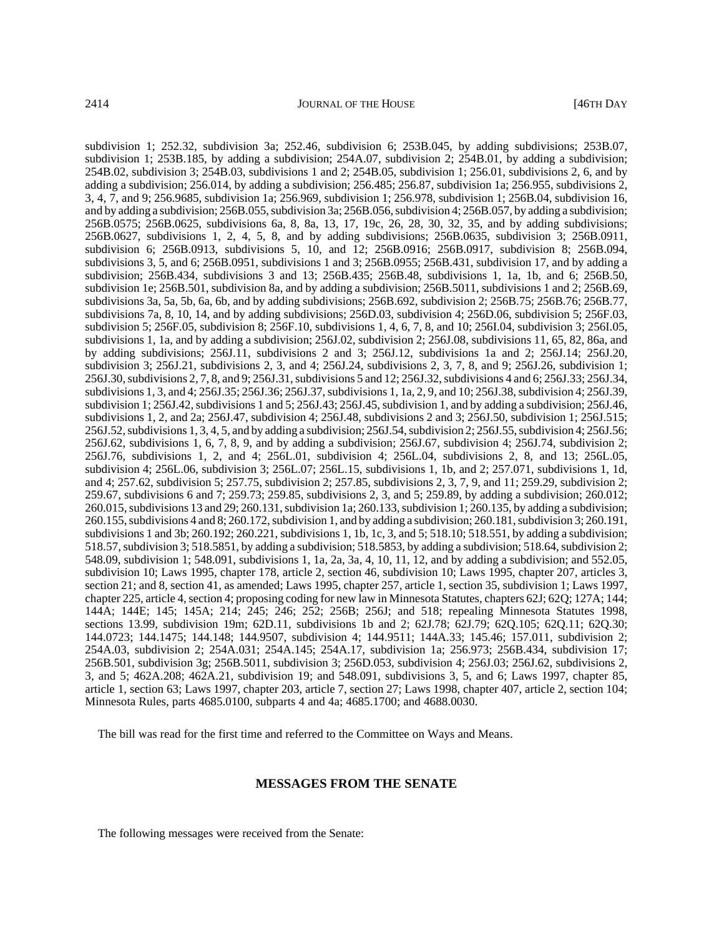subdivision 1; 252.32, subdivision 3a; 252.46, subdivision 6; 253B.045, by adding subdivisions; 253B.07, subdivision 1; 253B.185, by adding a subdivision; 254A.07, subdivision 2; 254B.01, by adding a subdivision; 254B.02, subdivision 3; 254B.03, subdivisions 1 and 2; 254B.05, subdivision 1; 256.01, subdivisions 2, 6, and by adding a subdivision; 256.014, by adding a subdivision; 256.485; 256.87, subdivision 1a; 256.955, subdivisions 2, 3, 4, 7, and 9; 256.9685, subdivision 1a; 256.969, subdivision 1; 256.978, subdivision 1; 256B.04, subdivision 16, and by adding a subdivision; 256B.055, subdivision 3a; 256B.056, subdivision 4; 256B.057, by adding a subdivision; 256B.0575; 256B.0625, subdivisions 6a, 8, 8a, 13, 17, 19c, 26, 28, 30, 32, 35, and by adding subdivisions; 256B.0627, subdivisions 1, 2, 4, 5, 8, and by adding subdivisions; 256B.0635, subdivision 3; 256B.0911, subdivision 6; 256B.0913, subdivisions 5, 10, and 12; 256B.0916; 256B.0917, subdivision 8; 256B.094, subdivisions 3, 5, and 6; 256B.0951, subdivisions 1 and 3; 256B.0955; 256B.431, subdivision 17, and by adding a subdivision; 256B.434, subdivisions 3 and 13; 256B.435; 256B.48, subdivisions 1, 1a, 1b, and 6; 256B.50, subdivision 1e; 256B.501, subdivision 8a, and by adding a subdivision; 256B.5011, subdivisions 1 and 2; 256B.69, subdivisions 3a, 5a, 5b, 6a, 6b, and by adding subdivisions; 256B.692, subdivision 2; 256B.75; 256B.76; 256B.77, subdivisions 7a, 8, 10, 14, and by adding subdivisions; 256D.03, subdivision 4; 256D.06, subdivision 5; 256F.03, subdivision 5; 256F.05, subdivision 8; 256F.10, subdivisions 1, 4, 6, 7, 8, and 10; 256I.04, subdivision 3; 256I.05, subdivisions 1, 1a, and by adding a subdivision; 256J.02, subdivision 2; 256J.08, subdivisions 11, 65, 82, 86a, and by adding subdivisions; 256J.11, subdivisions 2 and 3; 256J.12, subdivisions 1a and 2; 256J.14; 256J.20, subdivision 3; 256J.21, subdivisions 2, 3, and 4; 256J.24, subdivisions 2, 3, 7, 8, and 9; 256J.26, subdivision 1; 256J.30, subdivisions 2, 7, 8, and 9; 256J.31, subdivisions 5 and 12; 256J.32, subdivisions 4 and 6; 256J.33; 256J.34, subdivisions 1, 3, and 4; 256J.35; 256J.36; 256J.37, subdivisions 1, 1a, 2, 9, and 10; 256J.38, subdivision 4; 256J.39, subdivision 1; 256J.42, subdivisions 1 and 5; 256J.43; 256J.45, subdivision 1, and by adding a subdivision; 256J.46, subdivisions 1, 2, and 2a; 256J.47, subdivision 4; 256J.48, subdivisions 2 and 3; 256J.50, subdivision 1; 256J.515; 256J.52, subdivisions 1, 3, 4, 5, and by adding a subdivision; 256J.54, subdivision 2; 256J.55, subdivision 4; 256J.56; 256J.62, subdivisions 1, 6, 7, 8, 9, and by adding a subdivision; 256J.67, subdivision 4; 256J.74, subdivision 2; 256J.76, subdivisions 1, 2, and 4; 256L.01, subdivision 4; 256L.04, subdivisions 2, 8, and 13; 256L.05, subdivision 4; 256L.06, subdivision 3; 256L.07; 256L.15, subdivisions 1, 1b, and 2; 257.071, subdivisions 1, 1d, and 4; 257.62, subdivision 5; 257.75, subdivision 2; 257.85, subdivisions 2, 3, 7, 9, and 11; 259.29, subdivision 2; 259.67, subdivisions 6 and 7; 259.73; 259.85, subdivisions 2, 3, and 5; 259.89, by adding a subdivision; 260.012; 260.015, subdivisions 13 and 29; 260.131, subdivision 1a; 260.133, subdivision 1; 260.135, by adding a subdivision; 260.155, subdivisions 4 and 8; 260.172, subdivision 1, and by adding a subdivision; 260.181, subdivision 3; 260.191, subdivisions 1 and 3b; 260.192; 260.221, subdivisions 1, 1b, 1c, 3, and 5; 518.10; 518.551, by adding a subdivision; 518.57, subdivision 3; 518.5851, by adding a subdivision; 518.5853, by adding a subdivision; 518.64, subdivision 2; 548.09, subdivision 1; 548.091, subdivisions 1, 1a, 2a, 3a, 4, 10, 11, 12, and by adding a subdivision; and 552.05, subdivision 10; Laws 1995, chapter 178, article 2, section 46, subdivision 10; Laws 1995, chapter 207, articles 3, section 21; and 8, section 41, as amended; Laws 1995, chapter 257, article 1, section 35, subdivision 1; Laws 1997, chapter 225, article 4, section 4; proposing coding for new law in Minnesota Statutes, chapters 62J; 62Q; 127A; 144; 144A; 144E; 145; 145A; 214; 245; 246; 252; 256B; 256J; and 518; repealing Minnesota Statutes 1998, sections 13.99, subdivision 19m; 62D.11, subdivisions 1b and 2; 62J.78; 62J.79; 62Q.105; 62Q.11; 62Q.30; 144.0723; 144.1475; 144.148; 144.9507, subdivision 4; 144.9511; 144A.33; 145.46; 157.011, subdivision 2; 254A.03, subdivision 2; 254A.031; 254A.145; 254A.17, subdivision 1a; 256.973; 256B.434, subdivision 17; 256B.501, subdivision 3g; 256B.5011, subdivision 3; 256D.053, subdivision 4; 256J.03; 256J.62, subdivisions 2, 3, and 5; 462A.208; 462A.21, subdivision 19; and 548.091, subdivisions 3, 5, and 6; Laws 1997, chapter 85, article 1, section 63; Laws 1997, chapter 203, article 7, section 27; Laws 1998, chapter 407, article 2, section 104; Minnesota Rules, parts 4685.0100, subparts 4 and 4a; 4685.1700; and 4688.0030.

The bill was read for the first time and referred to the Committee on Ways and Means.

#### **MESSAGES FROM THE SENATE**

The following messages were received from the Senate: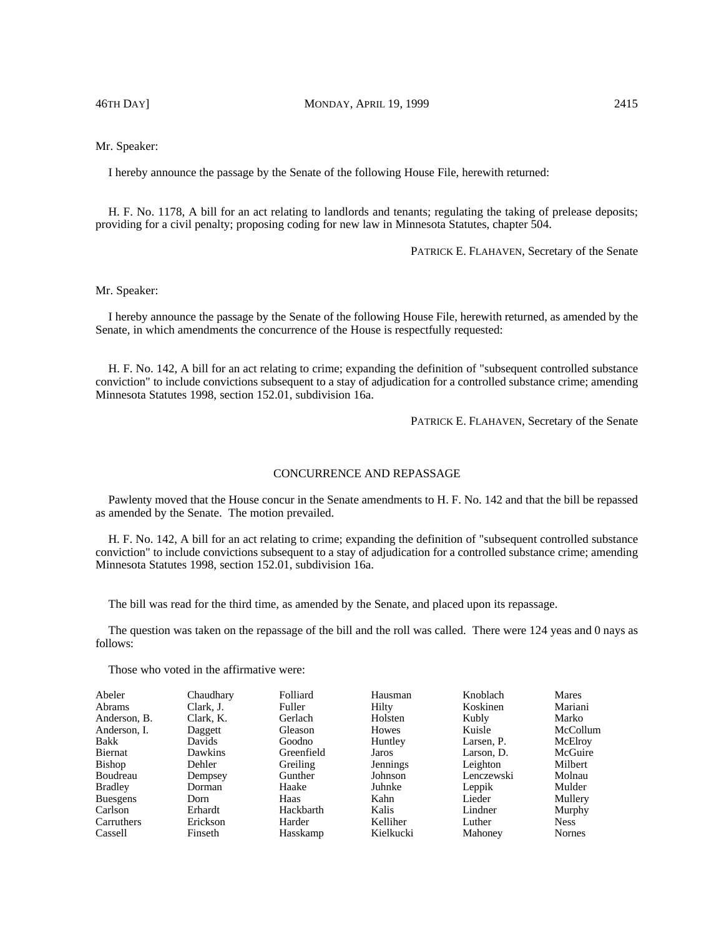46TH DAY] MONDAY, APRIL 19, 1999 2415

# Mr. Speaker:

I hereby announce the passage by the Senate of the following House File, herewith returned:

H. F. No. 1178, A bill for an act relating to landlords and tenants; regulating the taking of prelease deposits; providing for a civil penalty; proposing coding for new law in Minnesota Statutes, chapter 504.

PATRICK E. FLAHAVEN, Secretary of the Senate

## Mr. Speaker:

I hereby announce the passage by the Senate of the following House File, herewith returned, as amended by the Senate, in which amendments the concurrence of the House is respectfully requested:

H. F. No. 142, A bill for an act relating to crime; expanding the definition of "subsequent controlled substance conviction" to include convictions subsequent to a stay of adjudication for a controlled substance crime; amending Minnesota Statutes 1998, section 152.01, subdivision 16a.

PATRICK E. FLAHAVEN, Secretary of the Senate

## CONCURRENCE AND REPASSAGE

Pawlenty moved that the House concur in the Senate amendments to H. F. No. 142 and that the bill be repassed as amended by the Senate. The motion prevailed.

H. F. No. 142, A bill for an act relating to crime; expanding the definition of "subsequent controlled substance conviction" to include convictions subsequent to a stay of adjudication for a controlled substance crime; amending Minnesota Statutes 1998, section 152.01, subdivision 16a.

The bill was read for the third time, as amended by the Senate, and placed upon its repassage.

The question was taken on the repassage of the bill and the roll was called. There were 124 yeas and 0 nays as follows:

| Abeler          | Chaudhary      | Folliard   | Hausman      | Knoblach   | Mares         |
|-----------------|----------------|------------|--------------|------------|---------------|
| <b>Abrams</b>   | Clark, J.      | Fuller     | Hilty        | Koskinen   | Mariani       |
| Anderson, B.    | Clark, K.      | Gerlach    | Holsten      | Kubly      | Marko         |
| Anderson, I.    | Daggett        | Gleason    | <b>Howes</b> | Kuisle     | McCollum      |
| Bakk            | Davids         | Goodno     | Huntley      | Larsen, P. | McElroy       |
| Biernat         | <b>Dawkins</b> | Greenfield | Jaros        | Larson, D. | McGuire       |
| <b>Bishop</b>   | Dehler         | Greiling   | Jennings     | Leighton   | Milbert       |
| Boudreau        | Dempsey        | Gunther    | Johnson      | Lenczewski | Molnau        |
| <b>Bradley</b>  | Dorman         | Haake      | Juhnke       | Leppik     | Mulder        |
| <b>Buesgens</b> | Dorn           | Haas       | Kahn         | Lieder     | Mullery       |
| Carlson         | Erhardt        | Hackbarth  | Kalis        | Lindner    | Murphy        |
| Carruthers      | Erickson       | Harder     | Kelliher     | Luther     | <b>Ness</b>   |
| Cassell         | Finseth        | Hasskamp   | Kielkucki    | Mahoney    | <b>Nornes</b> |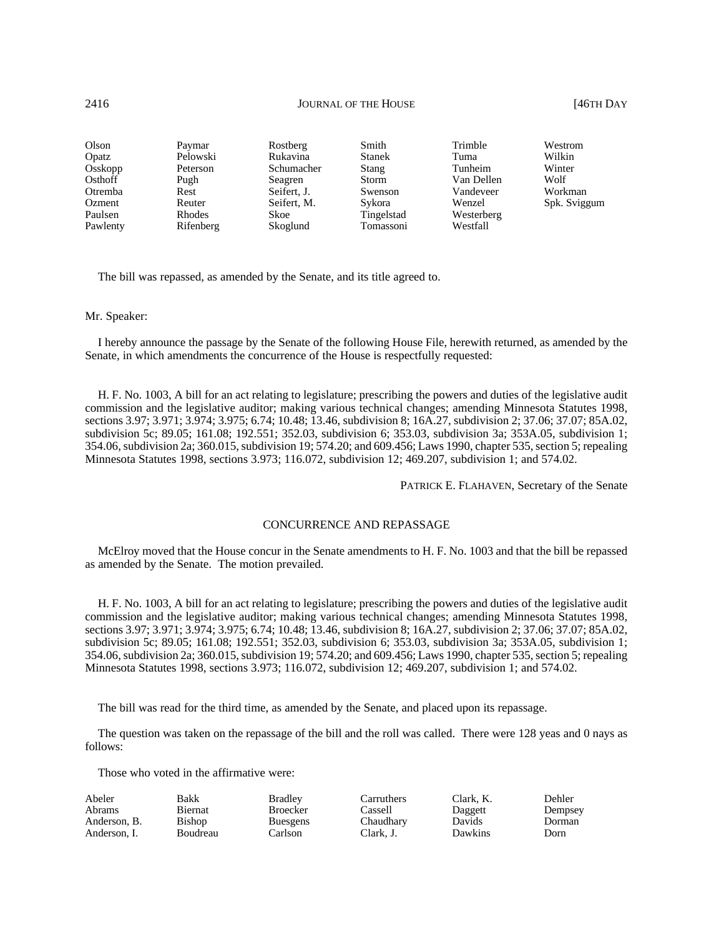## 2416 **JOURNAL OF THE HOUSE CONSERVERT AND SOLUTION** SUMPLE TO A VEHICLE **146TH DAY**

| Olson    | Paymar    | Rostberg    | Smith         | Trimble    | Westrom      |
|----------|-----------|-------------|---------------|------------|--------------|
| Opatz    | Pelowski  | Rukavina    | <b>Stanek</b> | Tuma       | Wilkin       |
| Osskopp  | Peterson  | Schumacher  | Stang         | Tunheim    | Winter       |
| Osthoff  | Pugh      | Seagren     | Storm         | Van Dellen | Wolf         |
| Otremba  | Rest      | Seifert. J. | Swenson       | Vandeveer  | Workman      |
| Ozment   | Reuter    | Seifert, M. | Sykora        | Wenzel     | Spk. Sviggum |
| Paulsen  | Rhodes    | <b>Skoe</b> | Tingelstad    | Westerberg |              |
| Pawlenty | Rifenberg | Skoglund    | Tomassoni     | Westfall   |              |

The bill was repassed, as amended by the Senate, and its title agreed to.

### Mr. Speaker:

I hereby announce the passage by the Senate of the following House File, herewith returned, as amended by the Senate, in which amendments the concurrence of the House is respectfully requested:

H. F. No. 1003, A bill for an act relating to legislature; prescribing the powers and duties of the legislative audit commission and the legislative auditor; making various technical changes; amending Minnesota Statutes 1998, sections 3.97; 3.971; 3.974; 3.975; 6.74; 10.48; 13.46, subdivision 8; 16A.27, subdivision 2; 37.06; 37.07; 85A.02, subdivision 5c; 89.05; 161.08; 192.551; 352.03, subdivision 6; 353.03, subdivision 3a; 353A.05, subdivision 1; 354.06, subdivision 2a; 360.015, subdivision 19; 574.20; and 609.456; Laws 1990, chapter 535, section 5; repealing Minnesota Statutes 1998, sections 3.973; 116.072, subdivision 12; 469.207, subdivision 1; and 574.02.

PATRICK E. FLAHAVEN, Secretary of the Senate

### CONCURRENCE AND REPASSAGE

McElroy moved that the House concur in the Senate amendments to H. F. No. 1003 and that the bill be repassed as amended by the Senate. The motion prevailed.

H. F. No. 1003, A bill for an act relating to legislature; prescribing the powers and duties of the legislative audit commission and the legislative auditor; making various technical changes; amending Minnesota Statutes 1998, sections 3.97; 3.971; 3.974; 3.975; 6.74; 10.48; 13.46, subdivision 8; 16A.27, subdivision 2; 37.06; 37.07; 85A.02, subdivision 5c; 89.05; 161.08; 192.551; 352.03, subdivision 6; 353.03, subdivision 3a; 353A.05, subdivision 1; 354.06, subdivision 2a; 360.015, subdivision 19; 574.20; and 609.456; Laws 1990, chapter 535, section 5; repealing Minnesota Statutes 1998, sections 3.973; 116.072, subdivision 12; 469.207, subdivision 1; and 574.02.

The bill was read for the third time, as amended by the Senate, and placed upon its repassage.

The question was taken on the repassage of the bill and the roll was called. There were 128 yeas and 0 nays as follows:

| Abeler        | Bakk           | Bradlev         | Carruthers | Clark, K. | Dehler  |
|---------------|----------------|-----------------|------------|-----------|---------|
| <b>Abrams</b> | <b>Biernat</b> | <b>Broecker</b> | Cassell    | Daggett   | Dempsey |
| Anderson, B.  | Bishop         | <b>Buesgens</b> | Chaudhary  | Davids    | Dorman  |
| Anderson. I.  | Boudreau       | Carlson         | Clark, J.  | Dawkins   | Dorn    |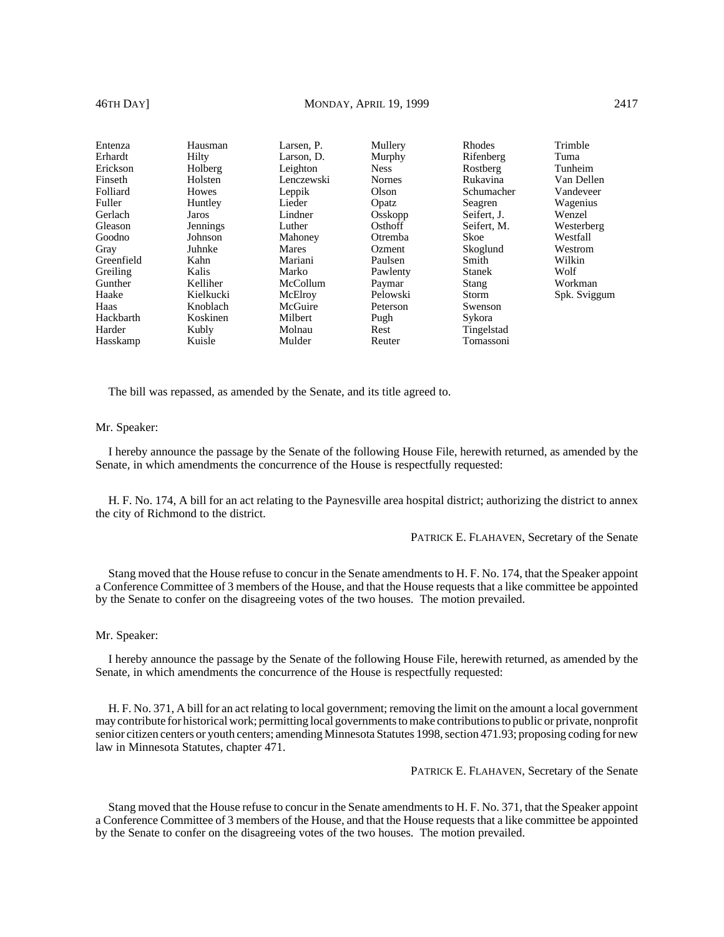# 46TH DAY] MONDAY, APRIL 19, 1999 2417

| Entenza    | Hausman      | Larsen, P. | Mullery       | <b>Rhodes</b> | Trimble      |
|------------|--------------|------------|---------------|---------------|--------------|
| Erhardt    | Hilty        | Larson, D. | Murphy        | Rifenberg     | Tuma         |
| Erickson   | Holberg      | Leighton   | <b>Ness</b>   | Rostberg      | Tunheim      |
| Finseth    | Holsten      | Lenczewski | <b>Nornes</b> | Rukavina      | Van Dellen   |
| Folliard   | <b>Howes</b> | Leppik     | Olson         | Schumacher    | Vandeveer    |
| Fuller     | Huntley      | Lieder     | Opatz         | Seagren       | Wagenius     |
| Gerlach    | Jaros        | Lindner    | Osskopp       | Seifert. J.   | Wenzel       |
| Gleason    | Jennings     | Luther     | Osthoff       | Seifert, M.   | Westerberg   |
| Goodno     | Johnson      | Mahoney    | Otremba       | Skoe          | Westfall     |
| Gray       | Juhnke       | Mares      | Ozment        | Skoglund      | Westrom      |
| Greenfield | Kahn         | Mariani    | Paulsen       | Smith         | Wilkin       |
| Greiling   | Kalis        | Marko      | Pawlenty      | <b>Stanek</b> | Wolf         |
| Gunther    | Kelliher     | McCollum   | Paymar        | Stang         | Workman      |
| Haake      | Kielkucki    | McElroy    | Pelowski      | <b>Storm</b>  | Spk. Sviggum |
| Haas       | Knoblach     | McGuire    | Peterson      | Swenson       |              |
| Hackbarth  | Koskinen     | Milbert    | Pugh          | Sykora        |              |
| Harder     | Kubly        | Molnau     | <b>Rest</b>   | Tingelstad    |              |
| Hasskamp   | Kuisle       | Mulder     | Reuter        | Tomassoni     |              |

The bill was repassed, as amended by the Senate, and its title agreed to.

### Mr. Speaker:

I hereby announce the passage by the Senate of the following House File, herewith returned, as amended by the Senate, in which amendments the concurrence of the House is respectfully requested:

H. F. No. 174, A bill for an act relating to the Paynesville area hospital district; authorizing the district to annex the city of Richmond to the district.

PATRICK E. FLAHAVEN, Secretary of the Senate

Stang moved that the House refuse to concur in the Senate amendments to H. F. No. 174, that the Speaker appoint a Conference Committee of 3 members of the House, and that the House requests that a like committee be appointed by the Senate to confer on the disagreeing votes of the two houses. The motion prevailed.

#### Mr. Speaker:

I hereby announce the passage by the Senate of the following House File, herewith returned, as amended by the Senate, in which amendments the concurrence of the House is respectfully requested:

H. F. No. 371, A bill for an act relating to local government; removing the limit on the amount a local government may contribute for historical work; permitting local governments to make contributions to public or private, nonprofit senior citizen centers or youth centers; amending Minnesota Statutes 1998, section 471.93; proposing coding for new law in Minnesota Statutes, chapter 471.

PATRICK E. FLAHAVEN, Secretary of the Senate

Stang moved that the House refuse to concur in the Senate amendments to H. F. No. 371, that the Speaker appoint a Conference Committee of 3 members of the House, and that the House requests that a like committee be appointed by the Senate to confer on the disagreeing votes of the two houses. The motion prevailed.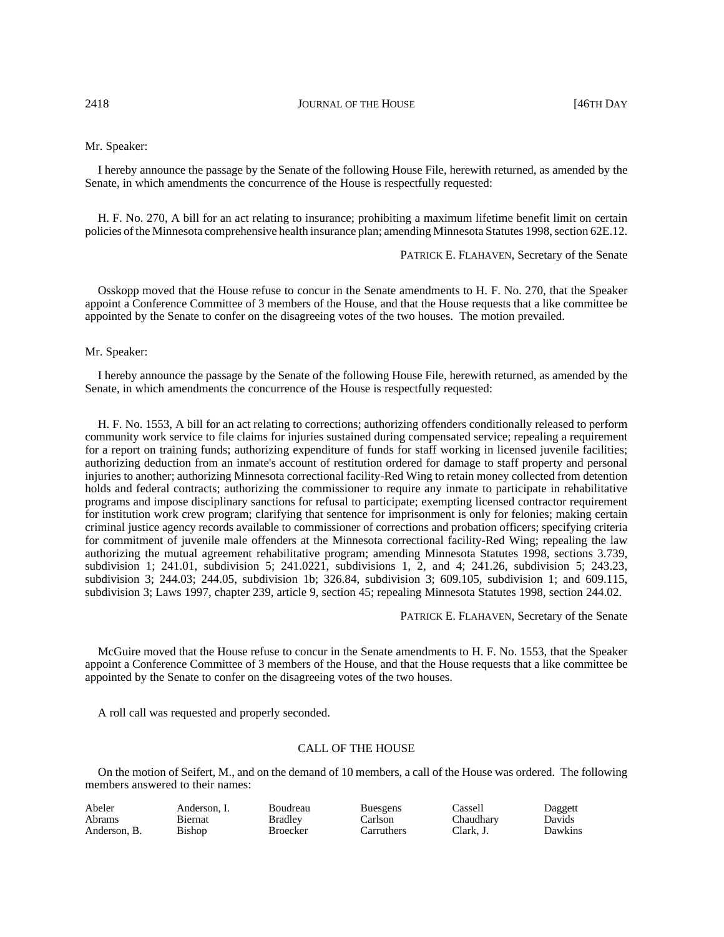2418 **JOURNAL OF THE HOUSE CONSECUTE 5 146TH DAY** 

#### Mr. Speaker:

I hereby announce the passage by the Senate of the following House File, herewith returned, as amended by the Senate, in which amendments the concurrence of the House is respectfully requested:

H. F. No. 270, A bill for an act relating to insurance; prohibiting a maximum lifetime benefit limit on certain policies of the Minnesota comprehensive health insurance plan; amending Minnesota Statutes 1998, section 62E.12.

PATRICK E. FLAHAVEN, Secretary of the Senate

Osskopp moved that the House refuse to concur in the Senate amendments to H. F. No. 270, that the Speaker appoint a Conference Committee of 3 members of the House, and that the House requests that a like committee be appointed by the Senate to confer on the disagreeing votes of the two houses. The motion prevailed.

Mr. Speaker:

I hereby announce the passage by the Senate of the following House File, herewith returned, as amended by the Senate, in which amendments the concurrence of the House is respectfully requested:

H. F. No. 1553, A bill for an act relating to corrections; authorizing offenders conditionally released to perform community work service to file claims for injuries sustained during compensated service; repealing a requirement for a report on training funds; authorizing expenditure of funds for staff working in licensed juvenile facilities; authorizing deduction from an inmate's account of restitution ordered for damage to staff property and personal injuries to another; authorizing Minnesota correctional facility-Red Wing to retain money collected from detention holds and federal contracts; authorizing the commissioner to require any inmate to participate in rehabilitative programs and impose disciplinary sanctions for refusal to participate; exempting licensed contractor requirement for institution work crew program; clarifying that sentence for imprisonment is only for felonies; making certain criminal justice agency records available to commissioner of corrections and probation officers; specifying criteria for commitment of juvenile male offenders at the Minnesota correctional facility-Red Wing; repealing the law authorizing the mutual agreement rehabilitative program; amending Minnesota Statutes 1998, sections 3.739, subdivision 1; 241.01, subdivision 5; 241.0221, subdivisions 1, 2, and 4; 241.26, subdivision 5; 243.23, subdivision 3; 244.03; 244.05, subdivision 1b; 326.84, subdivision 3; 609.105, subdivision 1; and 609.115, subdivision 3; Laws 1997, chapter 239, article 9, section 45; repealing Minnesota Statutes 1998, section 244.02.

PATRICK E. FLAHAVEN, Secretary of the Senate

McGuire moved that the House refuse to concur in the Senate amendments to H. F. No. 1553, that the Speaker appoint a Conference Committee of 3 members of the House, and that the House requests that a like committee be appointed by the Senate to confer on the disagreeing votes of the two houses.

A roll call was requested and properly seconded.

## CALL OF THE HOUSE

On the motion of Seifert, M., and on the demand of 10 members, a call of the House was ordered. The following members answered to their names:

| Abeler       | Anderson. I. | Boudreau       | <b>Buesgens</b> | ∵assell   | Daggett |
|--------------|--------------|----------------|-----------------|-----------|---------|
| Abrams       | Biernat      | <b>Bradley</b> | Carlson         | Chaudharv | Davids  |
| Anderson, B. | Bishop       | Broecker       | Carruthers      | Clark. J. | Dawkins |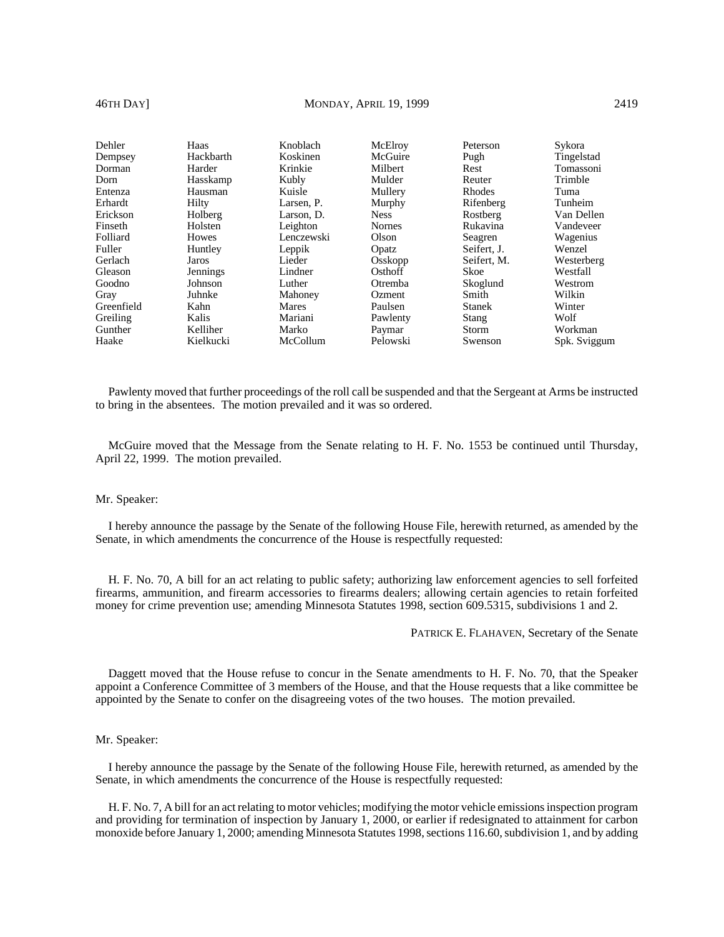# 46TH DAY] MONDAY, APRIL 19, 1999 2419

| Dehler     | Haas            | Knoblach   | McElroy       | <b>Peterson</b> | Sykora       |
|------------|-----------------|------------|---------------|-----------------|--------------|
| Dempsey    | Hackbarth       | Koskinen   | McGuire       | Pugh            | Tingelstad   |
| Dorman     | Harder          | Krinkie    | Milbert       | Rest            | Tomassoni    |
| Dorn       | Hasskamp        | Kubly      | Mulder        | Reuter          | Trimble      |
| Entenza    | Hausman         | Kuisle     | Mullery       | <b>Rhodes</b>   | Tuma         |
| Erhardt    | Hilty           | Larsen, P. | Murphy        | Rifenberg       | Tunheim      |
| Erickson   | Holberg         | Larson. D. | <b>Ness</b>   | Rostberg        | Van Dellen   |
| Finseth    | Holsten         | Leighton   | <b>Nornes</b> | Rukavina        | Vandeveer    |
| Folliard   | <b>Howes</b>    | Lenczewski | Olson         | Seagren         | Wagenius     |
| Fuller     | Huntley         | Leppik     | Opatz         | Seifert, J.     | Wenzel       |
| Gerlach    | Jaros           | Lieder     | Osskopp       | Seifert, M.     | Westerberg   |
| Gleason    | <b>Jennings</b> | Lindner    | Osthoff       | Skoe            | Westfall     |
| Goodno     | Johnson         | Luther     | Otremba       | Skoglund        | Westrom      |
| Gray       | Juhnke          | Mahoney    | <b>Ozment</b> | Smith           | Wilkin       |
| Greenfield | Kahn            | Mares      | Paulsen       | <b>Stanek</b>   | Winter       |
| Greiling   | Kalis           | Mariani    | Pawlenty      | Stang           | Wolf         |
| Gunther    | Kelliher        | Marko      | Paymar        | Storm           | Workman      |
| Haake      | Kielkucki       | McCollum   | Pelowski      | Swenson         | Spk. Sviggum |

Pawlenty moved that further proceedings of the roll call be suspended and that the Sergeant at Arms be instructed to bring in the absentees. The motion prevailed and it was so ordered.

McGuire moved that the Message from the Senate relating to H. F. No. 1553 be continued until Thursday, April 22, 1999. The motion prevailed.

#### Mr. Speaker:

I hereby announce the passage by the Senate of the following House File, herewith returned, as amended by the Senate, in which amendments the concurrence of the House is respectfully requested:

H. F. No. 70, A bill for an act relating to public safety; authorizing law enforcement agencies to sell forfeited firearms, ammunition, and firearm accessories to firearms dealers; allowing certain agencies to retain forfeited money for crime prevention use; amending Minnesota Statutes 1998, section 609.5315, subdivisions 1 and 2.

PATRICK E. FLAHAVEN, Secretary of the Senate

Daggett moved that the House refuse to concur in the Senate amendments to H. F. No. 70, that the Speaker appoint a Conference Committee of 3 members of the House, and that the House requests that a like committee be appointed by the Senate to confer on the disagreeing votes of the two houses. The motion prevailed.

### Mr. Speaker:

I hereby announce the passage by the Senate of the following House File, herewith returned, as amended by the Senate, in which amendments the concurrence of the House is respectfully requested:

H. F. No. 7, A bill for an act relating to motor vehicles; modifying the motor vehicle emissions inspection program and providing for termination of inspection by January 1, 2000, or earlier if redesignated to attainment for carbon monoxide before January 1, 2000; amending Minnesota Statutes 1998, sections 116.60, subdivision 1, and by adding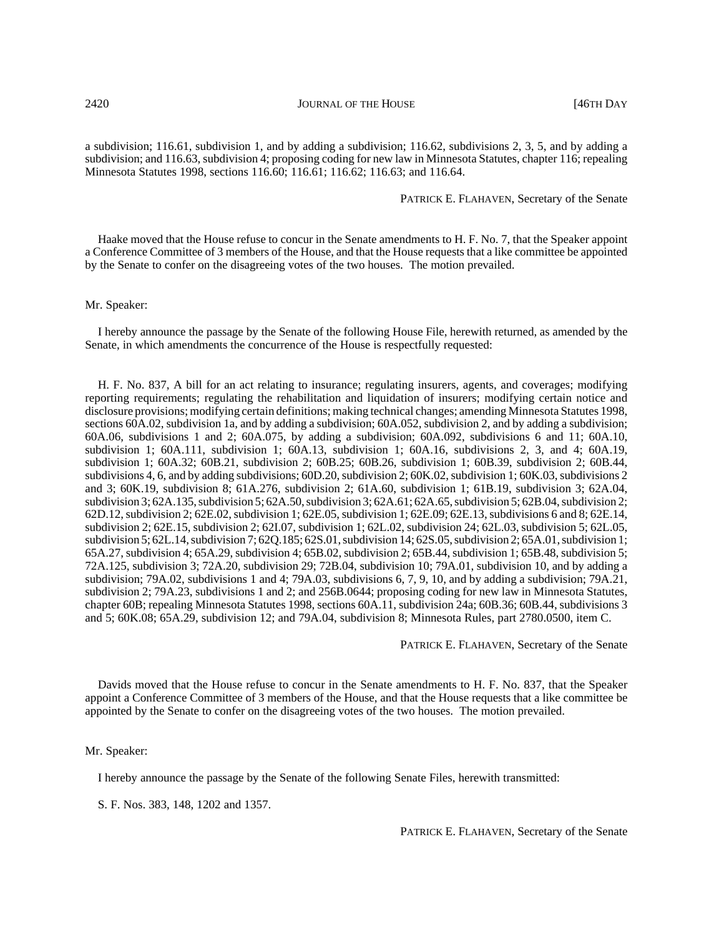a subdivision; 116.61, subdivision 1, and by adding a subdivision; 116.62, subdivisions 2, 3, 5, and by adding a subdivision; and 116.63, subdivision 4; proposing coding for new law in Minnesota Statutes, chapter 116; repealing Minnesota Statutes 1998, sections 116.60; 116.61; 116.62; 116.63; and 116.64.

PATRICK E. FLAHAVEN, Secretary of the Senate

Haake moved that the House refuse to concur in the Senate amendments to H. F. No. 7, that the Speaker appoint a Conference Committee of 3 members of the House, and that the House requests that a like committee be appointed by the Senate to confer on the disagreeing votes of the two houses. The motion prevailed.

#### Mr. Speaker:

I hereby announce the passage by the Senate of the following House File, herewith returned, as amended by the Senate, in which amendments the concurrence of the House is respectfully requested:

H. F. No. 837, A bill for an act relating to insurance; regulating insurers, agents, and coverages; modifying reporting requirements; regulating the rehabilitation and liquidation of insurers; modifying certain notice and disclosure provisions; modifying certain definitions; making technical changes; amending Minnesota Statutes 1998, sections 60A.02, subdivision 1a, and by adding a subdivision; 60A.052, subdivision 2, and by adding a subdivision; 60A.06, subdivisions 1 and 2; 60A.075, by adding a subdivision; 60A.092, subdivisions 6 and 11; 60A.10, subdivision 1; 60A.111, subdivision 1; 60A.13, subdivision 1; 60A.16, subdivisions 2, 3, and 4; 60A.19, subdivision 1; 60A.32; 60B.21, subdivision 2; 60B.25; 60B.26, subdivision 1; 60B.39, subdivision 2; 60B.44, subdivisions 4, 6, and by adding subdivisions; 60D.20, subdivision 2; 60K.02, subdivision 1; 60K.03, subdivisions 2 and 3; 60K.19, subdivision 8; 61A.276, subdivision 2; 61A.60, subdivision 1; 61B.19, subdivision 3; 62A.04, subdivision 3; 62A.135, subdivision 5; 62A.50, subdivision 3; 62A.61; 62A.65, subdivision 5; 62B.04, subdivision 2; 62D.12, subdivision 2; 62E.02, subdivision 1; 62E.05, subdivision 1; 62E.09; 62E.13, subdivisions 6 and 8; 62E.14, subdivision 2; 62E.15, subdivision 2; 62I.07, subdivision 1; 62L.02, subdivision 24; 62L.03, subdivision 5; 62L.05, subdivision 5; 62L.14, subdivision 7; 62Q.185; 62S.01, subdivision 14; 62S.05, subdivision 2; 65A.01, subdivision 1; 65A.27, subdivision 4; 65A.29, subdivision 4; 65B.02, subdivision 2; 65B.44, subdivision 1; 65B.48, subdivision 5; 72A.125, subdivision 3; 72A.20, subdivision 29; 72B.04, subdivision 10; 79A.01, subdivision 10, and by adding a subdivision; 79A.02, subdivisions 1 and 4; 79A.03, subdivisions 6, 7, 9, 10, and by adding a subdivision; 79A.21, subdivision 2; 79A.23, subdivisions 1 and 2; and 256B.0644; proposing coding for new law in Minnesota Statutes, chapter 60B; repealing Minnesota Statutes 1998, sections 60A.11, subdivision 24a; 60B.36; 60B.44, subdivisions 3 and 5; 60K.08; 65A.29, subdivision 12; and 79A.04, subdivision 8; Minnesota Rules, part 2780.0500, item C.

PATRICK E. FLAHAVEN, Secretary of the Senate

Davids moved that the House refuse to concur in the Senate amendments to H. F. No. 837, that the Speaker appoint a Conference Committee of 3 members of the House, and that the House requests that a like committee be appointed by the Senate to confer on the disagreeing votes of the two houses. The motion prevailed.

Mr. Speaker:

I hereby announce the passage by the Senate of the following Senate Files, herewith transmitted:

S. F. Nos. 383, 148, 1202 and 1357.

PATRICK E. FLAHAVEN, Secretary of the Senate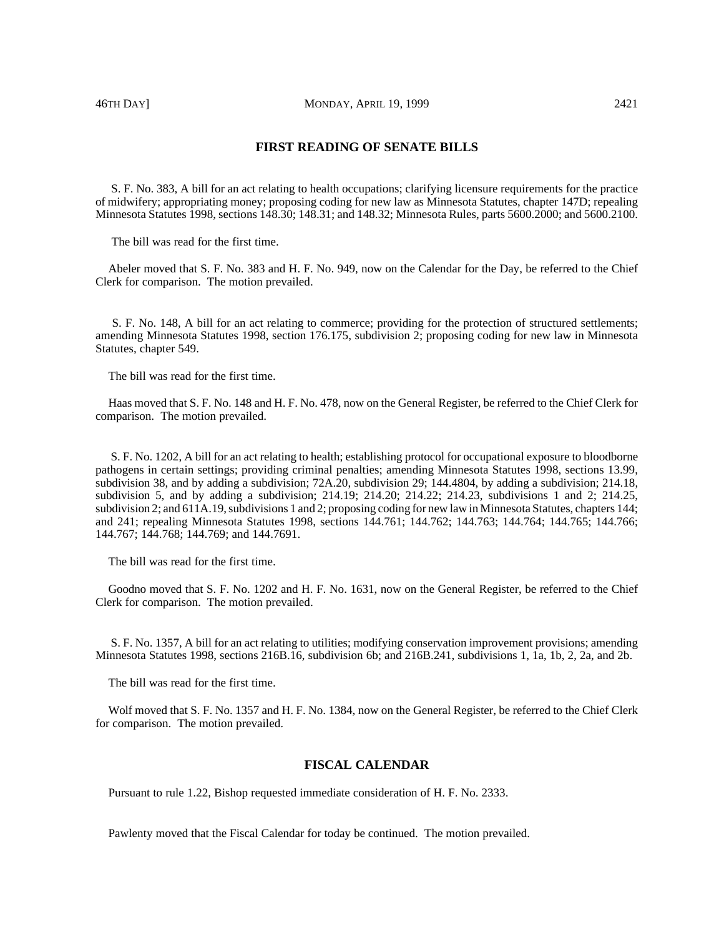S. F. No. 383, A bill for an act relating to health occupations; clarifying licensure requirements for the practice of midwifery; appropriating money; proposing coding for new law as Minnesota Statutes, chapter 147D; repealing Minnesota Statutes 1998, sections 148.30; 148.31; and 148.32; Minnesota Rules, parts 5600.2000; and 5600.2100.

The bill was read for the first time.

Abeler moved that S. F. No. 383 and H. F. No. 949, now on the Calendar for the Day, be referred to the Chief Clerk for comparison. The motion prevailed.

 S. F. No. 148, A bill for an act relating to commerce; providing for the protection of structured settlements; amending Minnesota Statutes 1998, section 176.175, subdivision 2; proposing coding for new law in Minnesota Statutes, chapter 549.

The bill was read for the first time.

Haas moved that S. F. No. 148 and H. F. No. 478, now on the General Register, be referred to the Chief Clerk for comparison. The motion prevailed.

 S. F. No. 1202, A bill for an act relating to health; establishing protocol for occupational exposure to bloodborne pathogens in certain settings; providing criminal penalties; amending Minnesota Statutes 1998, sections 13.99, subdivision 38, and by adding a subdivision; 72A.20, subdivision 29; 144.4804, by adding a subdivision; 214.18, subdivision 5, and by adding a subdivision; 214.19; 214.20; 214.22; 214.23, subdivisions 1 and 2; 214.25, subdivision 2; and 611A.19, subdivisions 1 and 2; proposing coding for new law in Minnesota Statutes, chapters 144; and 241; repealing Minnesota Statutes 1998, sections 144.761; 144.762; 144.763; 144.764; 144.765; 144.766; 144.767; 144.768; 144.769; and 144.7691.

The bill was read for the first time.

Goodno moved that S. F. No. 1202 and H. F. No. 1631, now on the General Register, be referred to the Chief Clerk for comparison. The motion prevailed.

 S. F. No. 1357, A bill for an act relating to utilities; modifying conservation improvement provisions; amending Minnesota Statutes 1998, sections 216B.16, subdivision 6b; and 216B.241, subdivisions 1, 1a, 1b, 2, 2a, and 2b.

The bill was read for the first time.

Wolf moved that S. F. No. 1357 and H. F. No. 1384, now on the General Register, be referred to the Chief Clerk for comparison. The motion prevailed.

## **FISCAL CALENDAR**

Pursuant to rule 1.22, Bishop requested immediate consideration of H. F. No. 2333.

Pawlenty moved that the Fiscal Calendar for today be continued. The motion prevailed.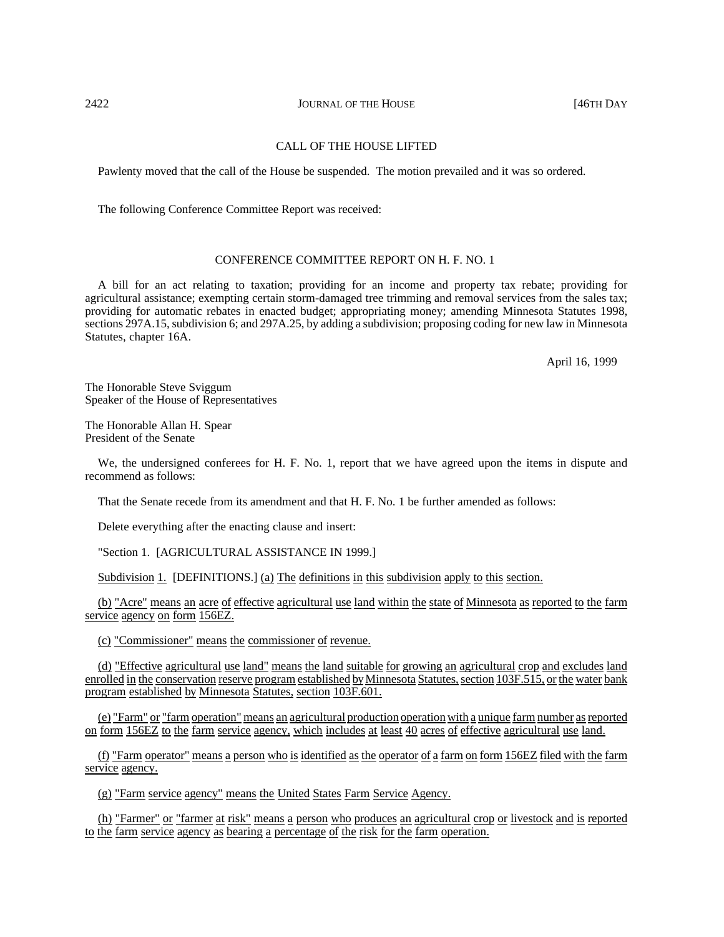## 2422 **JOURNAL OF THE HOUSE JOURNAL OF THE HOUSE 146TH DAY**

# CALL OF THE HOUSE LIFTED

Pawlenty moved that the call of the House be suspended. The motion prevailed and it was so ordered.

The following Conference Committee Report was received:

# CONFERENCE COMMITTEE REPORT ON H. F. NO. 1

A bill for an act relating to taxation; providing for an income and property tax rebate; providing for agricultural assistance; exempting certain storm-damaged tree trimming and removal services from the sales tax; providing for automatic rebates in enacted budget; appropriating money; amending Minnesota Statutes 1998, sections 297A.15, subdivision 6; and 297A.25, by adding a subdivision; proposing coding for new law in Minnesota Statutes, chapter 16A.

April 16, 1999

The Honorable Steve Sviggum Speaker of the House of Representatives

The Honorable Allan H. Spear President of the Senate

We, the undersigned conferees for H. F. No. 1, report that we have agreed upon the items in dispute and recommend as follows:

That the Senate recede from its amendment and that H. F. No. 1 be further amended as follows:

Delete everything after the enacting clause and insert:

"Section 1. [AGRICULTURAL ASSISTANCE IN 1999.]

Subdivision 1. [DEFINITIONS.] (a) The definitions in this subdivision apply to this section.

(b) "Acre" means an acre of effective agricultural use land within the state of Minnesota as reported to the farm service agency on form 156EZ.

(c) "Commissioner" means the commissioner of revenue.

(d) "Effective agricultural use land" means the land suitable for growing an agricultural crop and excludes land enrolled in the conservation reserve program established by Minnesota Statutes, section 103F.515, or the water bank program established by Minnesota Statutes, section 103F.601.

(e) "Farm" or "farm operation" means an agricultural production operationwith a unique farm number asreported on form 156EZ to the farm service agency, which includes at least 40 acres of effective agricultural use land.

(f) "Farm operator" means a person who is identified as the operator of a farm on form 156EZ filed with the farm service agency.

(g) "Farm service agency" means the United States Farm Service Agency.

(h) "Farmer" or "farmer at risk" means a person who produces an agricultural crop or livestock and is reported to the farm service agency as bearing a percentage of the risk for the farm operation.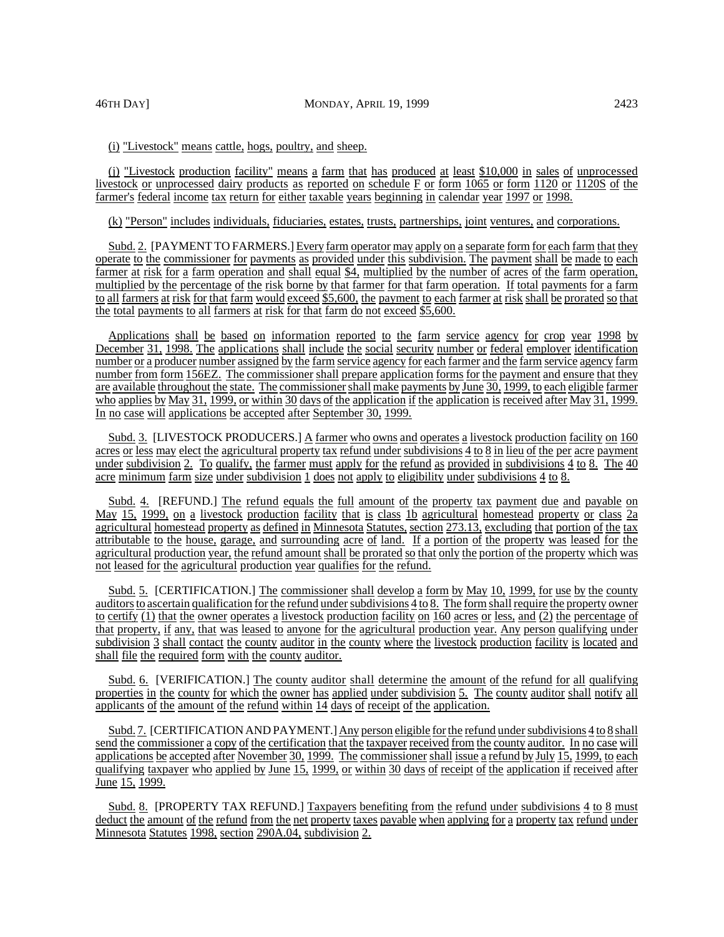(i) "Livestock" means cattle, hogs, poultry, and sheep.

(j) "Livestock production facility" means a farm that has produced at least \$10,000 in sales of unprocessed livestock or unprocessed dairy products as reported on schedule F or form 1065 or form 1120 or 1120S of the farmer's federal income tax return for either taxable years beginning in calendar year 1997 or 1998.

(k) "Person" includes individuals, fiduciaries, estates, trusts, partnerships, joint ventures, and corporations.

Subd. 2. [PAYMENT TO FARMERS.] Every farm operator may apply on a separate form for each farm that they operate to the commissioner for payments as provided under this subdivision. The payment shall be made to each farmer at risk for a farm operation and shall equal \$4, multiplied by the number of acres of the farm operation, multiplied by the percentage of the risk borne by that farmer for that farm operation. If total payments for a farm to all farmers at risk for that farm would exceed \$5,600, the payment to each farmer at risk shall be prorated so that the total payments to all farmers at risk for that farm do not exceed \$5,600.

Applications shall be based on information reported to the farm service agency for crop year 1998 by December 31, 1998. The applications shall include the social security number or federal employer identification number or a producer number assigned by the farm service agency for each farmer and the farm service agency farm number from form 156EZ. The commissioner shall prepare application forms for the payment and ensure that they are available throughout the state. The commissionershall make payments by June 30, 1999, to each eligible farmer who applies by May 31, 1999, or within 30 days of the application if the application is received after May 31, 1999. In no case will applications be accepted after September 30, 1999.

Subd. 3. [LIVESTOCK PRODUCERS.] A farmer who owns and operates a livestock production facility on 160 acres or less may elect the agricultural property tax refund under subdivisions 4 to 8 in lieu of the per acre payment under subdivision 2. To qualify, the farmer must apply for the refund as provided in subdivisions 4 to 8. The 40 acre minimum farm size under subdivision 1 does not apply to eligibility under subdivisions 4 to 8.

Subd. 4. [REFUND.] The refund equals the full amount of the property tax payment due and payable on May 15, 1999, on a livestock production facility that is class 1b agricultural homestead property or class 2a agricultural homestead property as defined in Minnesota Statutes, section 273.13, excluding that portion of the tax attributable to the house, garage, and surrounding acre of land. If a portion of the property was leased for the agricultural production year, the refund amount shall be prorated so that only the portion of the property which was not leased for the agricultural production year qualifies for the refund.

Subd. 5. [CERTIFICATION.] The commissioner shall develop a form by May 10, 1999, for use by the county auditors to ascertain qualification for the refund under subdivisions 4 to 8. The form shall require the property owner to certify (1) that the owner operates a livestock production facility on 160 acres or less, and (2) the percentage of that property, if any, that was leased to anyone for the agricultural production year. Any person qualifying under subdivision 3 shall contact the county auditor in the county where the livestock production facility is located and shall file the required form with the county auditor.

Subd. 6. [VERIFICATION.] The county auditor shall determine the amount of the refund for all qualifying properties in the county for which the owner has applied under subdivision 5. The county auditor shall notify all applicants of the amount of the refund within 14 days of receipt of the application.

Subd. 7. [CERTIFICATION AND PAYMENT.] Any person eligible for the refund under subdivisions 4 to 8 shall send the commissioner a copy of the certification that the taxpayer received from the county auditor. In no case will applications be accepted after November 30, 1999. The commissioner shall issue a refund by July 15, 1999, to each qualifying taxpayer who applied by June 15, 1999, or within 30 days of receipt of the application if received after June 15, 1999.

Subd. 8. [PROPERTY TAX REFUND.] Taxpayers benefiting from the refund under subdivisions 4 to 8 must deduct the amount of the refund from the net property taxes payable when applying for a property tax refund under Minnesota Statutes 1998, section 290A.04, subdivision 2.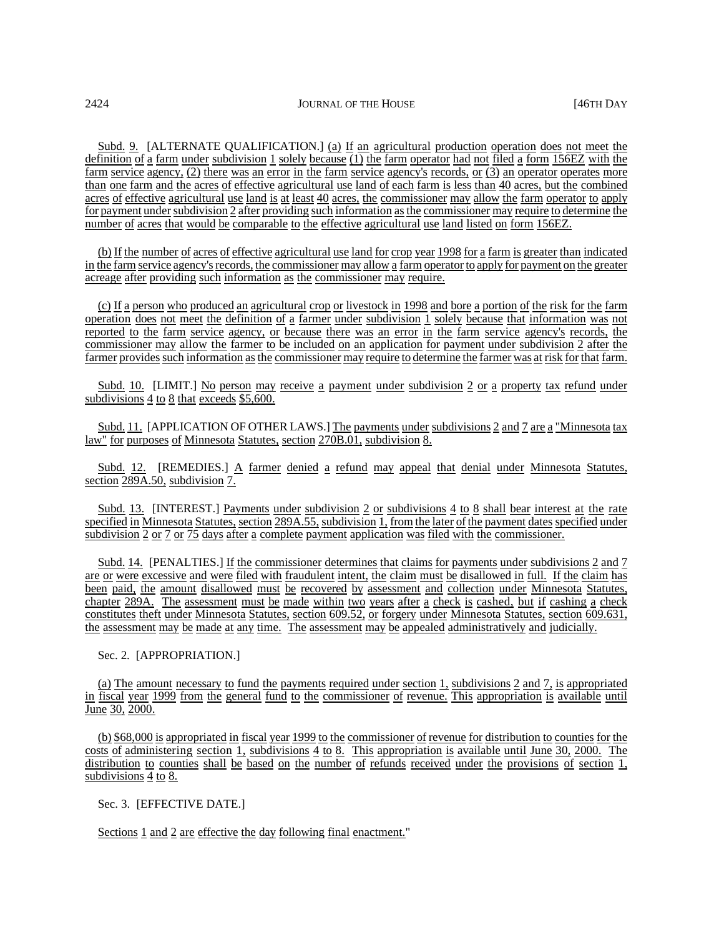Subd. 9. [ALTERNATE QUALIFICATION.] (a) If an agricultural production operation does not meet the definition of a farm under subdivision 1 solely because (1) the farm operator had not filed a form 156EZ with the farm service agency, (2) there was an error in the farm service agency's records, or (3) an operator operates more than one farm and the acres of effective agricultural use land of each farm is less than 40 acres, but the combined acres of effective agricultural use land is at least 40 acres, the commissioner may allow the farm operator to apply for payment under subdivision 2 after providing such information asthe commissioner may require to determine the number of acres that would be comparable to the effective agricultural use land listed on form 156EZ.

(b) If the number of acres of effective agricultural use land for crop year 1998 for a farm is greater than indicated in the farm service agency's records, the commissioner may allow a farm operator to apply for payment on the greater acreage after providing such information as the commissioner may require.

(c) If a person who produced an agricultural crop or livestock in 1998 and bore a portion of the risk for the farm operation does not meet the definition of a farmer under subdivision 1 solely because that information was not reported to the farm service agency, or because there was an error in the farm service agency's records, the commissioner may allow the farmer to be included on an application for payment under subdivision 2 after the farmer provides such information as the commissioner may require to determine the farmer was at risk for that farm.

Subd. 10. [LIMIT.] No person may receive a payment under subdivision 2 or a property tax refund under subdivisions 4 to 8 that exceeds \$5,600.

Subd. 11. [APPLICATION OF OTHER LAWS.] The payments under subdivisions 2 and 7 are a "Minnesota tax law" for purposes of Minnesota Statutes, section 270B.01, subdivision 8.

Subd. 12. [REMEDIES.] A farmer denied a refund may appeal that denial under Minnesota Statutes, section 289A.50, subdivision 7.

Subd. 13. [INTEREST.] Payments under subdivision 2 or subdivisions 4 to 8 shall bear interest at the rate specified in Minnesota Statutes, section 289A.55, subdivision 1, from the later of the payment dates specified under subdivision 2 or 7 or 75 days after a complete payment application was filed with the commissioner.

Subd. 14. [PENALTIES.] If the commissioner determines that claims for payments under subdivisions 2 and 7 are or were excessive and were filed with fraudulent intent, the claim must be disallowed in full. If the claim has been paid, the amount disallowed must be recovered by assessment and collection under Minnesota Statutes, chapter 289A. The assessment must be made within two years after a check is cashed, but if cashing a check constitutes theft under Minnesota Statutes, section 609.52, or forgery under Minnesota Statutes, section 609.631, the assessment may be made at any time. The assessment may be appealed administratively and judicially.

### Sec. 2. [APPROPRIATION.]

(a) The amount necessary to fund the payments required under section 1, subdivisions 2 and 7, is appropriated in fiscal year 1999 from the general fund to the commissioner of revenue. This appropriation is available until June 30, 2000.

(b) \$68,000 is appropriated in fiscal year 1999 to the commissioner of revenue for distribution to counties for the costs of administering section 1, subdivisions 4 to 8. This appropriation is available until June 30, 2000. The distribution to counties shall be based on the number of refunds received under the provisions of section 1, subdivisions 4 to 8.

# Sec. 3. [EFFECTIVE DATE.]

Sections 1 and 2 are effective the day following final enactment."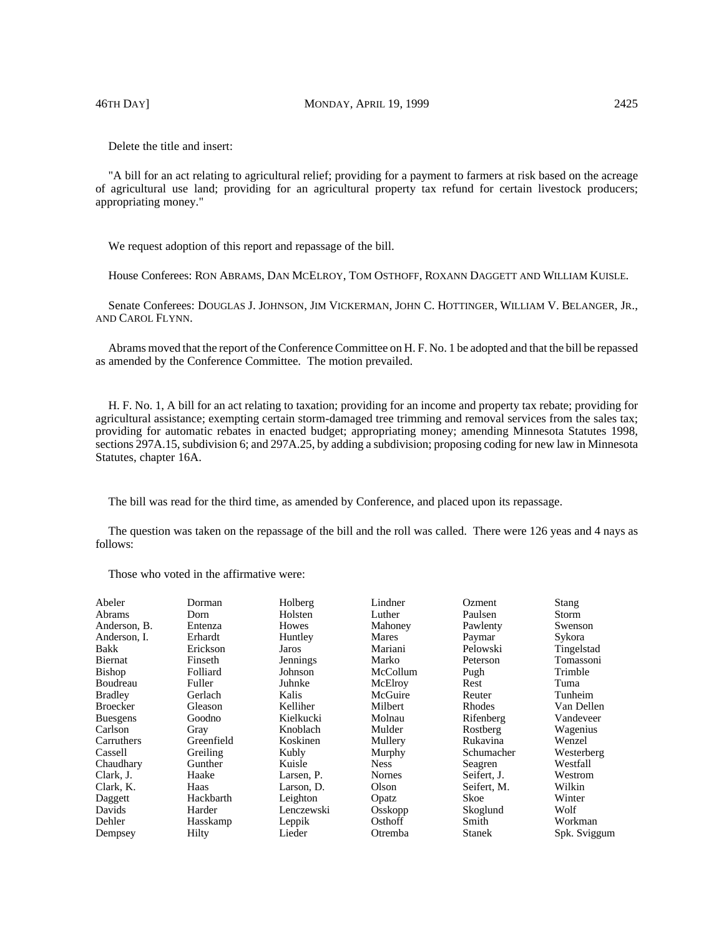46TH DAY] MONDAY, APRIL 19, 1999 2425

Delete the title and insert:

"A bill for an act relating to agricultural relief; providing for a payment to farmers at risk based on the acreage of agricultural use land; providing for an agricultural property tax refund for certain livestock producers; appropriating money."

We request adoption of this report and repassage of the bill.

House Conferees: RON ABRAMS, DAN MCELROY, TOM OSTHOFF, ROXANN DAGGETT AND WILLIAM KUISLE.

Senate Conferees: DOUGLAS J. JOHNSON, JIM VICKERMAN, JOHN C. HOTTINGER, WILLIAM V. BELANGER, JR., AND CAROL FLYNN.

Abrams moved that the report of the Conference Committee on H. F. No. 1 be adopted and that the bill be repassed as amended by the Conference Committee. The motion prevailed.

H. F. No. 1, A bill for an act relating to taxation; providing for an income and property tax rebate; providing for agricultural assistance; exempting certain storm-damaged tree trimming and removal services from the sales tax; providing for automatic rebates in enacted budget; appropriating money; amending Minnesota Statutes 1998, sections 297A.15, subdivision 6; and 297A.25, by adding a subdivision; proposing coding for new law in Minnesota Statutes, chapter 16A.

The bill was read for the third time, as amended by Conference, and placed upon its repassage.

The question was taken on the repassage of the bill and the roll was called. There were 126 yeas and 4 nays as follows:

| Abeler          | Dorman     | Holberg    | Lindner     | Ozment        | Stang        |
|-----------------|------------|------------|-------------|---------------|--------------|
| Abrams          | Dorn       | Holsten    | Luther      | Paulsen       | Storm        |
| Anderson, B.    | Entenza    | Howes      | Mahoney     | Pawlenty      | Swenson      |
| Anderson, I.    | Erhardt    | Huntley    | Mares       | Paymar        | Sykora       |
| Bakk            | Erickson   | Jaros      | Mariani     | Pelowski      | Tingelstad   |
| Biernat         | Finseth    | Jennings   | Marko       | Peterson      | Tomassoni    |
| <b>Bishop</b>   | Folliard   | Johnson    | McCollum    | Pugh          | Trimble      |
| Boudreau        | Fuller     | Juhnke     | McElroy     | Rest          | Tuma         |
| <b>Bradley</b>  | Gerlach    | Kalis      | McGuire     | Reuter        | Tunheim      |
| <b>Broecker</b> | Gleason    | Kelliher   | Milbert     | Rhodes        | Van Dellen   |
| <b>Buesgens</b> | Goodno     | Kielkucki  | Molnau      | Rifenberg     | Vandeveer    |
| Carlson         | Gray       | Knoblach   | Mulder      | Rostberg      | Wagenius     |
| Carruthers      | Greenfield | Koskinen   | Mullery     | Rukavina      | Wenzel       |
| Cassell         | Greiling   | Kubly      | Murphy      | Schumacher    | Westerberg   |
| Chaudhary       | Gunther    | Kuisle     | <b>Ness</b> | Seagren       | Westfall     |
| Clark, J.       | Haake      | Larsen, P. | Nornes      | Seifert, J.   | Westrom      |
| Clark, K.       | Haas       | Larson, D. | Olson       | Seifert, M.   | Wilkin       |
| Daggett         | Hackbarth  | Leighton   | Opatz       | Skoe          | Winter       |
| Davids          | Harder     | Lenczewski | Osskopp     | Skoglund      | Wolf         |
| Dehler          | Hasskamp   | Leppik     | Osthoff     | Smith         | Workman      |
| Dempsey         | Hilty      | Lieder     | Otremba     | <b>Stanek</b> | Spk. Sviggum |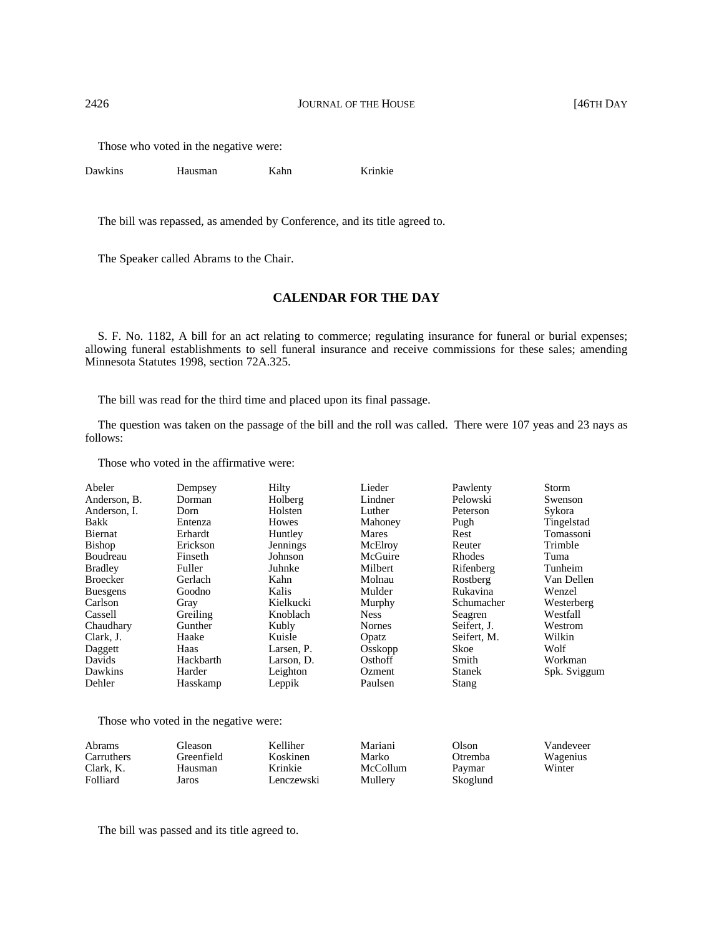Those who voted in the negative were:

Dawkins Hausman Kahn Krinkie

The bill was repassed, as amended by Conference, and its title agreed to.

The Speaker called Abrams to the Chair.

# **CALENDAR FOR THE DAY**

S. F. No. 1182, A bill for an act relating to commerce; regulating insurance for funeral or burial expenses; allowing funeral establishments to sell funeral insurance and receive commissions for these sales; amending Minnesota Statutes 1998, section 72A.325.

The bill was read for the third time and placed upon its final passage.

The question was taken on the passage of the bill and the roll was called. There were 107 yeas and 23 nays as follows:

Those who voted in the affirmative were:

| Abeler          | Dempsey   | Hilty           | Lieder        | Pawlenty      | Storm        |
|-----------------|-----------|-----------------|---------------|---------------|--------------|
| Anderson, B.    | Dorman    | Holberg         | Lindner       | Pelowski      | Swenson      |
| Anderson. I.    | Dorn      | Holsten         | Luther        | Peterson      | Sykora       |
| Bakk            | Entenza   | Howes           | Mahoney       | Pugh          | Tingelstad   |
| Biernat         | Erhardt   | Huntley         | <b>Mares</b>  | Rest          | Tomassoni    |
| <b>Bishop</b>   | Erickson  | <b>Jennings</b> | McElroy       | Reuter        | Trimble      |
| Boudreau        | Finseth   | Johnson         | McGuire       | <b>Rhodes</b> | Tuma         |
| <b>Bradley</b>  | Fuller    | Juhnke          | Milbert       | Rifenberg     | Tunheim      |
| <b>Broecker</b> | Gerlach   | Kahn            | Molnau        | Rostberg      | Van Dellen   |
| <b>Buesgens</b> | Goodno    | Kalis           | Mulder        | Rukavina      | Wenzel       |
| Carlson         | Gray      | Kielkucki       | Murphy        | Schumacher    | Westerberg   |
| Cassell         | Greiling  | Knoblach        | <b>Ness</b>   | Seagren       | Westfall     |
| Chaudhary       | Gunther   | Kubly           | <b>Nornes</b> | Seifert, J.   | Westrom      |
| Clark, J.       | Haake     | Kuisle          | Opatz         | Seifert, M.   | Wilkin       |
| Daggett         | Haas      | Larsen, P.      | Osskopp       | Skoe          | Wolf         |
| Davids          | Hackbarth | Larson, D.      | Osthoff       | Smith         | Workman      |
| Dawkins         | Harder    | Leighton        | Ozment        | <b>Stanek</b> | Spk. Sviggum |
| Dehler          | Hasskamp  | Leppik          | Paulsen       | Stang         |              |

Those who voted in the negative were:

| Abrams     | Gleason    | Kelliher   | Mariani  | Olson    | Vandeveer |
|------------|------------|------------|----------|----------|-----------|
| Carruthers | Greenfield | Koskinen   | Marko    | Otremba  | Wagenius  |
| Clark, K.  | Hausman    | Krinkie    | McCollum | Paymar   | Winter    |
| Folliard   | Jaros      | Lenczewski | Mullery  | Skoglund |           |

The bill was passed and its title agreed to.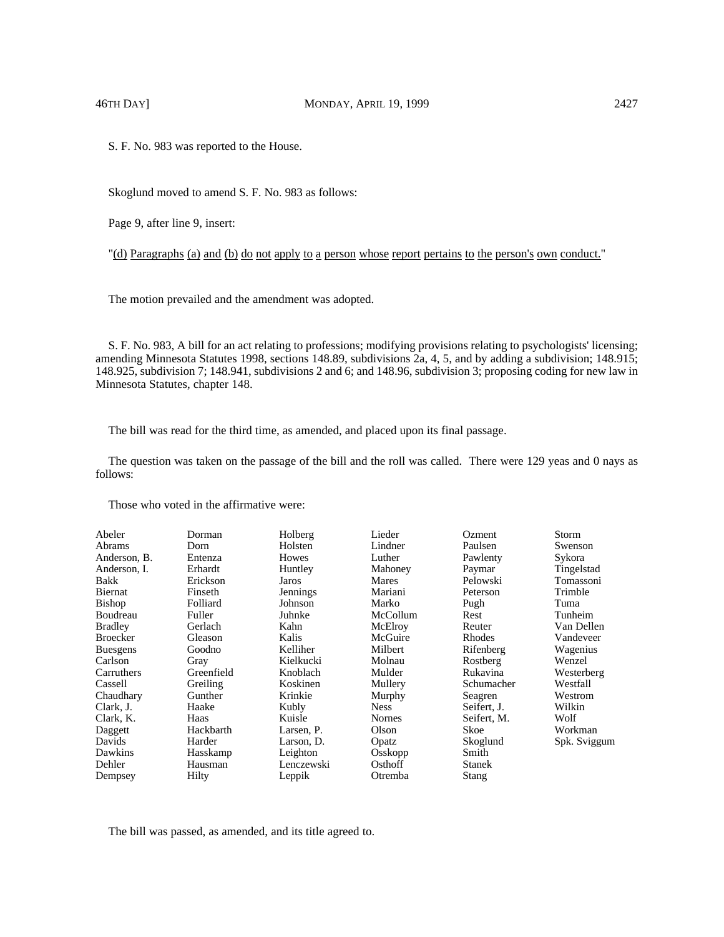S. F. No. 983 was reported to the House.

Skoglund moved to amend S. F. No. 983 as follows:

Page 9, after line 9, insert:

"(d) Paragraphs (a) and (b) do not apply to a person whose report pertains to the person's own conduct."

The motion prevailed and the amendment was adopted.

S. F. No. 983, A bill for an act relating to professions; modifying provisions relating to psychologists' licensing; amending Minnesota Statutes 1998, sections 148.89, subdivisions 2a, 4, 5, and by adding a subdivision; 148.915; 148.925, subdivision 7; 148.941, subdivisions 2 and 6; and 148.96, subdivision 3; proposing coding for new law in Minnesota Statutes, chapter 148.

The bill was read for the third time, as amended, and placed upon its final passage.

The question was taken on the passage of the bill and the roll was called. There were 129 yeas and 0 nays as follows:

Those who voted in the affirmative were:

| Abeler<br>Abrams<br>Anderson, B.<br>Anderson, I.<br><b>Bakk</b><br>Biernat<br><b>Bishop</b><br>Boudreau<br><b>Bradley</b><br><b>Broecker</b><br><b>Buesgens</b><br>Carlson<br>Carruthers<br>Cassell<br>Chaudhary<br>Clark, J.<br>Clark. K.<br>Daggett<br>Davids<br>Dawkins<br>Dehler | Dorman<br>Dorn<br>Entenza<br>Erhardt<br>Erickson<br>Finseth<br>Folliard<br>Fuller<br>Gerlach<br>Gleason<br>Goodno<br>Gray<br>Greenfield<br>Greiling<br>Gunther<br>Haake<br>Haas<br>Hackbarth<br>Harder<br>Hasskamp<br>Hausman | Holberg<br>Holsten<br>Howes<br>Huntley<br>Jaros<br>Jennings<br>Johnson<br>Juhnke<br>Kahn<br>Kalis<br>Kelliher<br>Kielkucki<br>Knoblach<br>Koskinen<br>Krinkie<br>Kubly<br>Kuisle<br>Larsen, P.<br>Larson, D.<br>Leighton<br>Lenczewski | Lieder<br>Lindner<br>Luther<br>Mahoney<br>Mares<br>Mariani<br>Marko<br>McCollum<br>McElroy<br>McGuire<br>Milbert<br>Molnau<br>Mulder<br>Mullery<br>Murphy<br><b>Ness</b><br>Nornes<br>Olson<br>Opatz<br>Osskopp<br>Osthoff | Ozment<br>Paulsen<br>Pawlenty<br>Paymar<br>Pelowski<br>Peterson<br>Pugh<br>Rest<br>Reuter<br>Rhodes<br>Rifenberg<br>Rostberg<br>Rukavina<br>Schumacher<br>Seagren<br>Seifert, J.<br>Seifert. M.<br>Skoe<br>Skoglund<br>Smith<br><b>Stanek</b> | Storm<br>Swenson<br>Sykora<br>Tingelstad<br>Tomassoni<br>Trimble<br>Tuma<br>Tunheim<br>Van Dellen<br>Vandeveer<br>Wagenius<br>Wenzel<br>Westerberg<br>Westfall<br>Westrom<br>Wilkin<br>Wolf<br>Workman<br>Spk. Sviggum |
|--------------------------------------------------------------------------------------------------------------------------------------------------------------------------------------------------------------------------------------------------------------------------------------|-------------------------------------------------------------------------------------------------------------------------------------------------------------------------------------------------------------------------------|----------------------------------------------------------------------------------------------------------------------------------------------------------------------------------------------------------------------------------------|----------------------------------------------------------------------------------------------------------------------------------------------------------------------------------------------------------------------------|-----------------------------------------------------------------------------------------------------------------------------------------------------------------------------------------------------------------------------------------------|------------------------------------------------------------------------------------------------------------------------------------------------------------------------------------------------------------------------|
| Dempsey                                                                                                                                                                                                                                                                              | Hilty                                                                                                                                                                                                                         | Leppik                                                                                                                                                                                                                                 | Otremba                                                                                                                                                                                                                    | <b>Stang</b>                                                                                                                                                                                                                                  |                                                                                                                                                                                                                        |

The bill was passed, as amended, and its title agreed to.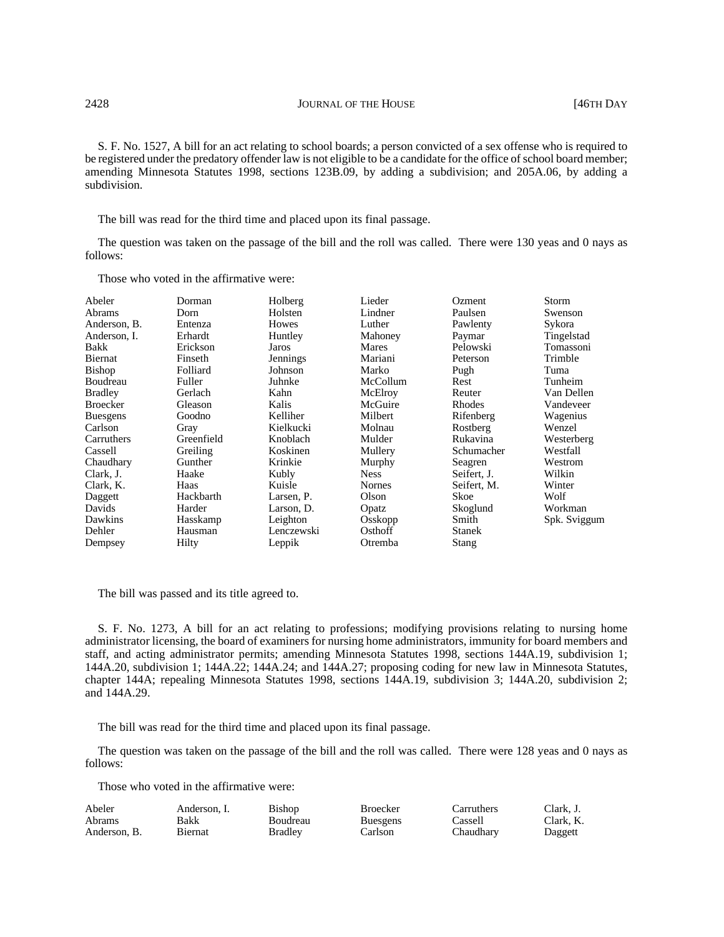S. F. No. 1527, A bill for an act relating to school boards; a person convicted of a sex offense who is required to be registered under the predatory offender law is not eligible to be a candidate for the office of school board member; amending Minnesota Statutes 1998, sections 123B.09, by adding a subdivision; and 205A.06, by adding a subdivision.

The bill was read for the third time and placed upon its final passage.

The question was taken on the passage of the bill and the roll was called. There were 130 yeas and 0 nays as follows:

Those who voted in the affirmative were:

| Abeler          | Dorman     | Holberg    | Lieder        | Ozment        | Storm        |
|-----------------|------------|------------|---------------|---------------|--------------|
| Abrams          | Dorn       | Holsten    | Lindner       | Paulsen       | Swenson      |
| Anderson, B.    | Entenza    | Howes      | Luther        | Pawlenty      | Sykora       |
| Anderson, I.    | Erhardt    | Huntley    | Mahoney       | Paymar        | Tingelstad   |
| Bakk            | Erickson   | Jaros      | Mares         | Pelowski      | Tomassoni    |
| Biernat         | Finseth    | Jennings   | Mariani       | Peterson      | Trimble      |
| <b>Bishop</b>   | Folliard   | Johnson    | Marko         | Pugh          | Tuma         |
| Boudreau        | Fuller     | Juhnke     | McCollum      | Rest          | Tunheim      |
| <b>Bradley</b>  | Gerlach    | Kahn       | McElroy       | Reuter        | Van Dellen   |
| <b>Broecker</b> | Gleason    | Kalis      | McGuire       | Rhodes        | Vandeveer    |
| <b>Buesgens</b> | Goodno     | Kelliher   | Milbert       | Rifenberg     | Wagenius     |
| Carlson         | Gray       | Kielkucki  | Molnau        | Rostberg      | Wenzel       |
| Carruthers      | Greenfield | Knoblach   | Mulder        | Rukavina      | Westerberg   |
| Cassell         | Greiling   | Koskinen   | Mullery       | Schumacher    | Westfall     |
| Chaudhary       | Gunther    | Krinkie    | Murphy        | Seagren       | Westrom      |
| Clark, J.       | Haake      | Kubly      | <b>Ness</b>   | Seifert, J.   | Wilkin       |
| Clark, K.       | Haas       | Kuisle     | <b>Nornes</b> | Seifert, M.   | Winter       |
| Daggett         | Hackbarth  | Larsen, P. | Olson         | Skoe          | Wolf         |
| Davids          | Harder     | Larson, D. | Opatz         | Skoglund      | Workman      |
| Dawkins         | Hasskamp   | Leighton   | Osskopp       | Smith         | Spk. Sviggum |
| Dehler          | Hausman    | Lenczewski | Osthoff       | <b>Stanek</b> |              |
| Dempsey         | Hilty      | Leppik     | Otremba       | Stang         |              |

The bill was passed and its title agreed to.

S. F. No. 1273, A bill for an act relating to professions; modifying provisions relating to nursing home administrator licensing, the board of examiners for nursing home administrators, immunity for board members and staff, and acting administrator permits; amending Minnesota Statutes 1998, sections 144A.19, subdivision 1; 144A.20, subdivision 1; 144A.22; 144A.24; and 144A.27; proposing coding for new law in Minnesota Statutes, chapter 144A; repealing Minnesota Statutes 1998, sections 144A.19, subdivision 3; 144A.20, subdivision 2; and 144A.29.

The bill was read for the third time and placed upon its final passage.

The question was taken on the passage of the bill and the roll was called. There were 128 yeas and 0 nays as follows:

| Abeler       | Anderson. I. | Bishop   | <b>Broecker</b> | Carruthers | Clark. J. |
|--------------|--------------|----------|-----------------|------------|-----------|
| Abrams       | Bakk         | Boudreau | <b>Buesgens</b> | Cassell    | Clark, K. |
| Anderson, B. | Biernat      | Bradlev  | Carlson         | Chaudharv  | Daggett   |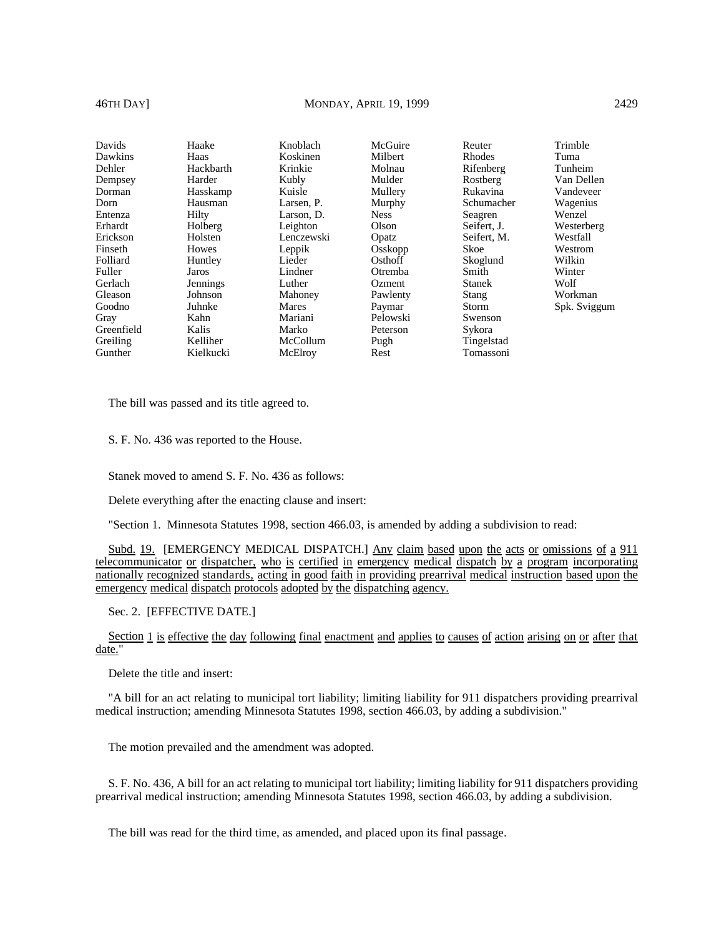# 46TH DAY] MONDAY, APRIL 19, 1999 2429

| Davids<br>Trimble<br>McGuire<br>Haake<br>Knoblach<br>Reuter<br>Koskinen<br>Milbert<br>Dawkins<br>Haas<br><b>Rhodes</b><br>Tuma<br>Krinkie<br>Dehler<br>Hackbarth<br>Molnau<br>Rifenberg<br>Tunheim<br>Mulder<br>Van Dellen<br>Harder<br>Kubly<br>Rostberg<br>Dempsey<br>Rukavina<br>Kuisle<br>Mullery<br>Vandeveer<br>Dorman<br>Hasskamp<br>Dorn<br>Hausman<br>Larsen, P.<br>Murphy<br>Schumacher<br>Wagenius<br>Hilty<br>Entenza<br><b>Ness</b><br>Wenzel<br>Larson, D.<br>Seagren<br>Olson<br>Erhardt<br>Leighton<br>Holberg<br>Seifert, J.<br>Westerberg<br>Erickson<br>Holsten<br>Westfall<br>Lenczewski<br>Seifert, M.<br>Opatz<br>Skoe<br>Finseth<br>Howes<br>Leppik<br>Osskopp<br>Westrom<br>Osthoff<br>Wilkin<br>Folliard<br>Lieder<br>Skoglund<br>Huntley<br>Fuller<br>Winter<br>Lindner<br>Smith<br>Otremba<br>Jaros<br>Gerlach<br>Wolf<br>Luther<br><b>Stanek</b><br>Jennings<br>Ozment<br>Workman<br>Johnson<br>Gleason<br>Mahoney<br>Pawlenty<br>Stang<br>Juhnke<br>Goodno<br>Mares<br>Storm<br>Paymar<br>Pelowski<br>Kahn<br>Mariani<br>Swenson<br>Gray<br>Greenfield<br>Kalis<br>Marko<br>Sykora<br>Peterson<br>Greiling<br>Kelliher<br>Tingelstad<br>McCollum<br>Pugh |         |           |         |      |           |              |
|---------------------------------------------------------------------------------------------------------------------------------------------------------------------------------------------------------------------------------------------------------------------------------------------------------------------------------------------------------------------------------------------------------------------------------------------------------------------------------------------------------------------------------------------------------------------------------------------------------------------------------------------------------------------------------------------------------------------------------------------------------------------------------------------------------------------------------------------------------------------------------------------------------------------------------------------------------------------------------------------------------------------------------------------------------------------------------------------------------------------------------------------------------------------------------------|---------|-----------|---------|------|-----------|--------------|
|                                                                                                                                                                                                                                                                                                                                                                                                                                                                                                                                                                                                                                                                                                                                                                                                                                                                                                                                                                                                                                                                                                                                                                                       |         |           |         |      |           |              |
|                                                                                                                                                                                                                                                                                                                                                                                                                                                                                                                                                                                                                                                                                                                                                                                                                                                                                                                                                                                                                                                                                                                                                                                       |         |           |         |      |           |              |
|                                                                                                                                                                                                                                                                                                                                                                                                                                                                                                                                                                                                                                                                                                                                                                                                                                                                                                                                                                                                                                                                                                                                                                                       |         |           |         |      |           |              |
|                                                                                                                                                                                                                                                                                                                                                                                                                                                                                                                                                                                                                                                                                                                                                                                                                                                                                                                                                                                                                                                                                                                                                                                       |         |           |         |      |           |              |
|                                                                                                                                                                                                                                                                                                                                                                                                                                                                                                                                                                                                                                                                                                                                                                                                                                                                                                                                                                                                                                                                                                                                                                                       |         |           |         |      |           |              |
|                                                                                                                                                                                                                                                                                                                                                                                                                                                                                                                                                                                                                                                                                                                                                                                                                                                                                                                                                                                                                                                                                                                                                                                       |         |           |         |      |           |              |
|                                                                                                                                                                                                                                                                                                                                                                                                                                                                                                                                                                                                                                                                                                                                                                                                                                                                                                                                                                                                                                                                                                                                                                                       |         |           |         |      |           |              |
|                                                                                                                                                                                                                                                                                                                                                                                                                                                                                                                                                                                                                                                                                                                                                                                                                                                                                                                                                                                                                                                                                                                                                                                       |         |           |         |      |           |              |
|                                                                                                                                                                                                                                                                                                                                                                                                                                                                                                                                                                                                                                                                                                                                                                                                                                                                                                                                                                                                                                                                                                                                                                                       |         |           |         |      |           |              |
|                                                                                                                                                                                                                                                                                                                                                                                                                                                                                                                                                                                                                                                                                                                                                                                                                                                                                                                                                                                                                                                                                                                                                                                       |         |           |         |      |           |              |
|                                                                                                                                                                                                                                                                                                                                                                                                                                                                                                                                                                                                                                                                                                                                                                                                                                                                                                                                                                                                                                                                                                                                                                                       |         |           |         |      |           |              |
|                                                                                                                                                                                                                                                                                                                                                                                                                                                                                                                                                                                                                                                                                                                                                                                                                                                                                                                                                                                                                                                                                                                                                                                       |         |           |         |      |           |              |
|                                                                                                                                                                                                                                                                                                                                                                                                                                                                                                                                                                                                                                                                                                                                                                                                                                                                                                                                                                                                                                                                                                                                                                                       |         |           |         |      |           |              |
|                                                                                                                                                                                                                                                                                                                                                                                                                                                                                                                                                                                                                                                                                                                                                                                                                                                                                                                                                                                                                                                                                                                                                                                       |         |           |         |      |           |              |
|                                                                                                                                                                                                                                                                                                                                                                                                                                                                                                                                                                                                                                                                                                                                                                                                                                                                                                                                                                                                                                                                                                                                                                                       |         |           |         |      |           | Spk. Sviggum |
|                                                                                                                                                                                                                                                                                                                                                                                                                                                                                                                                                                                                                                                                                                                                                                                                                                                                                                                                                                                                                                                                                                                                                                                       |         |           |         |      |           |              |
|                                                                                                                                                                                                                                                                                                                                                                                                                                                                                                                                                                                                                                                                                                                                                                                                                                                                                                                                                                                                                                                                                                                                                                                       |         |           |         |      |           |              |
|                                                                                                                                                                                                                                                                                                                                                                                                                                                                                                                                                                                                                                                                                                                                                                                                                                                                                                                                                                                                                                                                                                                                                                                       |         |           |         |      |           |              |
|                                                                                                                                                                                                                                                                                                                                                                                                                                                                                                                                                                                                                                                                                                                                                                                                                                                                                                                                                                                                                                                                                                                                                                                       | Gunther | Kielkucki | McElroy | Rest | Tomassoni |              |

The bill was passed and its title agreed to.

S. F. No. 436 was reported to the House.

Stanek moved to amend S. F. No. 436 as follows:

Delete everything after the enacting clause and insert:

"Section 1. Minnesota Statutes 1998, section 466.03, is amended by adding a subdivision to read:

Subd. 19. [EMERGENCY MEDICAL DISPATCH.] Any claim based upon the acts or omissions of a 911 telecommunicator or dispatcher, who is certified in emergency medical dispatch by a program incorporating nationally recognized standards, acting in good faith in providing prearrival medical instruction based upon the emergency medical dispatch protocols adopted by the dispatching agency.

Sec. 2. [EFFECTIVE DATE.]

Section 1 is effective the day following final enactment and applies to causes of action arising on or after that date."

Delete the title and insert:

"A bill for an act relating to municipal tort liability; limiting liability for 911 dispatchers providing prearrival medical instruction; amending Minnesota Statutes 1998, section 466.03, by adding a subdivision."

The motion prevailed and the amendment was adopted.

S. F. No. 436, A bill for an act relating to municipal tort liability; limiting liability for 911 dispatchers providing prearrival medical instruction; amending Minnesota Statutes 1998, section 466.03, by adding a subdivision.

The bill was read for the third time, as amended, and placed upon its final passage.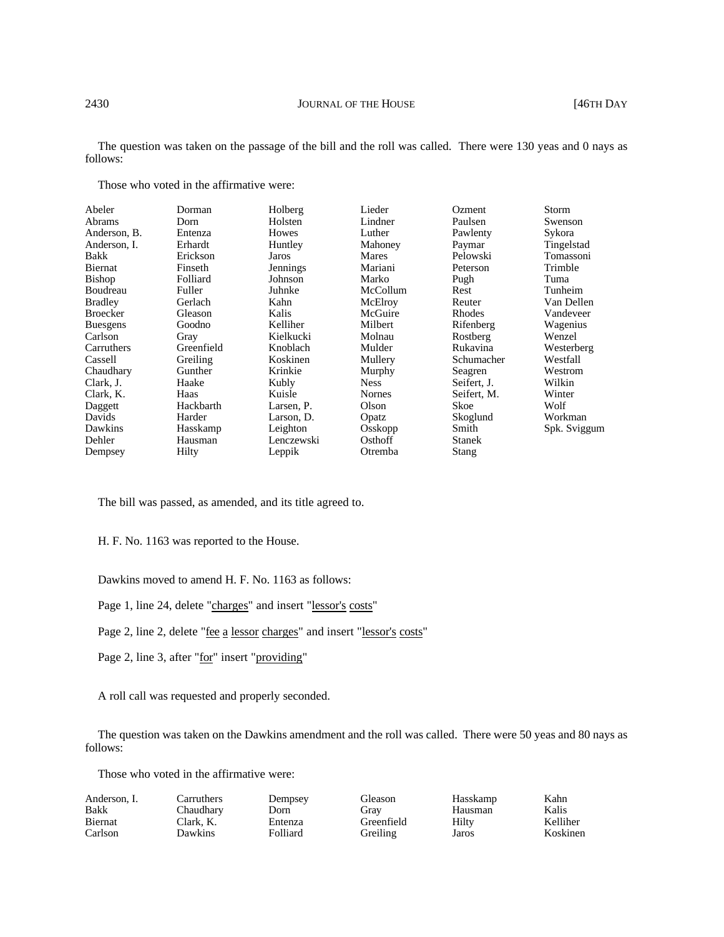The question was taken on the passage of the bill and the roll was called. There were 130 yeas and 0 nays as follows:

Those who voted in the affirmative were:

| Abeler          | Dorman     | Holberg    | Lieder        | Ozment      | Storm        |
|-----------------|------------|------------|---------------|-------------|--------------|
| <b>Abrams</b>   | Dorn       | Holsten    | Lindner       | Paulsen     | Swenson      |
| Anderson, B.    | Entenza    | Howes      | Luther        | Pawlenty    | Sykora       |
| Anderson, I.    | Erhardt    | Huntley    | Mahoney       | Paymar      | Tingelstad   |
| Bakk            | Erickson   | Jaros      | Mares         | Pelowski    | Tomassoni    |
| Biernat         | Finseth    | Jennings   | Mariani       | Peterson    | Trimble      |
| Bishop          | Folliard   | Johnson    | Marko         | Pugh        | Tuma         |
| Boudreau        | Fuller     | Juhnke     | McCollum      | Rest        | Tunheim      |
| <b>Bradley</b>  | Gerlach    | Kahn       | McElroy       | Reuter      | Van Dellen   |
| <b>Broecker</b> | Gleason    | Kalis      | McGuire       | Rhodes      | Vandeveer    |
| <b>Buesgens</b> | Goodno     | Kelliher   | Milbert       | Rifenberg   | Wagenius     |
| Carlson         | Gray       | Kielkucki  | Molnau        | Rostberg    | Wenzel       |
| Carruthers      | Greenfield | Knoblach   | Mulder        | Rukavina    | Westerberg   |
| Cassell         | Greiling   | Koskinen   | Mullery       | Schumacher  | Westfall     |
| Chaudhary       | Gunther    | Krinkie    | Murphy        | Seagren     | Westrom      |
| Clark, J.       | Haake      | Kubly      | <b>Ness</b>   | Seifert, J. | Wilkin       |
| Clark, K.       | Haas       | Kuisle     | <b>Nornes</b> | Seifert, M. | Winter       |
| Daggett         | Hackbarth  | Larsen, P. | Olson         | Skoe        | Wolf         |
| Davids          | Harder     | Larson, D. | Opatz         | Skoglund    | Workman      |
| Dawkins         | Hasskamp   | Leighton   | Osskopp       | Smith       | Spk. Sviggum |
| Dehler          | Hausman    | Lenczewski | Osthoff       | Stanek      |              |
| Dempsey         | Hilty      | Leppik     | Otremba       | Stang       |              |
|                 |            |            |               |             |              |

The bill was passed, as amended, and its title agreed to.

H. F. No. 1163 was reported to the House.

Dawkins moved to amend H. F. No. 1163 as follows:

Page 1, line 24, delete "charges" and insert "lessor's costs"

Page 2, line 2, delete "fee a lessor charges" and insert "lessor's costs"

Page 2, line 3, after "for" insert "providing"

A roll call was requested and properly seconded.

The question was taken on the Dawkins amendment and the roll was called. There were 50 yeas and 80 nays as follows:

Those who voted in the affirmative were:

| Carruthers | Dempsey  |
|------------|----------|
| Chaudhary  | Dorn     |
| Clark. K.  | Entenza  |
| Dawkins    | Folliard |
|            |          |

Gleason Gray Greenfield Greiling

Hasskamp Hausman Hilty Jaros

Kahn Kalis Kelliher Koskinen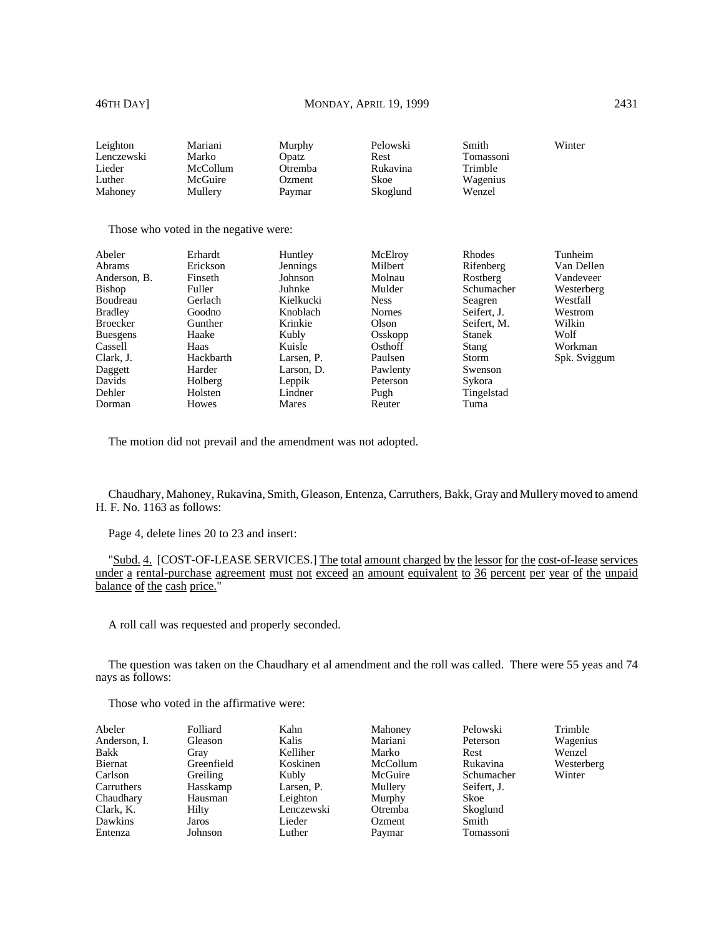| Leighton        | Mariani                               | Murphy          | Pelowski      | Smith         | Winter       |
|-----------------|---------------------------------------|-----------------|---------------|---------------|--------------|
| Lenczewski      | Marko                                 | Opatz           | Rest          | Tomassoni     |              |
| Lieder          | McCollum                              | Otremba         | Rukavina      | Trimble       |              |
| Luther          | McGuire                               | Ozment          | Skoe          | Wagenius      |              |
| Mahoney         | Mullery                               | Paymar          | Skoglund      | Wenzel        |              |
|                 | Those who voted in the negative were: |                 |               |               |              |
| Abeler          | Erhardt                               | Huntley         | McElroy       | <b>Rhodes</b> | Tunheim      |
| Abrams          | Erickson                              | <b>Jennings</b> | Milbert       | Rifenberg     | Van Dellen   |
| Anderson, B.    | Finseth                               | Johnson         | Molnau        | Rostberg      | Vandeveer    |
| <b>Bishop</b>   | Fuller                                | Juhnke          | Mulder        | Schumacher    | Westerberg   |
| Boudreau        | Gerlach                               | Kielkucki       | <b>Ness</b>   | Seagren       | Westfall     |
| <b>Bradley</b>  | Goodno                                | Knoblach        | <b>Nornes</b> | Seifert, J.   | Westrom      |
| <b>Broecker</b> | Gunther                               | Krinkie         | Olson         | Seifert, M.   | Wilkin       |
| <b>Buesgens</b> | Haake                                 | Kubly           | Osskopp       | Stanek        | Wolf         |
| Cassell         | Haas                                  | Kuisle          | Osthoff       | <b>Stang</b>  | Workman      |
| Clark, J.       | Hackbarth                             | Larsen, P.      | Paulsen       | Storm         | Spk. Sviggum |
| Daggett         | Harder                                | Larson, D.      | Pawlenty      | Swenson       |              |
| Davids          | Holberg                               | Leppik          | Peterson      | Sykora        |              |
| Dehler          | Holsten                               | Lindner         | Pugh          | Tingelstad    |              |
| Dorman          | Howes                                 | Mares           | Reuter        | Tuma          |              |

The motion did not prevail and the amendment was not adopted.

Chaudhary, Mahoney, Rukavina, Smith, Gleason, Entenza, Carruthers, Bakk, Gray and Mullery moved to amend H. F. No. 1163 as follows:

Page 4, delete lines 20 to 23 and insert:

"Subd. 4. [COST-OF-LEASE SERVICES.] The total amount charged by the lessor for the cost-of-lease services under a rental-purchase agreement must not exceed an amount equivalent to 36 percent per year of the unpaid balance of the cash price."

A roll call was requested and properly seconded.

The question was taken on the Chaudhary et al amendment and the roll was called. There were 55 yeas and 74 nays as follows:

| Abeler       | Folliard   | Kahn       | Mahoney  | Pelowski    | Trimble    |
|--------------|------------|------------|----------|-------------|------------|
| Anderson, I. | Gleason    | Kalis      | Mariani  | Peterson    | Wagenius   |
| Bakk         | Gray       | Kelliher   | Marko    | Rest        | Wenzel     |
| Biernat      | Greenfield | Koskinen   | McCollum | Rukavina    | Westerberg |
| Carlson      | Greiling   | Kubly      | McGuire  | Schumacher  | Winter     |
| Carruthers   | Hasskamp   | Larsen, P. | Mullery  | Seifert, J. |            |
| Chaudhary    | Hausman    | Leighton   | Murphy   | Skoe        |            |
| Clark, K.    | Hilty      | Lenczewski | Otremba  | Skoglund    |            |
| Dawkins      | Jaros      | Lieder     | Ozment   | Smith       |            |
| Entenza      | Johnson    | Luther     | Paymar   | Tomassoni   |            |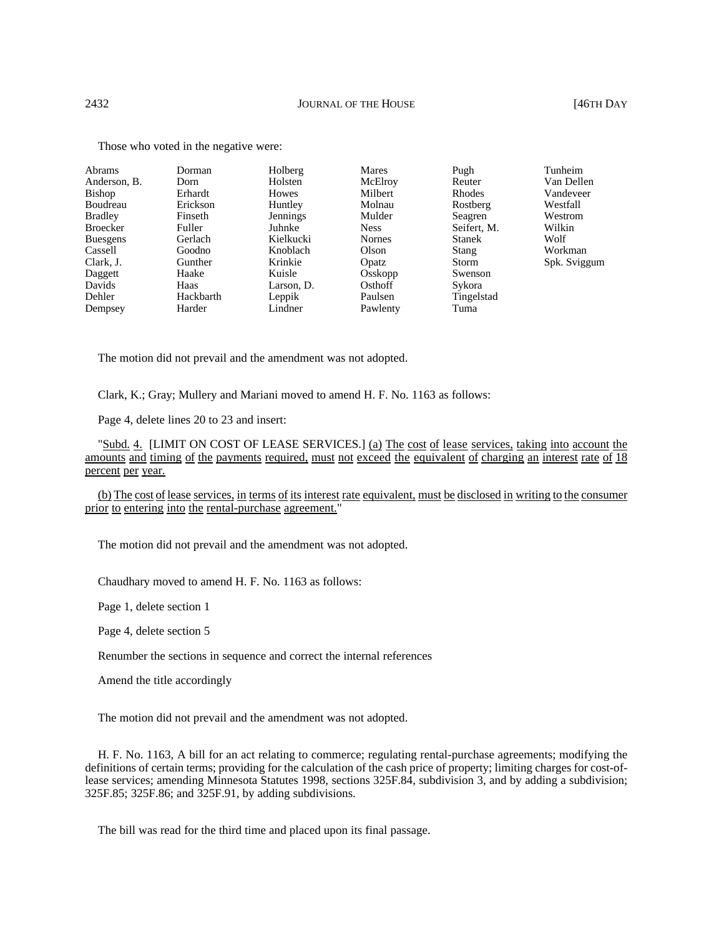| Abrams          | Dorman    | Holberg    | Mares         | Pugh          | Tunheim      |
|-----------------|-----------|------------|---------------|---------------|--------------|
| Anderson, B.    | Dorn      | Holsten    | McElroy       | Reuter        | Van Dellen   |
| Bishop          | Erhardt   | Howes      | Milbert       | Rhodes        | Vandeveer    |
| Boudreau        | Erickson  | Huntley    | Molnau        | Rostberg      | Westfall     |
| <b>Bradley</b>  | Finseth   | Jennings   | Mulder        | Seagren       | Westrom      |
| Broecker        | Fuller    | Juhnke     | <b>Ness</b>   | Seifert, M.   | Wilkin       |
| <b>Buesgens</b> | Gerlach   | Kielkucki  | <b>Nornes</b> | <b>Stanek</b> | Wolf         |
| Cassell         | Goodno    | Knoblach   | Olson         | Stang         | Workman      |
| Clark, J.       | Gunther   | Krinkie    | Opatz         | <b>Storm</b>  | Spk. Sviggum |
| Daggett         | Haake     | Kuisle     | Osskopp       | Swenson       |              |
| Davids          | Haas      | Larson, D. | Osthoff       | Sykora        |              |
| Dehler          | Hackbarth | Leppik     | Paulsen       | Tingelstad    |              |
| Dempsey         | Harder    | Lindner    | Pawlenty      | Tuma          |              |

Those who voted in the negative were:

The motion did not prevail and the amendment was not adopted.

Clark, K.; Gray; Mullery and Mariani moved to amend H. F. No. 1163 as follows:

Page 4, delete lines 20 to 23 and insert:

"Subd. 4. [LIMIT ON COST OF LEASE SERVICES.] (a) The cost of lease services, taking into account the amounts and timing of the payments required, must not exceed the equivalent of charging an interest rate of 18 percent per year.

(b) The cost of lease services, in terms of its interest rate equivalent, must be disclosed in writing to the consumer prior to entering into the rental-purchase agreement."

The motion did not prevail and the amendment was not adopted.

Chaudhary moved to amend H. F. No. 1163 as follows:

Page 1, delete section 1

Page 4, delete section 5

Renumber the sections in sequence and correct the internal references

Amend the title accordingly

The motion did not prevail and the amendment was not adopted.

H. F. No. 1163, A bill for an act relating to commerce; regulating rental-purchase agreements; modifying the definitions of certain terms; providing for the calculation of the cash price of property; limiting charges for cost-oflease services; amending Minnesota Statutes 1998, sections 325F.84, subdivision 3, and by adding a subdivision; 325F.85; 325F.86; and 325F.91, by adding subdivisions.

The bill was read for the third time and placed upon its final passage.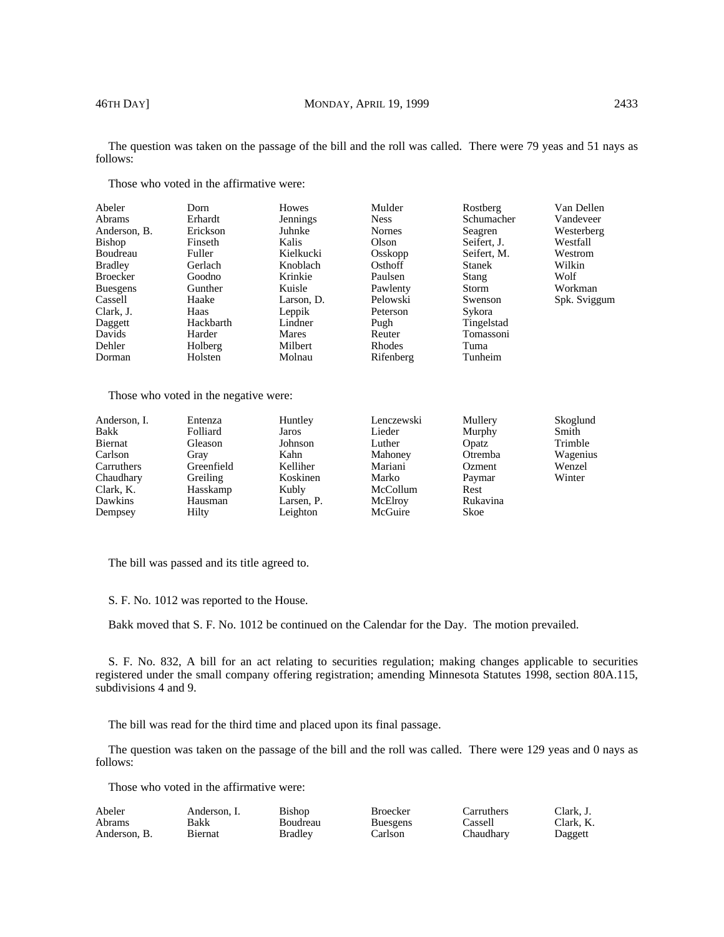The question was taken on the passage of the bill and the roll was called. There were 79 yeas and 51 nays as follows:

| Abeler          | Dorn      | <b>Howes</b> | Mulder        | Rostberg      | Van Dellen   |
|-----------------|-----------|--------------|---------------|---------------|--------------|
| <b>Abrams</b>   | Erhardt   | Jennings     | <b>Ness</b>   | Schumacher    | Vandeveer    |
| Anderson, B.    | Erickson  | Juhnke       | <b>Nornes</b> | Seagren       | Westerberg   |
| Bishop          | Finseth   | Kalis        | Olson         | Seifert, J.   | Westfall     |
| Boudreau        | Fuller    | Kielkucki    | Osskopp       | Seifert, M.   | Westrom      |
| <b>Bradley</b>  | Gerlach   | Knoblach     | Osthoff       | <b>Stanek</b> | Wilkin       |
| <b>Broecker</b> | Goodno    | Krinkie      | Paulsen       | Stang         | Wolf         |
| <b>Buesgens</b> | Gunther   | Kuisle       | Pawlenty      | Storm         | Workman      |
| Cassell         | Haake     | Larson. D.   | Pelowski      | Swenson       | Spk. Sviggum |
| Clark, J.       | Haas      | Leppik       | Peterson      | Sykora        |              |
| Daggett         | Hackbarth | Lindner      | Pugh          | Tingelstad    |              |
| Davids          | Harder    | Mares        | Reuter        | Tomassoni     |              |
| Dehler          | Holberg   | Milbert      | Rhodes        | Tuma          |              |
| Dorman          | Holsten   | Molnau       | Rifenberg     | Tunheim       |              |

Those who voted in the affirmative were:

Those who voted in the negative were:

| Anderson, I. | Entenza    | Huntley    | Lenczewski | Mullery  | Skoglund |
|--------------|------------|------------|------------|----------|----------|
| Bakk         | Folliard   | Jaros      | Lieder     | Murphy   | Smith    |
| Biernat      | Gleason    | Johnson    | Luther     | Opatz    | Trimble  |
| Carlson      | Gray       | Kahn       | Mahoney    | Otremba  | Wagenius |
| Carruthers   | Greenfield | Kelliher   | Mariani    | Ozment   | Wenzel   |
| Chaudhary    | Greiling   | Koskinen   | Marko      | Paymar   | Winter   |
| Clark, K.    | Hasskamp   | Kubly      | McCollum   | Rest     |          |
| Dawkins      | Hausman    | Larsen, P. | McElroy    | Rukavina |          |
| Dempsey      | Hilty      | Leighton   | McGuire    | Skoe     |          |

The bill was passed and its title agreed to.

S. F. No. 1012 was reported to the House.

Bakk moved that S. F. No. 1012 be continued on the Calendar for the Day. The motion prevailed.

S. F. No. 832, A bill for an act relating to securities regulation; making changes applicable to securities registered under the small company offering registration; amending Minnesota Statutes 1998, section 80A.115, subdivisions 4 and 9.

The bill was read for the third time and placed upon its final passage.

The question was taken on the passage of the bill and the roll was called. There were 129 yeas and 0 nays as follows:

| Abeler        | Anderson. I. | Bishop   | Broecker        | Carruthers | Clark. J. |
|---------------|--------------|----------|-----------------|------------|-----------|
| <b>Abrams</b> | Bakk         | Boudreau | <b>Buesgens</b> | Cassell    | Clark. K. |
| Anderson, B.  | Biernat      | Bradlev  | Carlson         | Thaudharv  | Daggett   |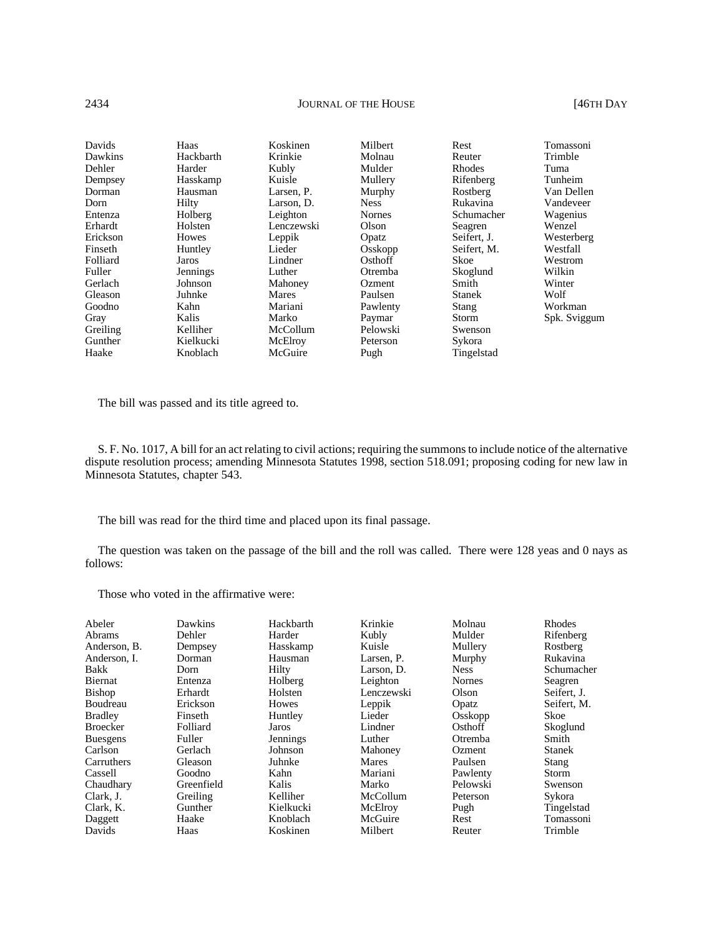# 2434 **JOURNAL OF THE HOUSE** [46TH DAY

| Davids   | Haas      | Koskinen   | Milbert       | Rest          | Tomassoni    |
|----------|-----------|------------|---------------|---------------|--------------|
| Dawkins  | Hackbarth | Krinkie    | Molnau        | Reuter        | Trimble      |
| Dehler   | Harder    | Kubly      | Mulder        | <b>Rhodes</b> | Tuma         |
| Dempsey  | Hasskamp  | Kuisle     | Mullery       | Rifenberg     | Tunheim      |
| Dorman   | Hausman   | Larsen, P. | Murphy        | Rostberg      | Van Dellen   |
| Dorn     | Hilty     | Larson, D. | <b>Ness</b>   | Rukavina      | Vandeveer    |
| Entenza  | Holberg   | Leighton   | <b>Nornes</b> | Schumacher    | Wagenius     |
| Erhardt  | Holsten   | Lenczewski | Olson         | Seagren       | Wenzel       |
| Erickson | Howes     | Leppik     | Opatz         | Seifert. J.   | Westerberg   |
| Finseth  | Huntley   | Lieder     | Osskopp       | Seifert, M.   | Westfall     |
| Folliard | Jaros     | Lindner    | Osthoff       | Skoe          | Westrom      |
| Fuller   | Jennings  | Luther     | Otremba       | Skoglund      | Wilkin       |
| Gerlach  | Johnson   | Mahoney    | <b>Ozment</b> | Smith         | Winter       |
| Gleason  | Juhnke    | Mares      | Paulsen       | <b>Stanek</b> | Wolf         |
| Goodno   | Kahn      | Mariani    | Pawlenty      | Stang         | Workman      |
| Gray     | Kalis     | Marko      | Paymar        | Storm         | Spk. Sviggum |
| Greiling | Kelliher  | McCollum   | Pelowski      | Swenson       |              |
| Gunther  | Kielkucki | McElroy    | Peterson      | Sykora        |              |
| Haake    | Knoblach  | McGuire    | Pugh          | Tingelstad    |              |

The bill was passed and its title agreed to.

S. F. No. 1017, A bill for an act relating to civil actions; requiring the summons to include notice of the alternative dispute resolution process; amending Minnesota Statutes 1998, section 518.091; proposing coding for new law in Minnesota Statutes, chapter 543.

The bill was read for the third time and placed upon its final passage.

The question was taken on the passage of the bill and the roll was called. There were 128 yeas and 0 nays as follows:

| <b>Broecker</b><br>Folliard<br>Fuller<br><b>Buesgens</b><br>Carlson<br>Gerlach<br>Carruthers<br>Gleason<br>Goodno<br>Cassell<br>Greenfield<br>Chaudhary<br>Clark, J.<br>Greiling<br>Clark, K.<br>Gunther | Hilty<br>Holberg<br>Holsten<br><b>Howes</b><br>Huntley<br>Jaros<br>Jennings<br>Johnson<br>Juhnke<br>Kahn<br>Kalis<br>Kelliher<br>Kielkucki | Larson, D.<br>Leighton<br>Lenczewski<br>Leppik<br>Lieder<br>Lindner<br>Luther<br>Mahoney<br><b>Mares</b><br>Mariani<br>Marko<br>McCollum<br>McElroy | <b>Ness</b><br><b>Nornes</b><br>Olson<br>Opatz<br>Osskopp<br>Osthoff<br>Otremba<br>Ozment<br>Paulsen<br>Pawlenty<br>Pelowski<br>Peterson<br>Pugh | Schumacher<br>Seagren<br>Seifert, J.<br>Seifert, M.<br>Skoe<br>Skoglund<br>Smith<br><b>Stanek</b><br>Stang<br>Storm<br>Swenson<br>Sykora<br>Tingelstad |
|----------------------------------------------------------------------------------------------------------------------------------------------------------------------------------------------------------|--------------------------------------------------------------------------------------------------------------------------------------------|-----------------------------------------------------------------------------------------------------------------------------------------------------|--------------------------------------------------------------------------------------------------------------------------------------------------|--------------------------------------------------------------------------------------------------------------------------------------------------------|
| Haake<br>Daggett<br>Davids<br>Haas                                                                                                                                                                       | Knoblach<br>Koskinen                                                                                                                       | McGuire<br>Milbert                                                                                                                                  | Rest<br>Reuter                                                                                                                                   | Tomassoni<br>Trimble                                                                                                                                   |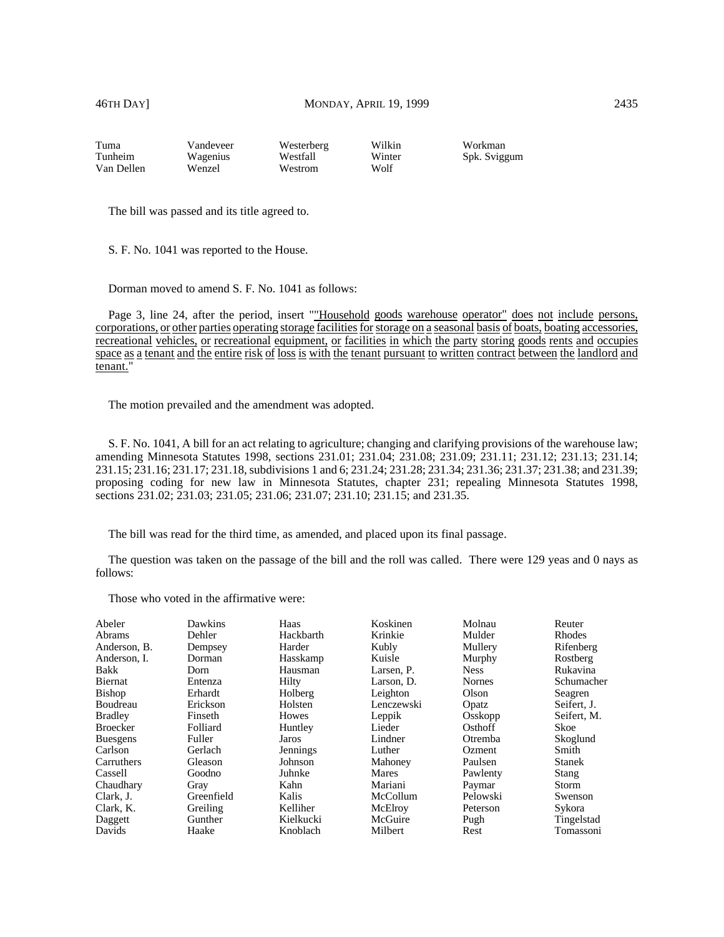| Tuma       | Vandeveer | Westerberg | Wilkin | Workman      |
|------------|-----------|------------|--------|--------------|
| Tunheim    | Wagenius  | Westfall   | Winter | Spk. Sviggum |
| Van Dellen | Wenzel    | Westrom    | Wolf   |              |

The bill was passed and its title agreed to.

S. F. No. 1041 was reported to the House.

Dorman moved to amend S. F. No. 1041 as follows:

Page 3, line 24, after the period, insert ""Household goods warehouse operator" does not include persons, corporations, or other parties operating storage facilities for storage on a seasonal basis of boats, boating accessories, recreational vehicles, or recreational equipment, or facilities in which the party storing goods rents and occupies space as a tenant and the entire risk of loss is with the tenant pursuant to written contract between the landlord and tenant."

The motion prevailed and the amendment was adopted.

S. F. No. 1041, A bill for an act relating to agriculture; changing and clarifying provisions of the warehouse law; amending Minnesota Statutes 1998, sections 231.01; 231.04; 231.08; 231.09; 231.11; 231.12; 231.13; 231.14; 231.15; 231.16; 231.17; 231.18, subdivisions 1 and 6; 231.24; 231.28; 231.34; 231.36; 231.37; 231.38; and 231.39; proposing coding for new law in Minnesota Statutes, chapter 231; repealing Minnesota Statutes 1998, sections 231.02; 231.03; 231.05; 231.06; 231.07; 231.10; 231.15; and 231.35.

The bill was read for the third time, as amended, and placed upon its final passage.

The question was taken on the passage of the bill and the roll was called. There were 129 yeas and 0 nays as follows:

| Abeler          | Dawkins    | Haas         | Koskinen   | Molnau        | Reuter        |
|-----------------|------------|--------------|------------|---------------|---------------|
| <b>Abrams</b>   | Dehler     | Hackbarth    | Krinkie    | Mulder        | <b>Rhodes</b> |
| Anderson, B.    | Dempsey    | Harder       | Kubly      | Mullery       | Rifenberg     |
| Anderson, I.    | Dorman     | Hasskamp     | Kuisle     | Murphy        | Rostberg      |
| <b>Bakk</b>     | Dorn       | Hausman      | Larsen. P. | <b>Ness</b>   | Rukavina      |
| <b>Biernat</b>  | Entenza    | Hilty        | Larson, D. | <b>Nornes</b> | Schumacher    |
| <b>Bishop</b>   | Erhardt    | Holberg      | Leighton   | Olson         | Seagren       |
| Boudreau        | Erickson   | Holsten      | Lenczewski | Opatz         | Seifert. J.   |
| <b>Bradley</b>  | Finseth    | <b>Howes</b> | Leppik     | Osskopp       | Seifert, M.   |
| <b>Broecker</b> | Folliard   | Huntley      | Lieder     | Osthoff       | Skoe          |
| <b>Buesgens</b> | Fuller     | Jaros        | Lindner    | Otremba       | Skoglund      |
| Carlson         | Gerlach    | Jennings     | Luther     | Ozment        | Smith         |
| Carruthers      | Gleason    | Johnson      | Mahoney    | Paulsen       | <b>Stanek</b> |
| Cassell         | Goodno     | Juhnke       | Mares      | Pawlenty      | Stang         |
| Chaudhary       | Gray       | Kahn         | Mariani    | Paymar        | Storm         |
| Clark, J.       | Greenfield | Kalis        | McCollum   | Pelowski      | Swenson       |
| Clark, K.       | Greiling   | Kelliher     | McElroy    | Peterson      | Sykora        |
| Daggett         | Gunther    | Kielkucki    | McGuire    | Pugh          | Tingelstad    |
| Davids          | Haake      | Knoblach     | Milbert    | Rest          | Tomassoni     |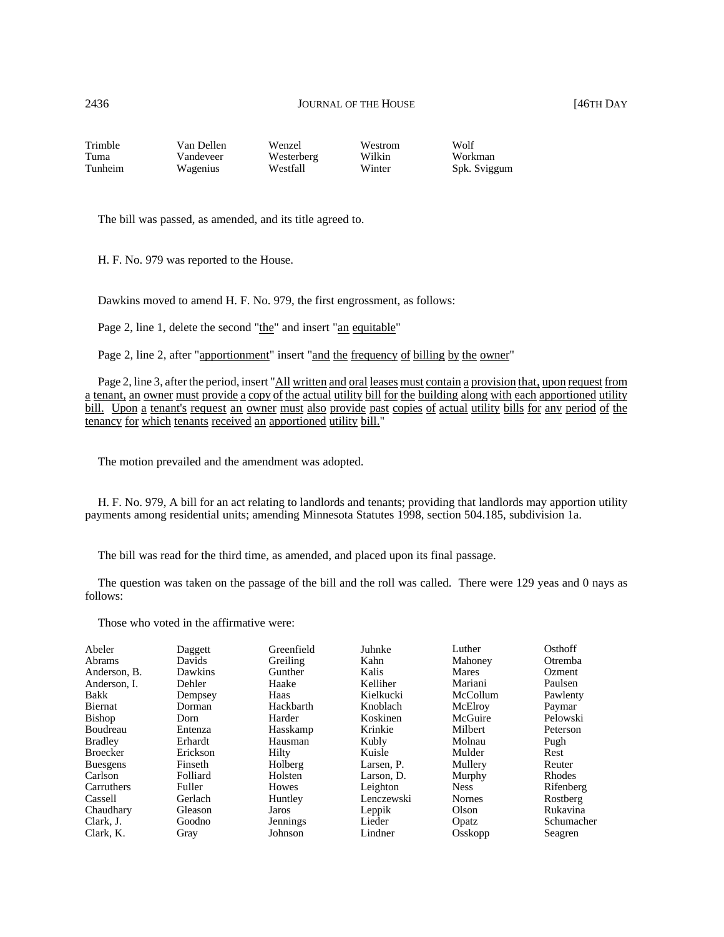| Trimble | Van Dellen- | Wenzel     | Westrom | Wolf         |
|---------|-------------|------------|---------|--------------|
| Tuma    | Vandeveer   | Westerberg | Wilkin  | Workman      |
| Tunheim | Wagenius    | Westfall   | Winter  | Spk. Sviggum |

The bill was passed, as amended, and its title agreed to.

H. F. No. 979 was reported to the House.

Dawkins moved to amend H. F. No. 979, the first engrossment, as follows:

Page 2, line 1, delete the second "the" and insert "an equitable"

Page 2, line 2, after "apportionment" insert "and the frequency of billing by the owner"

Page 2, line 3, after the period, insert "All written and oral leases must contain a provision that, upon request from a tenant, an owner must provide a copy of the actual utility bill for the building along with each apportioned utility bill. Upon a tenant's request an owner must also provide past copies of actual utility bills for any period of the tenancy for which tenants received an apportioned utility bill."

The motion prevailed and the amendment was adopted.

H. F. No. 979, A bill for an act relating to landlords and tenants; providing that landlords may apportion utility payments among residential units; amending Minnesota Statutes 1998, section 504.185, subdivision 1a.

The bill was read for the third time, as amended, and placed upon its final passage.

The question was taken on the passage of the bill and the roll was called. There were 129 yeas and 0 nays as follows:

| Abeler          | Daggett  | Greenfield   | Juhnke     | Luther      | Osthoff        |
|-----------------|----------|--------------|------------|-------------|----------------|
| <b>Abrams</b>   | Davids   | Greiling     | Kahn       | Mahoney     | <b>Otremba</b> |
| Anderson, B.    | Dawkins  | Gunther      | Kalis      | Mares       | Ozment         |
| Anderson. I.    | Dehler   | Haake        | Kelliher   | Mariani     | Paulsen        |
| <b>Bakk</b>     | Dempsey  | Haas         | Kielkucki  | McCollum    | Pawlenty       |
| <b>Biernat</b>  | Dorman   | Hackbarth    | Knoblach   | McElroy     | Paymar         |
| Bishop          | Dorn     | Harder       | Koskinen   | McGuire     | Pelowski       |
| Boudreau        | Entenza  | Hasskamp     | Krinkie    | Milbert     | Peterson       |
| <b>Bradley</b>  | Erhardt  | Hausman      | Kubly      | Molnau      | Pugh           |
| <b>Broecker</b> | Erickson | Hilty        | Kuisle     | Mulder      | Rest           |
| <b>Buesgens</b> | Finseth  | Holberg      | Larsen. P. | Mullery     | Reuter         |
| Carlson         | Folliard | Holsten      | Larson, D. | Murphy      | Rhodes         |
| Carruthers      | Fuller   | <b>Howes</b> | Leighton   | <b>Ness</b> | Rifenberg      |
| Cassell         | Gerlach  | Huntley      | Lenczewski | Nornes      | Rostberg       |
| Chaudhary       | Gleason  | Jaros        | Leppik     | Olson       | Rukavina       |
| Clark. J.       | Goodno   | Jennings     | Lieder     | Opatz       | Schumacher     |
| Clark. K.       | Gray     | Johnson      | Lindner    | Osskopp     | Seagren        |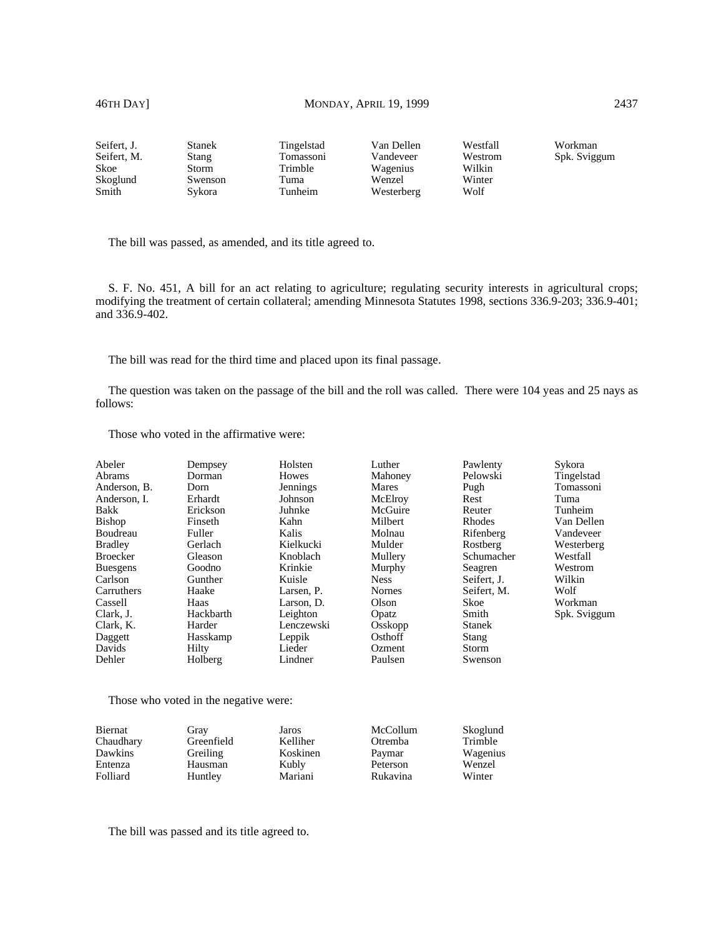# 46TH DAY] MONDAY, APRIL 19, 1999 2437

| Seifert, J. | Stanek  | Tingelstad | Van Dellen | Westfall | Workman      |
|-------------|---------|------------|------------|----------|--------------|
| Seifert, M. | Stang   | Tomassoni  | Vandeveer  | Westrom  | Spk. Sviggum |
| Skoe        | Storm   | Trimble    | Wagenius   | Wilkin   |              |
| Skoglund    | Swenson | Tuma       | Wenzel     | Winter   |              |
| Smith       | Svkora  | Tunheim    | Westerberg | Wolf     |              |

The bill was passed, as amended, and its title agreed to.

S. F. No. 451, A bill for an act relating to agriculture; regulating security interests in agricultural crops; modifying the treatment of certain collateral; amending Minnesota Statutes 1998, sections 336.9-203; 336.9-401; and 336.9-402.

The bill was read for the third time and placed upon its final passage.

The question was taken on the passage of the bill and the roll was called. There were 104 yeas and 25 nays as follows:

Those who voted in the affirmative were:

| Abeler          | Dempsey   | Holsten    | Luther        | Pawlenty      | Sykora       |
|-----------------|-----------|------------|---------------|---------------|--------------|
| Abrams          | Dorman    | Howes      | Mahoney       | Pelowski      | Tingelstad   |
| Anderson. B.    | Dorn      | Jennings   | Mares         | Pugh          | Tomassoni    |
| Anderson, I.    | Erhardt   | Johnson    | McElroy       | Rest          | Tuma         |
| Bakk            | Erickson  | Juhnke     | McGuire       | Reuter        | Tunheim      |
| Bishop          | Finseth   | Kahn       | Milbert       | Rhodes        | Van Dellen   |
| Boudreau        | Fuller    | Kalis      | Molnau        | Rifenberg     | Vandeveer    |
| Bradley         | Gerlach   | Kielkucki  | Mulder        | Rostberg      | Westerberg   |
| Broecker        | Gleason   | Knoblach   | Mullery       | Schumacher    | Westfall     |
| <b>Buesgens</b> | Goodno    | Krinkie    | Murphy        | Seagren       | Westrom      |
| Carlson         | Gunther   | Kuisle     | <b>Ness</b>   | Seifert, J.   | Wilkin       |
| Carruthers      | Haake     | Larsen, P. | <b>Nornes</b> | Seifert, M.   | Wolf         |
| Cassell         | Haas      | Larson. D. | Olson         | <b>Skoe</b>   | Workman      |
| Clark, J.       | Hackbarth | Leighton   | Opatz         | Smith         | Spk. Sviggum |
| Clark, K.       | Harder    | Lenczewski | Osskopp       | <b>Stanek</b> |              |
| Daggett         | Hasskamp  | Leppik     | Osthoff       | Stang         |              |
| Davids          | Hilty     | Lieder     | Ozment        | <b>Storm</b>  |              |
| Dehler          | Holberg   | Lindner    | Paulsen       | Swenson       |              |
|                 |           |            |               |               |              |

Those who voted in the negative were:

| Gray       | Jaros    | McCollum | Skoglund |
|------------|----------|----------|----------|
| Greenfield | Kelliher | Otremba  | Trimble  |
| Greiling   | Koskinen |          | Wagenius |
| Hausman    | Kubly    | Peterson | Wenzel   |
| Huntley    | Mariani  | Rukavina | Winter   |
|            |          |          | Paymar   |

The bill was passed and its title agreed to.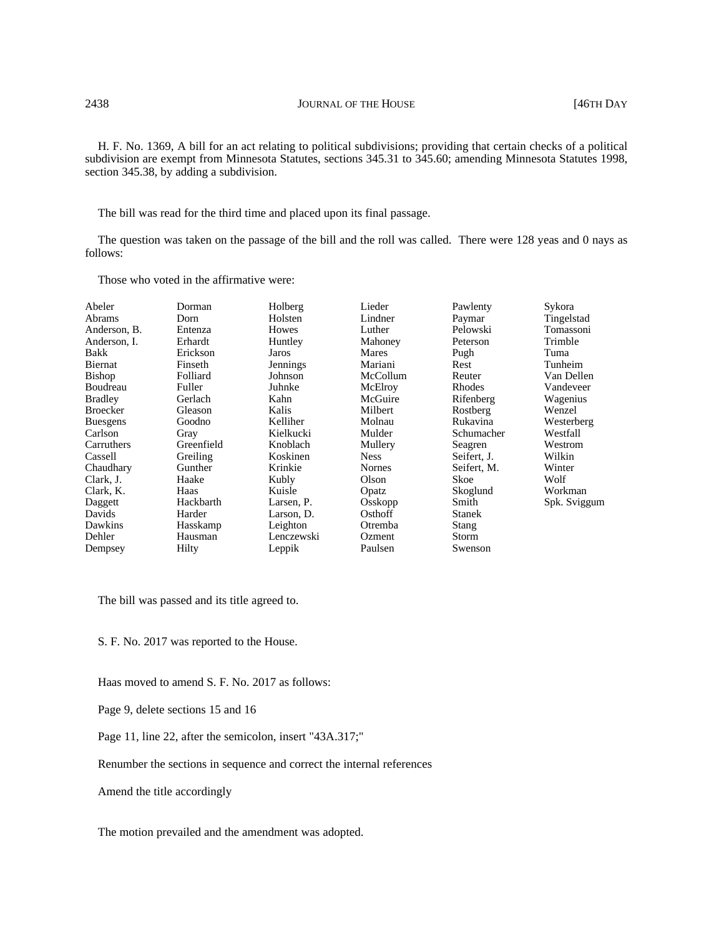H. F. No. 1369, A bill for an act relating to political subdivisions; providing that certain checks of a political subdivision are exempt from Minnesota Statutes, sections 345.31 to 345.60; amending Minnesota Statutes 1998, section 345.38, by adding a subdivision.

The bill was read for the third time and placed upon its final passage.

The question was taken on the passage of the bill and the roll was called. There were 128 yeas and 0 nays as follows:

Those who voted in the affirmative were:

| Abeler          | Dorman     | Holberg    | Lieder        | Pawlenty      | Sykora       |
|-----------------|------------|------------|---------------|---------------|--------------|
| Abrams          | Dorn       | Holsten    | Lindner       | Paymar        | Tingelstad   |
| Anderson, B.    | Entenza    | Howes      | Luther        | Pelowski      | Tomassoni    |
| Anderson, I.    | Erhardt    | Huntley    | Mahoney       | Peterson      | Trimble      |
| Bakk            | Erickson   | Jaros      | Mares         | Pugh          | Tuma         |
| Biernat         | Finseth    | Jennings   | Mariani       | Rest          | Tunheim      |
| <b>Bishop</b>   | Folliard   | Johnson    | McCollum      | Reuter        | Van Dellen   |
| Boudreau        | Fuller     | Juhnke     | McElroy       | Rhodes        | Vandeveer    |
| <b>Bradley</b>  | Gerlach    | Kahn       | McGuire       | Rifenberg     | Wagenius     |
| <b>Broecker</b> | Gleason    | Kalis      | Milbert       | Rostberg      | Wenzel       |
| <b>Buesgens</b> | Goodno     | Kelliher   | Molnau        | Rukavina      | Westerberg   |
| Carlson         | Gray       | Kielkucki  | Mulder        | Schumacher    | Westfall     |
| Carruthers      | Greenfield | Knoblach   | Mullery       | Seagren       | Westrom      |
| Cassell         | Greiling   | Koskinen   | <b>Ness</b>   | Seifert, J.   | Wilkin       |
| Chaudhary       | Gunther    | Krinkie    | <b>Nornes</b> | Seifert, M.   | Winter       |
| Clark, J.       | Haake      | Kubly      | Olson         | Skoe          | Wolf         |
| Clark, K.       | Haas       | Kuisle     | Opatz         | Skoglund      | Workman      |
| Daggett         | Hackbarth  | Larsen, P. | Osskopp       | Smith         | Spk. Sviggum |
| Davids          | Harder     | Larson, D. | Osthoff       | <b>Stanek</b> |              |
| Dawkins         | Hasskamp   | Leighton   | Otremba       | <b>Stang</b>  |              |
| Dehler          | Hausman    | Lenczewski | Ozment        | Storm         |              |
| Dempsey         | Hilty      | Leppik     | Paulsen       | Swenson       |              |

The bill was passed and its title agreed to.

S. F. No. 2017 was reported to the House.

Haas moved to amend S. F. No. 2017 as follows:

Page 9, delete sections 15 and 16

Page 11, line 22, after the semicolon, insert "43A.317;"

Renumber the sections in sequence and correct the internal references

Amend the title accordingly

The motion prevailed and the amendment was adopted.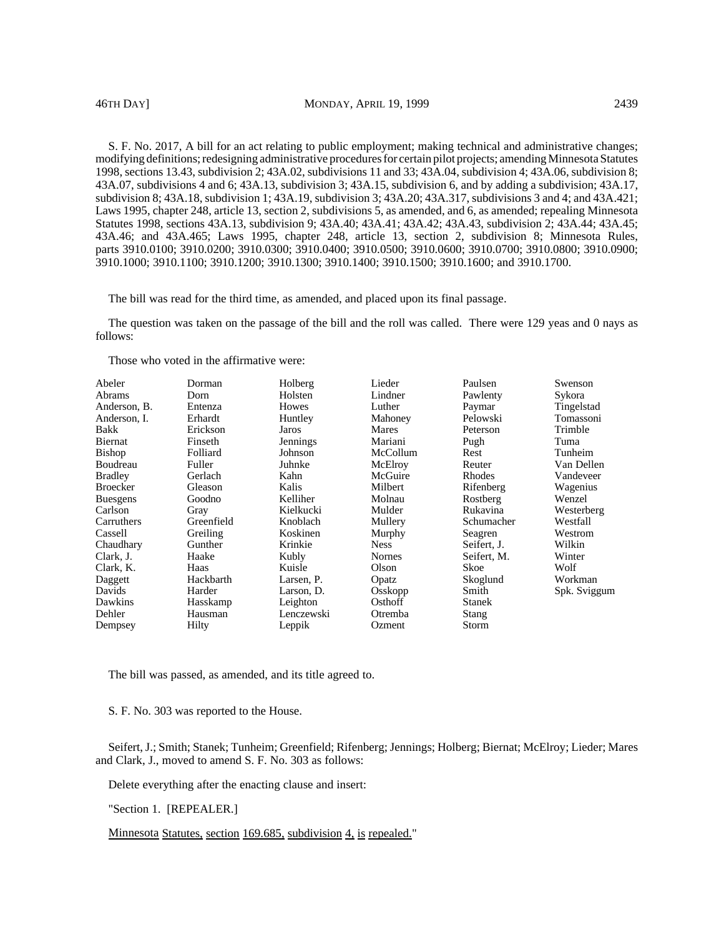S. F. No. 2017, A bill for an act relating to public employment; making technical and administrative changes; modifying definitions; redesigning administrative procedures for certain pilot projects; amending Minnesota Statutes 1998, sections 13.43, subdivision 2; 43A.02, subdivisions 11 and 33; 43A.04, subdivision 4; 43A.06, subdivision 8; 43A.07, subdivisions 4 and 6; 43A.13, subdivision 3; 43A.15, subdivision 6, and by adding a subdivision; 43A.17, subdivision 8; 43A.18, subdivision 1; 43A.19, subdivision 3; 43A.20; 43A.317, subdivisions 3 and 4; and 43A.421; Laws 1995, chapter 248, article 13, section 2, subdivisions 5, as amended, and 6, as amended; repealing Minnesota Statutes 1998, sections 43A.13, subdivision 9; 43A.40; 43A.41; 43A.42; 43A.43, subdivision 2; 43A.44; 43A.45; 43A.46; and 43A.465; Laws 1995, chapter 248, article 13, section 2, subdivision 8; Minnesota Rules, parts 3910.0100; 3910.0200; 3910.0300; 3910.0400; 3910.0500; 3910.0600; 3910.0700; 3910.0800; 3910.0900; 3910.1000; 3910.1100; 3910.1200; 3910.1300; 3910.1400; 3910.1500; 3910.1600; and 3910.1700.

The bill was read for the third time, as amended, and placed upon its final passage.

The question was taken on the passage of the bill and the roll was called. There were 129 yeas and 0 nays as follows:

Those who voted in the affirmative were:

| Abeler<br><b>Abrams</b><br>Anderson, B.<br>Anderson, I.<br>Bakk<br>Biernat<br><b>Bishop</b><br>Boudreau<br><b>Bradley</b><br><b>Broecker</b><br><b>Buesgens</b><br>Carlson<br>Carruthers<br>Cassell<br>Chaudhary<br>Clark, J.<br>Clark, K.<br>Daggett<br>Davids<br>Dawkins<br>Dehler | Dorman<br>Dorn<br>Entenza<br>Erhardt<br>Erickson<br>Finseth<br>Folliard<br>Fuller<br>Gerlach<br>Gleason<br>Goodno<br>Gray<br>Greenfield<br>Greiling<br>Gunther<br>Haake<br>Haas<br>Hackbarth<br>Harder<br>Hasskamp<br>Hausman | Holberg<br>Holsten<br>Howes<br>Huntley<br>Jaros<br>Jennings<br>Johnson<br>Juhnke<br>Kahn<br>Kalis<br>Kelliher<br>Kielkucki<br>Knoblach<br>Koskinen<br>Krinkie<br>Kubly<br>Kuisle<br>Larsen, P.<br>Larson, D.<br>Leighton<br>Lenczewski | Lieder<br>Lindner<br>Luther<br>Mahoney<br>Mares<br>Mariani<br>McCollum<br>McElroy<br>McGuire<br>Milbert<br>Molnau<br>Mulder<br>Mullery<br>Murphy<br><b>Ness</b><br><b>Nornes</b><br>Olson<br>Opatz<br>Osskopp<br>Osthoff<br>Otremba | Paulsen<br>Pawlenty<br>Paymar<br>Pelowski<br>Peterson<br>Pugh<br>Rest<br>Reuter<br>Rhodes<br>Rifenberg<br>Rostberg<br>Rukavina<br>Schumacher<br>Seagren<br>Seifert, J.<br>Seifert, M.<br>Skoe<br>Skoglund<br>Smith<br><b>Stanek</b><br><b>Stang</b> | Swenson<br>Sykora<br>Tingelstad<br>Tomassoni<br>Trimble<br>Tuma<br>Tunheim<br>Van Dellen<br>Vandeveer<br>Wagenius<br>Wenzel<br>Westerberg<br>Westfall<br>Westrom<br>Wilkin<br>Winter<br>Wolf<br>Workman<br>Spk. Sviggum |
|--------------------------------------------------------------------------------------------------------------------------------------------------------------------------------------------------------------------------------------------------------------------------------------|-------------------------------------------------------------------------------------------------------------------------------------------------------------------------------------------------------------------------------|----------------------------------------------------------------------------------------------------------------------------------------------------------------------------------------------------------------------------------------|-------------------------------------------------------------------------------------------------------------------------------------------------------------------------------------------------------------------------------------|-----------------------------------------------------------------------------------------------------------------------------------------------------------------------------------------------------------------------------------------------------|-------------------------------------------------------------------------------------------------------------------------------------------------------------------------------------------------------------------------|
| Dempsey                                                                                                                                                                                                                                                                              | Hilty                                                                                                                                                                                                                         | Leppik                                                                                                                                                                                                                                 | Ozment                                                                                                                                                                                                                              | Storm                                                                                                                                                                                                                                               |                                                                                                                                                                                                                         |

The bill was passed, as amended, and its title agreed to.

S. F. No. 303 was reported to the House.

Seifert, J.; Smith; Stanek; Tunheim; Greenfield; Rifenberg; Jennings; Holberg; Biernat; McElroy; Lieder; Mares and Clark, J., moved to amend S. F. No. 303 as follows:

Delete everything after the enacting clause and insert:

"Section 1. [REPEALER.]

Minnesota Statutes, section 169.685, subdivision 4, is repealed."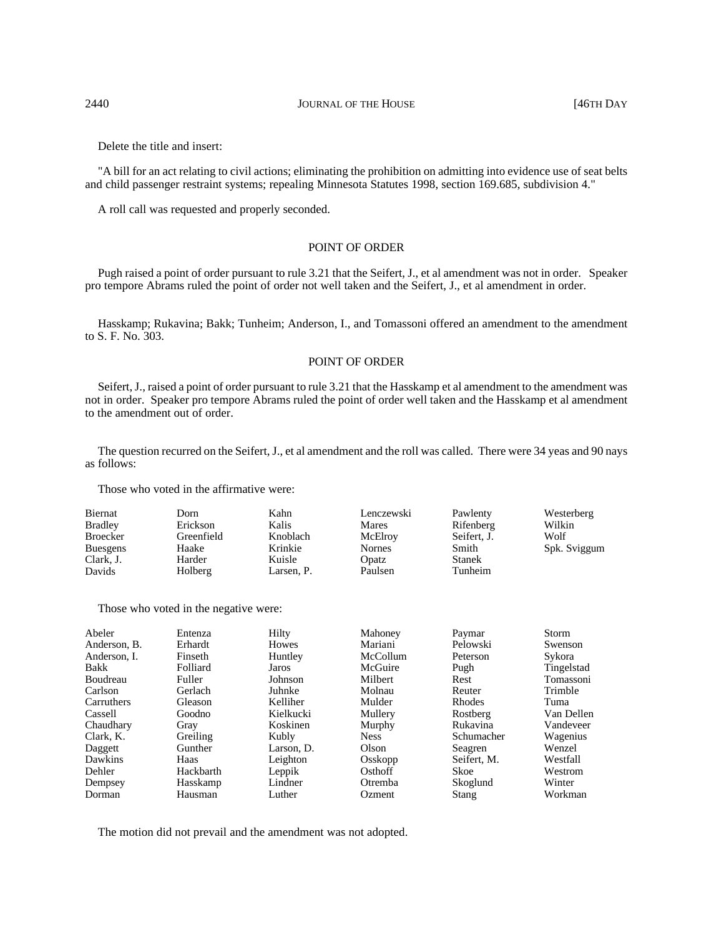### 2440 **JOURNAL OF THE HOUSE 146TH DAY**

Delete the title and insert:

"A bill for an act relating to civil actions; eliminating the prohibition on admitting into evidence use of seat belts and child passenger restraint systems; repealing Minnesota Statutes 1998, section 169.685, subdivision 4."

A roll call was requested and properly seconded.

# POINT OF ORDER

Pugh raised a point of order pursuant to rule 3.21 that the Seifert, J., et al amendment was not in order. Speaker pro tempore Abrams ruled the point of order not well taken and the Seifert, J., et al amendment in order.

Hasskamp; Rukavina; Bakk; Tunheim; Anderson, I., and Tomassoni offered an amendment to the amendment to S. F. No. 303.

# POINT OF ORDER

Seifert, J., raised a point of order pursuant to rule 3.21 that the Hasskamp et al amendment to the amendment was not in order. Speaker pro tempore Abrams ruled the point of order well taken and the Hasskamp et al amendment to the amendment out of order.

The question recurred on the Seifert, J., et al amendment and the roll was called. There were 34 yeas and 90 nays as follows:

Those who voted in the affirmative were:

| Biernat         | Dorn       | Kahn       | Lenczewski    | Pawlenty      | Westerberg   |
|-----------------|------------|------------|---------------|---------------|--------------|
| <b>Bradley</b>  | Erickson   | Kalis      | Mares         | Rifenberg     | Wilkin       |
| <b>Broecker</b> | Greenfield | Knoblach   | McElroy       | Seifert, J.   | Wolf         |
| <b>Buesgens</b> | Haake      | Krinkie    | <b>Nornes</b> | Smith         | Spk. Sviggum |
| Clark, J.       | Harder     | Kuisle     | Opatz         | <b>Stanek</b> |              |
| Davids          | Holberg    | Larsen. P. | Paulsen       | Tunheim       |              |

Those who voted in the negative were:

| Abeler       | Entenza   | Hilty        | Mahoney     | Paymar        | Storm      |
|--------------|-----------|--------------|-------------|---------------|------------|
| Anderson, B. | Erhardt   | <b>Howes</b> | Mariani     | Pelowski      | Swenson    |
| Anderson. I. | Finseth   | Huntley      | McCollum    | Peterson      | Sykora     |
| Bakk         | Folliard  | Jaros        | McGuire     | Pugh          | Tingelstad |
| Boudreau     | Fuller    | Johnson      | Milbert     | Rest          | Tomassoni  |
| Carlson      | Gerlach   | Juhnke       | Molnau      | Reuter        | Trimble    |
| Carruthers   | Gleason   | Kelliher     | Mulder      | <b>Rhodes</b> | Tuma       |
| Cassell      | Goodno    | Kielkucki    | Mullery     | Rostberg      | Van Dellen |
| Chaudhary    | Gray      | Koskinen     | Murphy      | Rukavina      | Vandeveer  |
| Clark, K.    | Greiling  | Kubly        | <b>Ness</b> | Schumacher    | Wagenius   |
| Daggett      | Gunther   | Larson, D.   | Olson       | Seagren       | Wenzel     |
| Dawkins      | Haas      | Leighton     | Osskopp     | Seifert, M.   | Westfall   |
| Dehler       | Hackbarth | Leppik       | Osthoff     | Skoe          | Westrom    |
| Dempsey      | Hasskamp  | Lindner      | Otremba     | Skoglund      | Winter     |
| Dorman       | Hausman   | Luther       | Ozment      | Stang         | Workman    |

The motion did not prevail and the amendment was not adopted.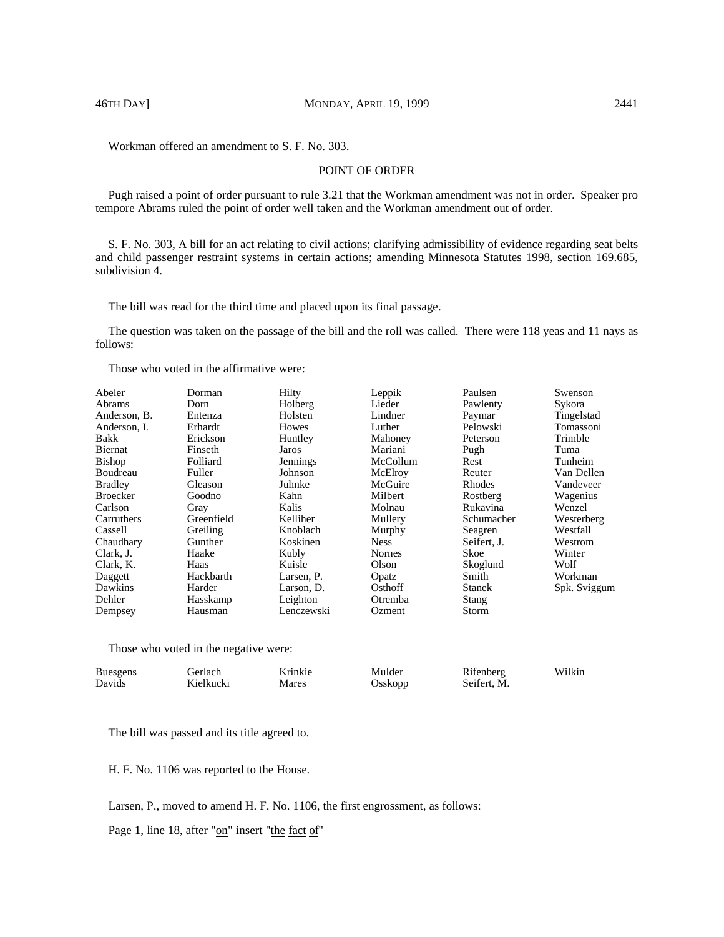Workman offered an amendment to S. F. No. 303.

# POINT OF ORDER

Pugh raised a point of order pursuant to rule 3.21 that the Workman amendment was not in order. Speaker pro tempore Abrams ruled the point of order well taken and the Workman amendment out of order.

S. F. No. 303, A bill for an act relating to civil actions; clarifying admissibility of evidence regarding seat belts and child passenger restraint systems in certain actions; amending Minnesota Statutes 1998, section 169.685, subdivision 4.

The bill was read for the third time and placed upon its final passage.

The question was taken on the passage of the bill and the roll was called. There were 118 yeas and 11 nays as follows:

Those who voted in the affirmative were:

| Abeler<br>Abrams<br>Anderson, B.<br>Anderson. I.<br>Bakk<br><b>Biernat</b><br><b>Bishop</b><br>Boudreau<br><b>Bradley</b><br><b>Broecker</b><br>Carlson<br>Carruthers | Dorman<br>Dorn<br>Entenza<br>Erhardt<br>Erickson<br>Finseth<br>Folliard<br>Fuller<br>Gleason<br>Goodno<br>Gray<br>Greenfield | Hilty<br>Holberg<br>Holsten<br><b>Howes</b><br>Huntley<br>Jaros<br>Jennings<br>Johnson<br>Juhnke<br>Kahn<br>Kalis<br>Kelliher | Leppik<br>Lieder<br>Lindner<br>Luther<br>Mahoney<br>Mariani<br>McCollum<br>McElroy<br>McGuire<br>Milbert<br>Molnau<br>Mullery | Paulsen<br>Pawlenty<br>Paymar<br>Pelowski<br>Peterson<br>Pugh<br>Rest<br>Reuter<br>Rhodes<br>Rostberg<br>Rukavina<br>Schumacher | Swenson<br>Sykora<br>Tingelstad<br>Tomassoni<br>Trimble<br>Tuma<br>Tunheim<br>Van Dellen<br>Vandeveer<br>Wagenius<br>Wenzel<br>Westerberg |
|-----------------------------------------------------------------------------------------------------------------------------------------------------------------------|------------------------------------------------------------------------------------------------------------------------------|-------------------------------------------------------------------------------------------------------------------------------|-------------------------------------------------------------------------------------------------------------------------------|---------------------------------------------------------------------------------------------------------------------------------|-------------------------------------------------------------------------------------------------------------------------------------------|
|                                                                                                                                                                       |                                                                                                                              |                                                                                                                               |                                                                                                                               |                                                                                                                                 |                                                                                                                                           |
|                                                                                                                                                                       |                                                                                                                              |                                                                                                                               |                                                                                                                               |                                                                                                                                 |                                                                                                                                           |
|                                                                                                                                                                       |                                                                                                                              |                                                                                                                               |                                                                                                                               |                                                                                                                                 |                                                                                                                                           |
|                                                                                                                                                                       |                                                                                                                              |                                                                                                                               |                                                                                                                               |                                                                                                                                 |                                                                                                                                           |
|                                                                                                                                                                       |                                                                                                                              |                                                                                                                               |                                                                                                                               |                                                                                                                                 |                                                                                                                                           |
|                                                                                                                                                                       |                                                                                                                              |                                                                                                                               |                                                                                                                               |                                                                                                                                 |                                                                                                                                           |
| Cassell                                                                                                                                                               | Greiling                                                                                                                     | Knoblach                                                                                                                      | Murphy                                                                                                                        | Seagren                                                                                                                         | Westfall                                                                                                                                  |
| Chaudhary                                                                                                                                                             | Gunther                                                                                                                      | Koskinen                                                                                                                      | <b>Ness</b>                                                                                                                   | Seifert, J.                                                                                                                     | Westrom                                                                                                                                   |
| Clark, J.                                                                                                                                                             | Haake                                                                                                                        | Kubly                                                                                                                         | <b>Nornes</b>                                                                                                                 | Skoe                                                                                                                            | Winter                                                                                                                                    |
| Clark, K.                                                                                                                                                             | Haas                                                                                                                         | Kuisle                                                                                                                        | Olson                                                                                                                         | Skoglund                                                                                                                        | Wolf                                                                                                                                      |
| Daggett                                                                                                                                                               | Hackbarth                                                                                                                    | Larsen, P.                                                                                                                    | Opatz                                                                                                                         | Smith                                                                                                                           | Workman                                                                                                                                   |
| Dawkins                                                                                                                                                               | Harder                                                                                                                       | Larson, D.                                                                                                                    | Osthoff                                                                                                                       | <b>Stanek</b>                                                                                                                   | Spk. Sviggum                                                                                                                              |
| Dehler                                                                                                                                                                | Hasskamp                                                                                                                     | Leighton                                                                                                                      | Otremba                                                                                                                       | Stang                                                                                                                           |                                                                                                                                           |
| Dempsey                                                                                                                                                               | Hausman                                                                                                                      | Lenczewski                                                                                                                    | Ozment                                                                                                                        | Storm                                                                                                                           |                                                                                                                                           |

Those who voted in the negative were:

| Buesgens | Gerlach   | Krinkie | Mulder  | Rifenberg   | Wilkin |
|----------|-----------|---------|---------|-------------|--------|
| Davids   | Kielkucki | Mares   | Osskopp | Seifert, M. |        |

The bill was passed and its title agreed to.

H. F. No. 1106 was reported to the House.

Larsen, P., moved to amend H. F. No. 1106, the first engrossment, as follows:

Page 1, line 18, after "on" insert "the fact of"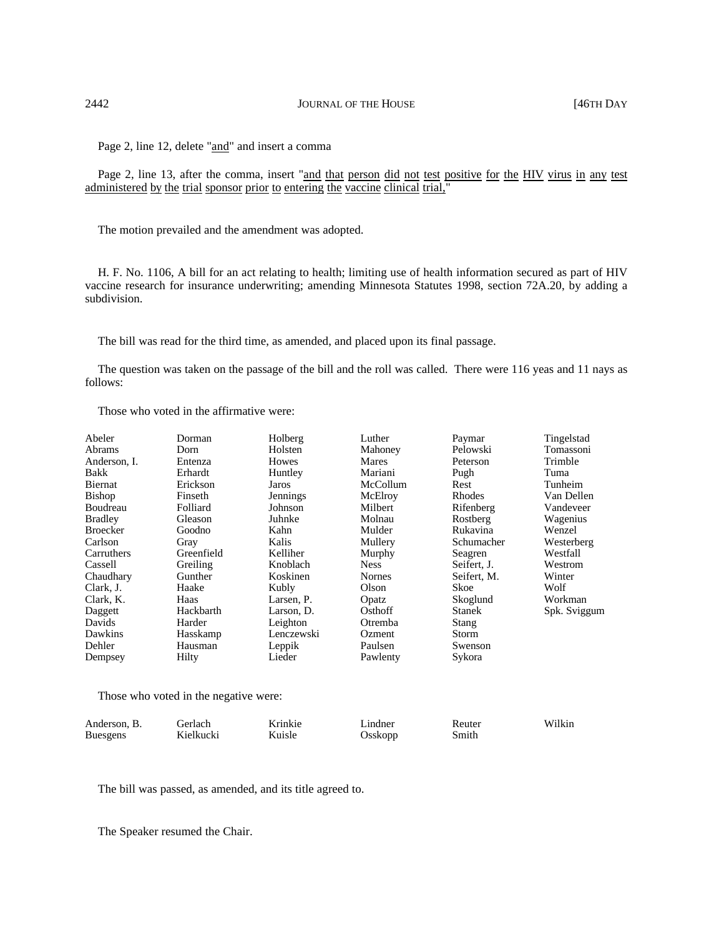Page 2, line 12, delete "and" and insert a comma

Page 2, line 13, after the comma, insert "and that person did not test positive for the HIV virus in any test administered by the trial sponsor prior to entering the vaccine clinical trial,"

The motion prevailed and the amendment was adopted.

H. F. No. 1106, A bill for an act relating to health; limiting use of health information secured as part of HIV vaccine research for insurance underwriting; amending Minnesota Statutes 1998, section 72A.20, by adding a subdivision.

The bill was read for the third time, as amended, and placed upon its final passage.

The question was taken on the passage of the bill and the roll was called. There were 116 yeas and 11 nays as follows:

Those who voted in the affirmative were:

| Abeler          | Dorman     | Holberg    | Luther        | Paymar        | Tingelstad   |
|-----------------|------------|------------|---------------|---------------|--------------|
| Abrams          | Dorn       | Holsten    | Mahoney       | Pelowski      | Tomassoni    |
| Anderson, I.    | Entenza    | Howes      | Mares         | Peterson      | Trimble      |
| Bakk            | Erhardt    | Huntley    | Mariani       | Pugh          | Tuma         |
| Biernat         | Erickson   | Jaros      | McCollum      | Rest          | Tunheim      |
| <b>Bishop</b>   | Finseth    | Jennings   | McElroy       | Rhodes        | Van Dellen   |
| Boudreau        | Folliard   | Johnson    | Milbert       | Rifenberg     | Vandeveer    |
| <b>Bradley</b>  | Gleason    | Juhnke     | Molnau        | Rostberg      | Wagenius     |
| <b>Broecker</b> | Goodno     | Kahn       | Mulder        | Rukavina      | Wenzel       |
| Carlson         | Gray       | Kalis      | Mullery       | Schumacher    | Westerberg   |
| Carruthers      | Greenfield | Kelliher   | Murphy        | Seagren       | Westfall     |
| Cassell         | Greiling   | Knoblach   | <b>Ness</b>   | Seifert, J.   | Westrom      |
| Chaudhary       | Gunther    | Koskinen   | <b>Nornes</b> | Seifert, M.   | Winter       |
| Clark, J.       | Haake      | Kubly      | Olson         | Skoe          | Wolf         |
| Clark, K.       | Haas       | Larsen, P. | Opatz         | Skoglund      | Workman      |
| Daggett         | Hackbarth  | Larson, D. | Osthoff       | <b>Stanek</b> | Spk. Sviggum |
| Davids          | Harder     | Leighton   | Otremba       | Stang         |              |
| Dawkins         | Hasskamp   | Lenczewski | Ozment        | Storm         |              |
| Dehler          | Hausman    | Leppik     | Paulsen       | Swenson       |              |
| Dempsey         | Hilty      | Lieder     | Pawlenty      | Sykora        |              |

Those who voted in the negative were:

| Anderson, B.    | Gerlach   | Krinkie | Lindner | Reuter | Wilkin |
|-----------------|-----------|---------|---------|--------|--------|
| <b>Buesgens</b> | Kielkucki | Kuisle  | Osskopp | Smith  |        |

The bill was passed, as amended, and its title agreed to.

The Speaker resumed the Chair.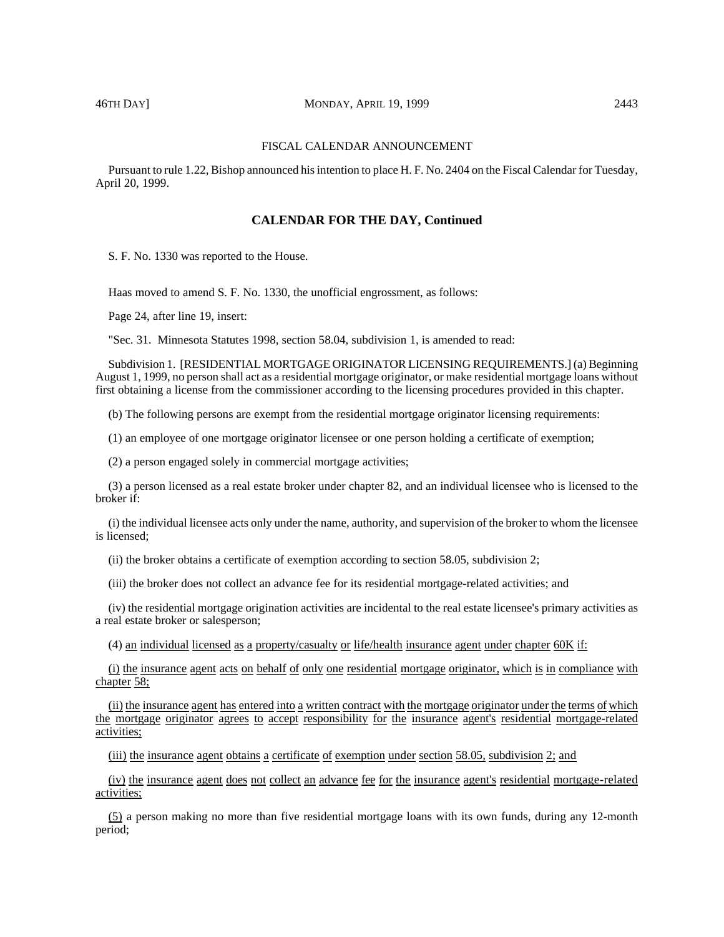# 46TH DAY] MONDAY, APRIL 19, 1999 2443

#### FISCAL CALENDAR ANNOUNCEMENT

Pursuant to rule 1.22, Bishop announced his intention to place H. F. No. 2404 on the Fiscal Calendar for Tuesday, April 20, 1999.

# **CALENDAR FOR THE DAY, Continued**

S. F. No. 1330 was reported to the House.

Haas moved to amend S. F. No. 1330, the unofficial engrossment, as follows:

Page 24, after line 19, insert:

"Sec. 31. Minnesota Statutes 1998, section 58.04, subdivision 1, is amended to read:

Subdivision 1. [RESIDENTIAL MORTGAGE ORIGINATOR LICENSING REQUIREMENTS.] (a) Beginning August 1, 1999, no person shall act as a residential mortgage originator, or make residential mortgage loans without first obtaining a license from the commissioner according to the licensing procedures provided in this chapter.

(b) The following persons are exempt from the residential mortgage originator licensing requirements:

(1) an employee of one mortgage originator licensee or one person holding a certificate of exemption;

(2) a person engaged solely in commercial mortgage activities;

(3) a person licensed as a real estate broker under chapter 82, and an individual licensee who is licensed to the broker if:

(i) the individual licensee acts only under the name, authority, and supervision of the broker to whom the licensee is licensed;

(ii) the broker obtains a certificate of exemption according to section 58.05, subdivision 2;

(iii) the broker does not collect an advance fee for its residential mortgage-related activities; and

(iv) the residential mortgage origination activities are incidental to the real estate licensee's primary activities as a real estate broker or salesperson;

(4) an individual licensed as a property/casualty or life/health insurance agent under chapter 60K if:

(i) the insurance agent acts on behalf of only one residential mortgage originator, which is in compliance with chapter 58;

(ii) the insurance agent has entered into a written contract with the mortgage originator under the terms of which the mortgage originator agrees to accept responsibility for the insurance agent's residential mortgage-related activities;

(iii) the insurance agent obtains a certificate of exemption under section 58.05, subdivision 2; and

(iv) the insurance agent does not collect an advance fee for the insurance agent's residential mortgage-related activities;

(5) a person making no more than five residential mortgage loans with its own funds, during any 12-month period;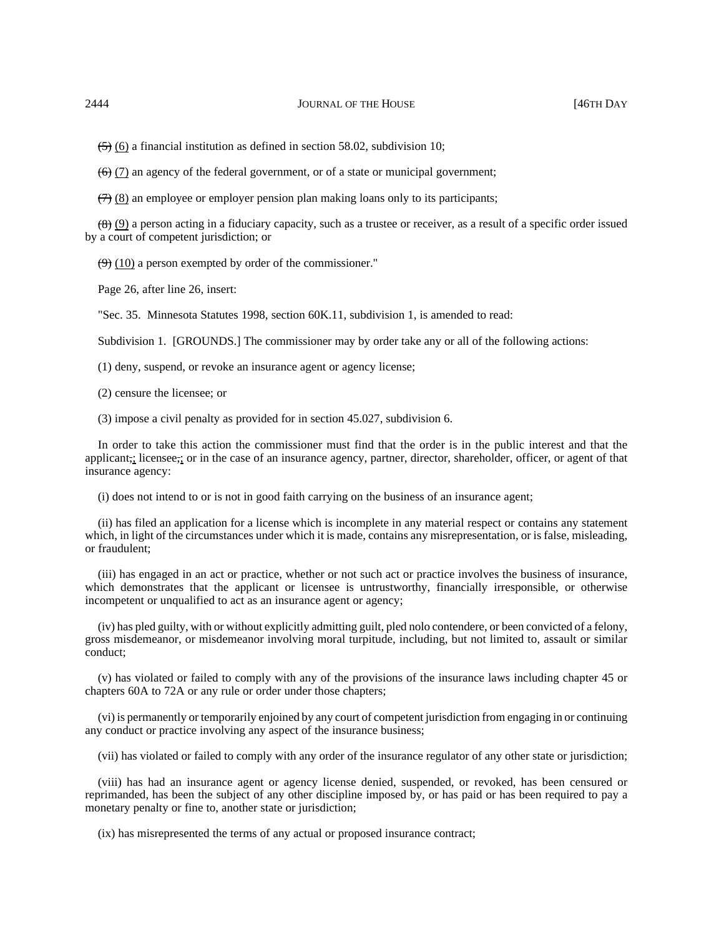$(5)$  (6) a financial institution as defined in section 58.02, subdivision 10;

 $(6)$  (7) an agency of the federal government, or of a state or municipal government;

 $(7)$  (8) an employee or employer pension plan making loans only to its participants;

 $(8)$  (9) a person acting in a fiduciary capacity, such as a trustee or receiver, as a result of a specific order issued by a court of competent jurisdiction; or

 $(9)$  (10) a person exempted by order of the commissioner."

Page 26, after line 26, insert:

"Sec. 35. Minnesota Statutes 1998, section 60K.11, subdivision 1, is amended to read:

Subdivision 1. [GROUNDS.] The commissioner may by order take any or all of the following actions:

(1) deny, suspend, or revoke an insurance agent or agency license;

(2) censure the licensee; or

(3) impose a civil penalty as provided for in section 45.027, subdivision 6.

In order to take this action the commissioner must find that the order is in the public interest and that the applicant,; licensee,; or in the case of an insurance agency, partner, director, shareholder, officer, or agent of that insurance agency:

(i) does not intend to or is not in good faith carrying on the business of an insurance agent;

(ii) has filed an application for a license which is incomplete in any material respect or contains any statement which, in light of the circumstances under which it is made, contains any misrepresentation, or is false, misleading, or fraudulent;

(iii) has engaged in an act or practice, whether or not such act or practice involves the business of insurance, which demonstrates that the applicant or licensee is untrustworthy, financially irresponsible, or otherwise incompetent or unqualified to act as an insurance agent or agency;

(iv) has pled guilty, with or without explicitly admitting guilt, pled nolo contendere, or been convicted of a felony, gross misdemeanor, or misdemeanor involving moral turpitude, including, but not limited to, assault or similar conduct;

(v) has violated or failed to comply with any of the provisions of the insurance laws including chapter 45 or chapters 60A to 72A or any rule or order under those chapters;

(vi) is permanently or temporarily enjoined by any court of competent jurisdiction from engaging in or continuing any conduct or practice involving any aspect of the insurance business;

(vii) has violated or failed to comply with any order of the insurance regulator of any other state or jurisdiction;

(viii) has had an insurance agent or agency license denied, suspended, or revoked, has been censured or reprimanded, has been the subject of any other discipline imposed by, or has paid or has been required to pay a monetary penalty or fine to, another state or jurisdiction;

(ix) has misrepresented the terms of any actual or proposed insurance contract;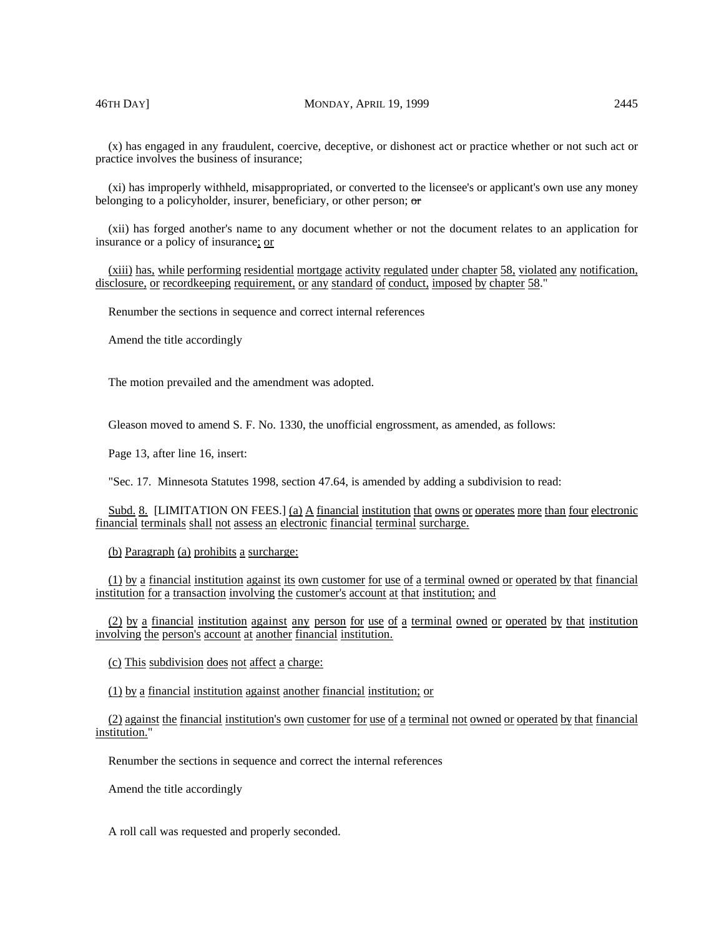(x) has engaged in any fraudulent, coercive, deceptive, or dishonest act or practice whether or not such act or practice involves the business of insurance;

(xi) has improperly withheld, misappropriated, or converted to the licensee's or applicant's own use any money belonging to a policyholder, insurer, beneficiary, or other person; or

(xii) has forged another's name to any document whether or not the document relates to an application for insurance or a policy of insurance; or

(xiii) has, while performing residential mortgage activity regulated under chapter 58, violated any notification, disclosure, or recordkeeping requirement, or any standard of conduct, imposed by chapter 58."

Renumber the sections in sequence and correct internal references

Amend the title accordingly

The motion prevailed and the amendment was adopted.

Gleason moved to amend S. F. No. 1330, the unofficial engrossment, as amended, as follows:

Page 13, after line 16, insert:

"Sec. 17. Minnesota Statutes 1998, section 47.64, is amended by adding a subdivision to read:

Subd. 8. [LIMITATION ON FEES.] (a) A financial institution that owns or operates more than four electronic financial terminals shall not assess an electronic financial terminal surcharge.

(b) Paragraph (a) prohibits a surcharge:

(1) by a financial institution against its own customer for use of a terminal owned or operated by that financial institution for a transaction involving the customer's account at that institution; and

(2) by a financial institution against any person for use of a terminal owned or operated by that institution involving the person's account at another financial institution.

(c) This subdivision does not affect a charge:

(1) by a financial institution against another financial institution; or

(2) against the financial institution's own customer for use of a terminal not owned or operated by that financial institution."

Renumber the sections in sequence and correct the internal references

Amend the title accordingly

A roll call was requested and properly seconded.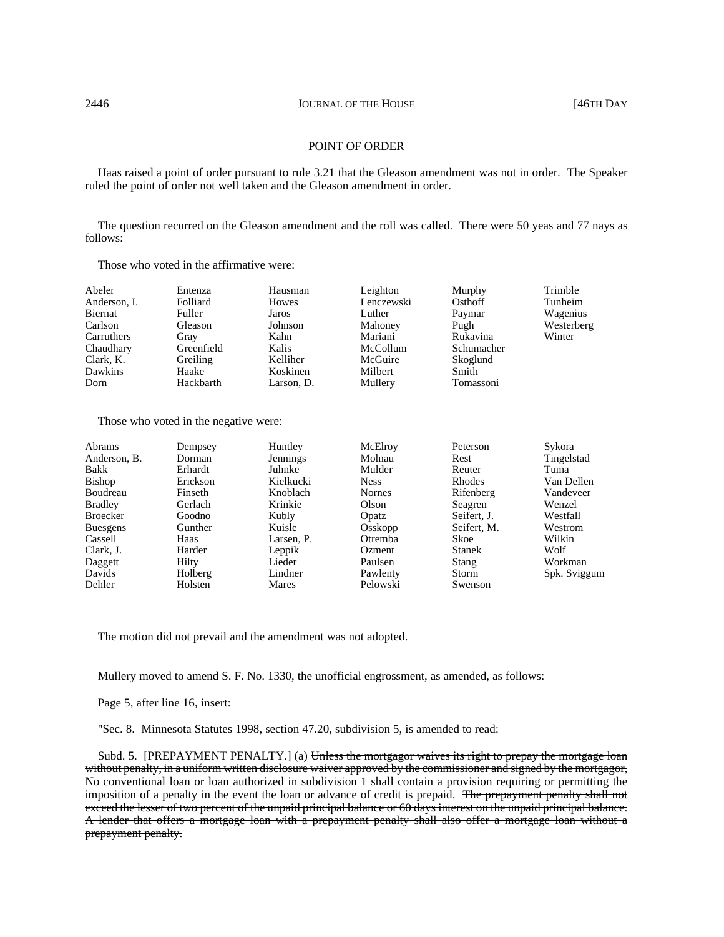#### POINT OF ORDER

Haas raised a point of order pursuant to rule 3.21 that the Gleason amendment was not in order. The Speaker ruled the point of order not well taken and the Gleason amendment in order.

The question recurred on the Gleason amendment and the roll was called. There were 50 yeas and 77 nays as follows:

Those who voted in the affirmative were:

| Abeler                             | Entenza                       | Hausman                  | Leighton                       | Murphy                         | Trimble              |
|------------------------------------|-------------------------------|--------------------------|--------------------------------|--------------------------------|----------------------|
| Anderson, I.                       | Folliard                      | Howes                    | Lenczewski                     | Osthoff                        | Tunheim              |
| Biernat                            | Fuller                        | Jaros                    | Luther                         | Paymar                         | Wagenius             |
| Carlson<br>Carruthers<br>Chaudhary | Gleason<br>Gray<br>Greenfield | Johnson<br>Kahn<br>Kalis | Mahoney<br>Mariani<br>McCollum | Pugh<br>Rukavina<br>Schumacher | Westerberg<br>Winter |
| Clark, K.                          | Greiling                      | Kelliher                 | McGuire                        | Skoglund                       |                      |
| Dawkins                            | Haake                         | Koskinen                 | Milbert                        | Smith                          |                      |
| Dorn                               | Hackbarth                     | Larson, D.               | Mullery                        | Tomassoni                      |                      |

Those who voted in the negative were:

| Abrams          | Dempsey  | Huntley    | McElroy       | Peterson      | Sykora       |
|-----------------|----------|------------|---------------|---------------|--------------|
| Anderson, B.    | Dorman   | Jennings   | Molnau        | Rest          | Tingelstad   |
| Bakk            | Erhardt  | Juhnke     | Mulder        | Reuter        | Tuma         |
| Bishop          | Erickson | Kielkucki  | <b>Ness</b>   | Rhodes        | Van Dellen   |
| Boudreau        | Finseth  | Knoblach   | <b>Nornes</b> | Rifenberg     | Vandeveer    |
| <b>Bradley</b>  | Gerlach  | Krinkie    | Olson         | Seagren       | Wenzel       |
| Broecker        | Goodno   | Kubly      | Opatz         | Seifert, J.   | Westfall     |
| <b>Buesgens</b> | Gunther  | Kuisle     | Osskopp       | Seifert, M.   | Westrom      |
| Cassell         | Haas     | Larsen, P. | Otremba       | Skoe          | Wilkin       |
| Clark, J.       | Harder   | Leppik     | Ozment        | <b>Stanek</b> | Wolf         |
| Daggett         | Hilty    | Lieder     | Paulsen       | Stang         | Workman      |
| Davids          | Holberg  | Lindner    | Pawlenty      | Storm         | Spk. Sviggum |
| Dehler          | Holsten  | Mares      | Pelowski      | Swenson       |              |

The motion did not prevail and the amendment was not adopted.

Mullery moved to amend S. F. No. 1330, the unofficial engrossment, as amended, as follows:

Page 5, after line 16, insert:

"Sec. 8. Minnesota Statutes 1998, section 47.20, subdivision 5, is amended to read:

Subd. 5. [PREPAYMENT PENALTY.] (a) Unless the mortgagor waives its right to prepay the mortgage loan without penalty, in a uniform written disclosure waiver approved by the commissioner and signed by the mortgagor, No conventional loan or loan authorized in subdivision 1 shall contain a provision requiring or permitting the imposition of a penalty in the event the loan or advance of credit is prepaid. The prepayment penalty shall not exceed the lesser of two percent of the unpaid principal balance or 60 days interest on the unpaid principal balance. A lender that offers a mortgage loan with a prepayment penalty shall also offer a mortgage loan without a prepayment penalty.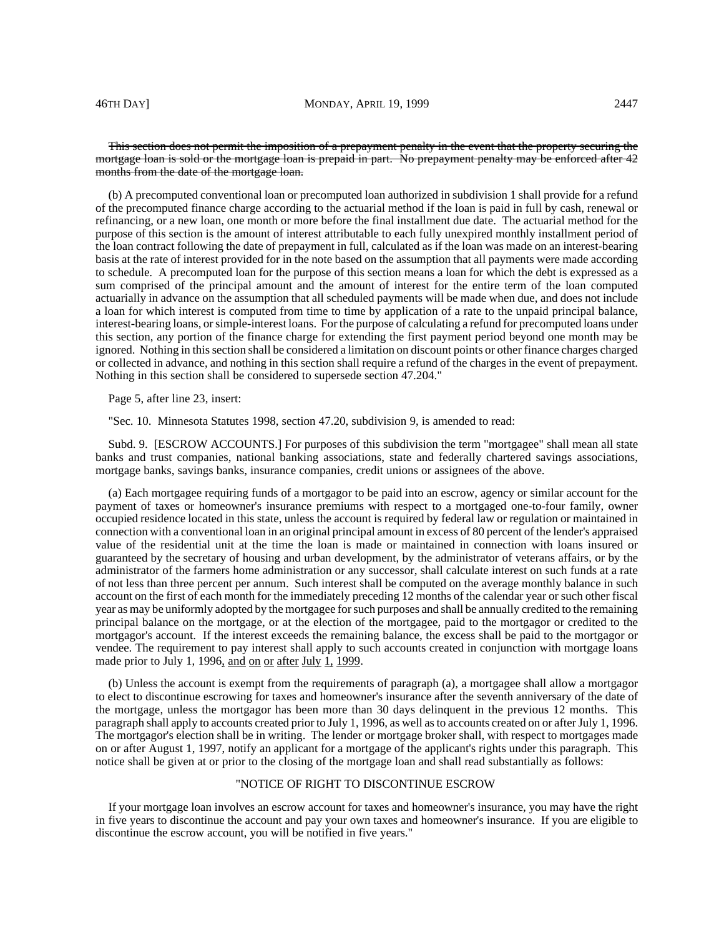## This section does not permit the imposition of a prepayment penalty in the event that the property securing the mortgage loan is sold or the mortgage loan is prepaid in part. No prepayment penalty may be enforced after 42 months from the date of the mortgage loan.

(b) A precomputed conventional loan or precomputed loan authorized in subdivision 1 shall provide for a refund of the precomputed finance charge according to the actuarial method if the loan is paid in full by cash, renewal or refinancing, or a new loan, one month or more before the final installment due date. The actuarial method for the purpose of this section is the amount of interest attributable to each fully unexpired monthly installment period of the loan contract following the date of prepayment in full, calculated as if the loan was made on an interest-bearing basis at the rate of interest provided for in the note based on the assumption that all payments were made according to schedule. A precomputed loan for the purpose of this section means a loan for which the debt is expressed as a sum comprised of the principal amount and the amount of interest for the entire term of the loan computed actuarially in advance on the assumption that all scheduled payments will be made when due, and does not include a loan for which interest is computed from time to time by application of a rate to the unpaid principal balance, interest-bearing loans, or simple-interest loans. For the purpose of calculating a refund for precomputed loans under this section, any portion of the finance charge for extending the first payment period beyond one month may be ignored. Nothing in this section shall be considered a limitation on discount points or other finance charges charged or collected in advance, and nothing in this section shall require a refund of the charges in the event of prepayment. Nothing in this section shall be considered to supersede section 47.204."

Page 5, after line 23, insert:

"Sec. 10. Minnesota Statutes 1998, section 47.20, subdivision 9, is amended to read:

Subd. 9. [ESCROW ACCOUNTS.] For purposes of this subdivision the term "mortgagee" shall mean all state banks and trust companies, national banking associations, state and federally chartered savings associations, mortgage banks, savings banks, insurance companies, credit unions or assignees of the above.

(a) Each mortgagee requiring funds of a mortgagor to be paid into an escrow, agency or similar account for the payment of taxes or homeowner's insurance premiums with respect to a mortgaged one-to-four family, owner occupied residence located in this state, unless the account is required by federal law or regulation or maintained in connection with a conventional loan in an original principal amount in excess of 80 percent of the lender's appraised value of the residential unit at the time the loan is made or maintained in connection with loans insured or guaranteed by the secretary of housing and urban development, by the administrator of veterans affairs, or by the administrator of the farmers home administration or any successor, shall calculate interest on such funds at a rate of not less than three percent per annum. Such interest shall be computed on the average monthly balance in such account on the first of each month for the immediately preceding 12 months of the calendar year or such other fiscal year as may be uniformly adopted by the mortgagee for such purposes and shall be annually credited to the remaining principal balance on the mortgage, or at the election of the mortgagee, paid to the mortgagor or credited to the mortgagor's account. If the interest exceeds the remaining balance, the excess shall be paid to the mortgagor or vendee. The requirement to pay interest shall apply to such accounts created in conjunction with mortgage loans made prior to July 1, 1996, and on or after July 1, 1999.

(b) Unless the account is exempt from the requirements of paragraph (a), a mortgagee shall allow a mortgagor to elect to discontinue escrowing for taxes and homeowner's insurance after the seventh anniversary of the date of the mortgage, unless the mortgagor has been more than 30 days delinquent in the previous 12 months. This paragraph shall apply to accounts created prior to July 1, 1996, as well as to accounts created on or after July 1, 1996. The mortgagor's election shall be in writing. The lender or mortgage broker shall, with respect to mortgages made on or after August 1, 1997, notify an applicant for a mortgage of the applicant's rights under this paragraph. This notice shall be given at or prior to the closing of the mortgage loan and shall read substantially as follows:

### "NOTICE OF RIGHT TO DISCONTINUE ESCROW

If your mortgage loan involves an escrow account for taxes and homeowner's insurance, you may have the right in five years to discontinue the account and pay your own taxes and homeowner's insurance. If you are eligible to discontinue the escrow account, you will be notified in five years."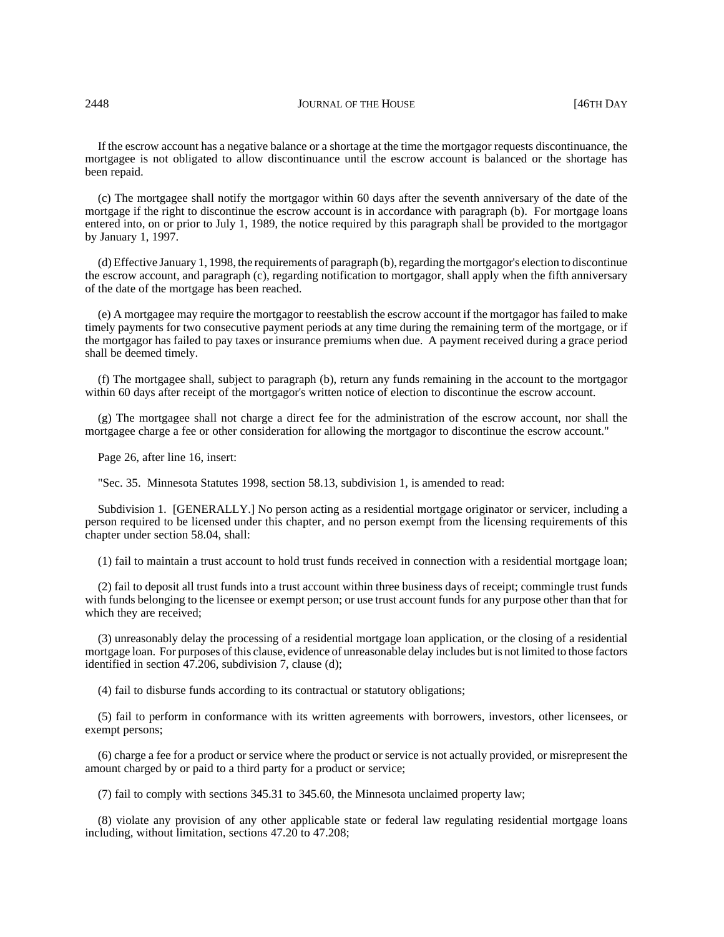### 2448 **JOURNAL OF THE HOUSE JOURNAL OF THE HOUSE 146TH DAY**

If the escrow account has a negative balance or a shortage at the time the mortgagor requests discontinuance, the mortgagee is not obligated to allow discontinuance until the escrow account is balanced or the shortage has been repaid.

(c) The mortgagee shall notify the mortgagor within 60 days after the seventh anniversary of the date of the mortgage if the right to discontinue the escrow account is in accordance with paragraph (b). For mortgage loans entered into, on or prior to July 1, 1989, the notice required by this paragraph shall be provided to the mortgagor by January 1, 1997.

(d) Effective January 1, 1998, the requirements of paragraph (b), regarding the mortgagor's election to discontinue the escrow account, and paragraph (c), regarding notification to mortgagor, shall apply when the fifth anniversary of the date of the mortgage has been reached.

(e) A mortgagee may require the mortgagor to reestablish the escrow account if the mortgagor has failed to make timely payments for two consecutive payment periods at any time during the remaining term of the mortgage, or if the mortgagor has failed to pay taxes or insurance premiums when due. A payment received during a grace period shall be deemed timely.

(f) The mortgagee shall, subject to paragraph (b), return any funds remaining in the account to the mortgagor within 60 days after receipt of the mortgagor's written notice of election to discontinue the escrow account.

(g) The mortgagee shall not charge a direct fee for the administration of the escrow account, nor shall the mortgagee charge a fee or other consideration for allowing the mortgagor to discontinue the escrow account."

Page 26, after line 16, insert:

"Sec. 35. Minnesota Statutes 1998, section 58.13, subdivision 1, is amended to read:

Subdivision 1. [GENERALLY.] No person acting as a residential mortgage originator or servicer, including a person required to be licensed under this chapter, and no person exempt from the licensing requirements of this chapter under section 58.04, shall:

(1) fail to maintain a trust account to hold trust funds received in connection with a residential mortgage loan;

(2) fail to deposit all trust funds into a trust account within three business days of receipt; commingle trust funds with funds belonging to the licensee or exempt person; or use trust account funds for any purpose other than that for which they are received;

(3) unreasonably delay the processing of a residential mortgage loan application, or the closing of a residential mortgage loan. For purposes of this clause, evidence of unreasonable delay includes but is not limited to those factors identified in section 47.206, subdivision 7, clause (d);

(4) fail to disburse funds according to its contractual or statutory obligations;

(5) fail to perform in conformance with its written agreements with borrowers, investors, other licensees, or exempt persons;

(6) charge a fee for a product or service where the product or service is not actually provided, or misrepresent the amount charged by or paid to a third party for a product or service;

(7) fail to comply with sections 345.31 to 345.60, the Minnesota unclaimed property law;

(8) violate any provision of any other applicable state or federal law regulating residential mortgage loans including, without limitation, sections 47.20 to 47.208;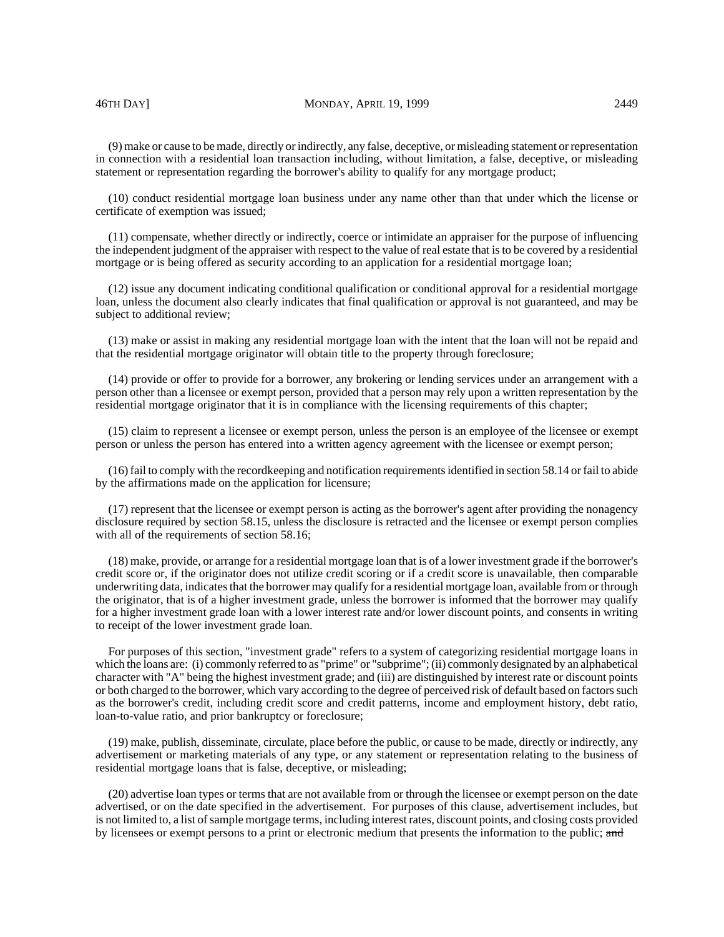### 46TH DAY] MONDAY, APRIL 19, 1999 2449

(9) make or cause to be made, directly or indirectly, any false, deceptive, or misleading statement or representation in connection with a residential loan transaction including, without limitation, a false, deceptive, or misleading statement or representation regarding the borrower's ability to qualify for any mortgage product;

(10) conduct residential mortgage loan business under any name other than that under which the license or certificate of exemption was issued;

(11) compensate, whether directly or indirectly, coerce or intimidate an appraiser for the purpose of influencing the independent judgment of the appraiser with respect to the value of real estate that is to be covered by a residential mortgage or is being offered as security according to an application for a residential mortgage loan;

(12) issue any document indicating conditional qualification or conditional approval for a residential mortgage loan, unless the document also clearly indicates that final qualification or approval is not guaranteed, and may be subject to additional review;

(13) make or assist in making any residential mortgage loan with the intent that the loan will not be repaid and that the residential mortgage originator will obtain title to the property through foreclosure;

(14) provide or offer to provide for a borrower, any brokering or lending services under an arrangement with a person other than a licensee or exempt person, provided that a person may rely upon a written representation by the residential mortgage originator that it is in compliance with the licensing requirements of this chapter;

(15) claim to represent a licensee or exempt person, unless the person is an employee of the licensee or exempt person or unless the person has entered into a written agency agreement with the licensee or exempt person;

(16) fail to comply with the recordkeeping and notification requirements identified in section 58.14 or fail to abide by the affirmations made on the application for licensure;

(17) represent that the licensee or exempt person is acting as the borrower's agent after providing the nonagency disclosure required by section 58.15, unless the disclosure is retracted and the licensee or exempt person complies with all of the requirements of section 58.16;

(18) make, provide, or arrange for a residential mortgage loan that is of a lower investment grade if the borrower's credit score or, if the originator does not utilize credit scoring or if a credit score is unavailable, then comparable underwriting data, indicates that the borrower may qualify for a residential mortgage loan, available from or through the originator, that is of a higher investment grade, unless the borrower is informed that the borrower may qualify for a higher investment grade loan with a lower interest rate and/or lower discount points, and consents in writing to receipt of the lower investment grade loan.

For purposes of this section, "investment grade" refers to a system of categorizing residential mortgage loans in which the loans are: (i) commonly referred to as "prime" or "subprime"; (ii) commonly designated by an alphabetical character with "A" being the highest investment grade; and (iii) are distinguished by interest rate or discount points or both charged to the borrower, which vary according to the degree of perceived risk of default based on factors such as the borrower's credit, including credit score and credit patterns, income and employment history, debt ratio, loan-to-value ratio, and prior bankruptcy or foreclosure;

(19) make, publish, disseminate, circulate, place before the public, or cause to be made, directly or indirectly, any advertisement or marketing materials of any type, or any statement or representation relating to the business of residential mortgage loans that is false, deceptive, or misleading;

(20) advertise loan types or terms that are not available from or through the licensee or exempt person on the date advertised, or on the date specified in the advertisement. For purposes of this clause, advertisement includes, but is not limited to, a list of sample mortgage terms, including interest rates, discount points, and closing costs provided by licensees or exempt persons to a print or electronic medium that presents the information to the public; and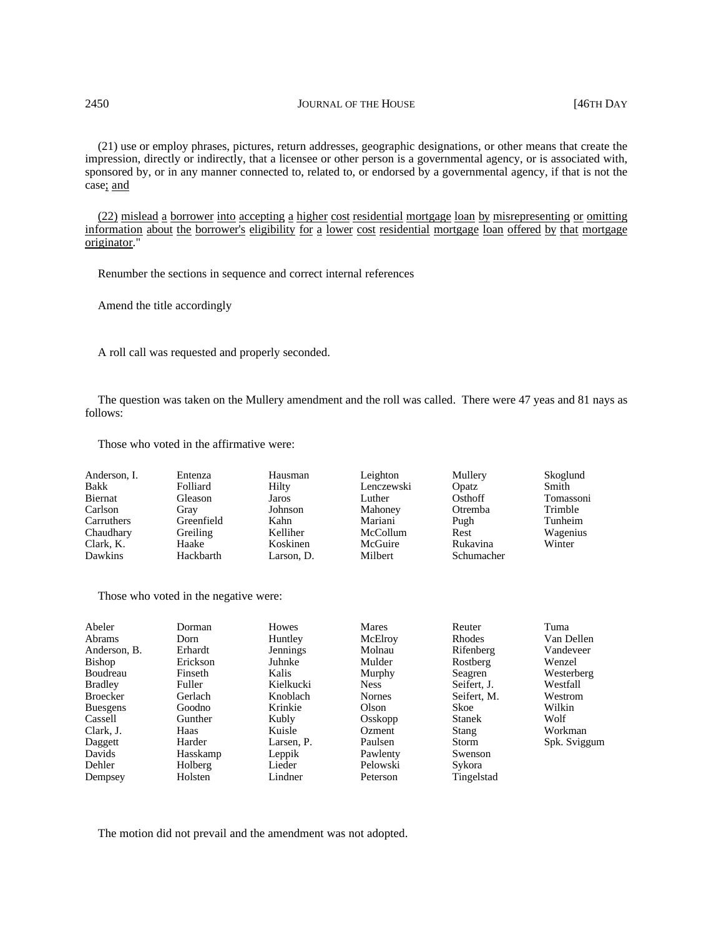(21) use or employ phrases, pictures, return addresses, geographic designations, or other means that create the impression, directly or indirectly, that a licensee or other person is a governmental agency, or is associated with, sponsored by, or in any manner connected to, related to, or endorsed by a governmental agency, if that is not the case; and

(22) mislead a borrower into accepting a higher cost residential mortgage loan by misrepresenting or omitting information about the borrower's eligibility for a lower cost residential mortgage loan offered by that mortgage originator."

Renumber the sections in sequence and correct internal references

Amend the title accordingly

A roll call was requested and properly seconded.

The question was taken on the Mullery amendment and the roll was called. There were 47 yeas and 81 nays as follows:

Those who voted in the affirmative were:

| Anderson, I. | Entenza    | Hausman    | Leighton   | Mullery    | Skoglund  |
|--------------|------------|------------|------------|------------|-----------|
| Bakk         | Folliard   | Hilty      | Lenczewski | Opatz      | Smith     |
| Biernat      | Gleason    | Jaros      | Luther     | Osthoff    | Tomassoni |
| Carlson      | Gray       | Johnson    | Mahoney    | Otremba    | Trimble   |
| Carruthers   | Greenfield | Kahn       | Mariani    | Pugh       | Tunheim   |
| Chaudhary    | Greiling   | Kelliher   | McCollum   | Rest       | Wagenius  |
| Clark, K.    | Haake      | Koskinen   | McGuire    | Rukavina   | Winter    |
| Dawkins      | Hackbarth  | Larson. D. | Milbert    | Schumacher |           |

Those who voted in the negative were:

| Abeler<br><b>Abrams</b><br>Anderson, B.<br><b>Bishop</b><br>Boudreau<br><b>Bradley</b><br><b>Broecker</b><br><b>Buesgens</b><br>Cassell<br>Clark, J.<br>Daggett | Dorman<br>Dorn<br>Erhardt<br>Erickson<br>Finseth<br>Fuller<br>Gerlach<br>Goodno<br>Gunther<br>Haas<br>Harder | <b>Howes</b><br>Huntley<br>Jennings<br>Juhnke<br>Kalis<br>Kielkucki<br>Knoblach<br>Krinkie<br>Kubly<br>Kuisle<br>Larsen, P. | <b>Mares</b><br>McElroy<br>Molnau<br>Mulder<br>Murphy<br><b>Ness</b><br>Nornes<br>Olson<br>Osskopp<br>Ozment<br>Paulsen | Reuter<br>Rhodes<br>Rifenberg<br>Rostberg<br>Seagren<br>Seifert. J.<br>Seifert, M.<br>Skoe<br><b>Stanek</b><br>Stang<br><b>Storm</b> | Tuma<br>Van Dellen<br>Vandeveer<br>Wenzel<br>Westerberg<br>Westfall<br>Westrom<br>Wilkin<br>Wolf<br>Workman |
|-----------------------------------------------------------------------------------------------------------------------------------------------------------------|--------------------------------------------------------------------------------------------------------------|-----------------------------------------------------------------------------------------------------------------------------|-------------------------------------------------------------------------------------------------------------------------|--------------------------------------------------------------------------------------------------------------------------------------|-------------------------------------------------------------------------------------------------------------|
| Davids                                                                                                                                                          | Hasskamp                                                                                                     | Leppik                                                                                                                      | Pawlenty                                                                                                                | Swenson                                                                                                                              | Spk. Sviggum                                                                                                |
| Dehler                                                                                                                                                          | Holberg                                                                                                      | Lieder                                                                                                                      | Pelowski                                                                                                                | Sykora                                                                                                                               |                                                                                                             |
| Dempsey                                                                                                                                                         | Holsten                                                                                                      | Lindner                                                                                                                     | Peterson                                                                                                                | Tingelstad                                                                                                                           |                                                                                                             |

The motion did not prevail and the amendment was not adopted.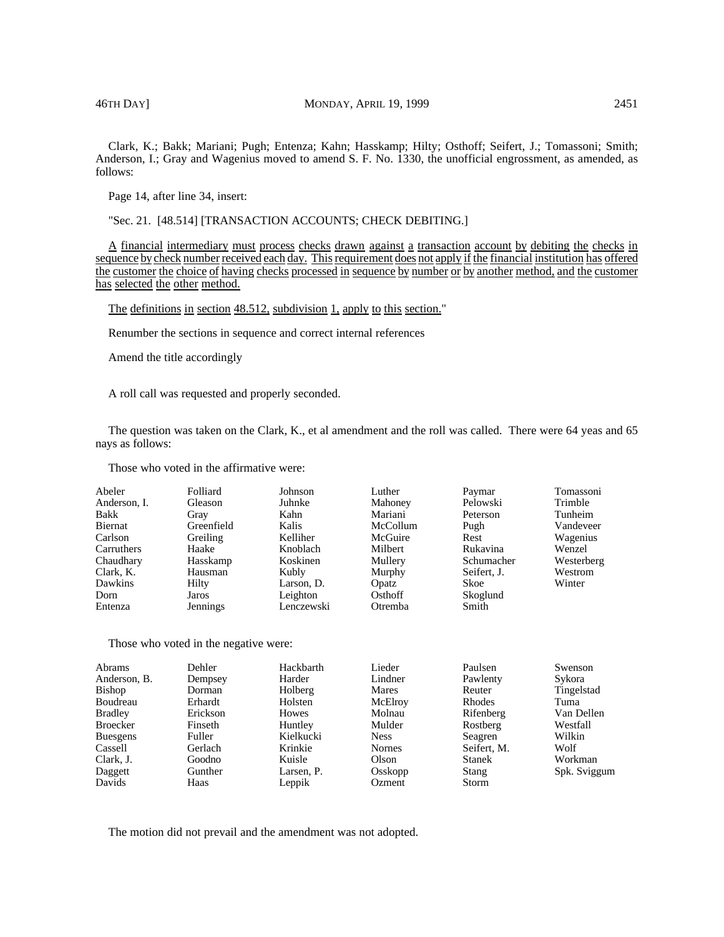Clark, K.; Bakk; Mariani; Pugh; Entenza; Kahn; Hasskamp; Hilty; Osthoff; Seifert, J.; Tomassoni; Smith; Anderson, I.; Gray and Wagenius moved to amend S. F. No. 1330, the unofficial engrossment, as amended, as follows:

Page 14, after line 34, insert:

"Sec. 21. [48.514] [TRANSACTION ACCOUNTS; CHECK DEBITING.]

A financial intermediary must process checks drawn against a transaction account by debiting the checks in sequence by check number received each day. This requirement does not apply if the financial institution has offered the customer the choice of having checks processed in sequence by number or by another method, and the customer has selected the other method.

The definitions in section 48.512, subdivision 1, apply to this section."

Renumber the sections in sequence and correct internal references

Amend the title accordingly

A roll call was requested and properly seconded.

The question was taken on the Clark, K., et al amendment and the roll was called. There were 64 yeas and 65 nays as follows:

Those who voted in the affirmative were:

| Abeler       | Folliard   | Johnson    | Luther   | Paymar      | Tomassoni  |
|--------------|------------|------------|----------|-------------|------------|
| Anderson, I. | Gleason    | Juhnke     | Mahoney  | Pelowski    | Trimble    |
| Bakk         | Grav       | Kahn       | Mariani  | Peterson    | Tunheim    |
| Biernat      | Greenfield | Kalis      | McCollum | Pugh        | Vandeveer  |
| Carlson      | Greiling   | Kelliher   | McGuire  | Rest        | Wagenius   |
| Carruthers   | Haake      | Knoblach   | Milbert  | Rukavina    | Wenzel     |
| Chaudhary    | Hasskamp   | Koskinen   | Mullery  | Schumacher  | Westerberg |
| Clark, K.    | Hausman    | Kubly      | Murphy   | Seifert, J. | Westrom    |
| Dawkins      | Hilty      | Larson, D. | Opatz    | Skoe        | Winter     |
| Dorn         | Jaros      | Leighton   | Osthoff  | Skoglund    |            |
| Entenza      | Jennings   | Lenczewski | Otremba  | Smith       |            |

Those who voted in the negative were:

| Dehler   | Hackbarth  | Lieder        | Paulsen       | Swenson      |
|----------|------------|---------------|---------------|--------------|
| Dempsey  | Harder     | Lindner       | Pawlenty      | Sykora       |
| Dorman   | Holberg    | Mares         | Reuter        | Tingelstad   |
| Erhardt  | Holsten    | McElroy       | <b>Rhodes</b> | Tuma         |
| Erickson | Howes      | Molnau        | Rifenberg     | Van Dellen   |
| Finseth  | Huntley    | Mulder        | Rostberg      | Westfall     |
| Fuller   | Kielkucki  | <b>Ness</b>   | Seagren       | Wilkin       |
| Gerlach  | Krinkie    | <b>Nornes</b> | Seifert, M.   | Wolf         |
| Goodno   | Kuisle     | Olson         | Stanek        | Workman      |
| Gunther  | Larsen, P. | Osskopp       | Stang         | Spk. Sviggum |
| Haas     | Leppik     | Ozment        | <b>Storm</b>  |              |
|          |            |               |               |              |

The motion did not prevail and the amendment was not adopted.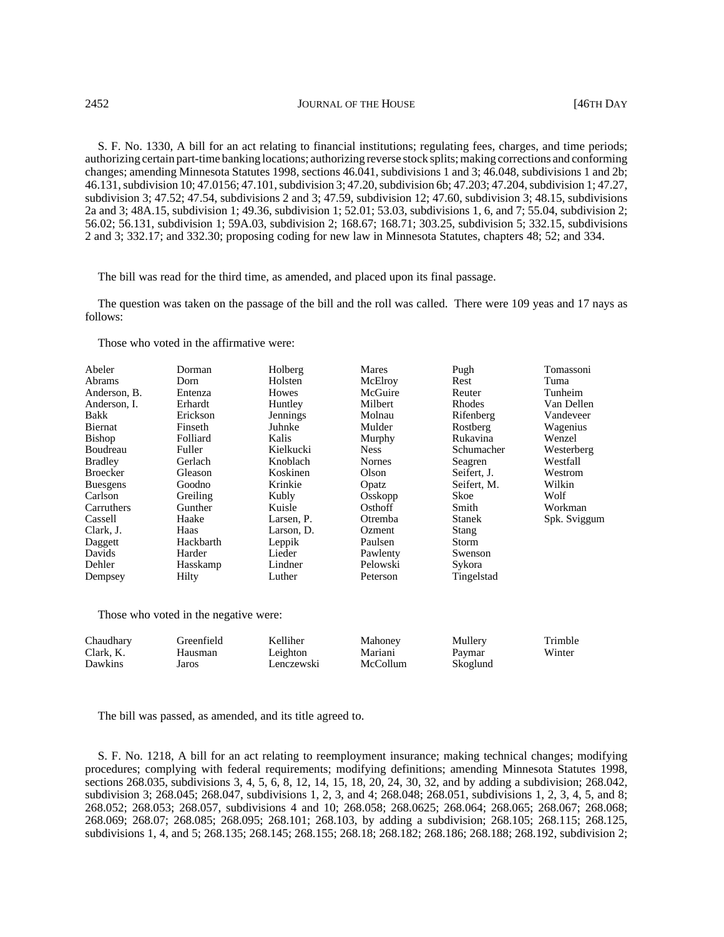S. F. No. 1330, A bill for an act relating to financial institutions; regulating fees, charges, and time periods; authorizing certain part-time banking locations; authorizing reverse stock splits; making corrections and conforming changes; amending Minnesota Statutes 1998, sections 46.041, subdivisions 1 and 3; 46.048, subdivisions 1 and 2b; 46.131, subdivision 10; 47.0156; 47.101, subdivision 3; 47.20, subdivision 6b; 47.203; 47.204, subdivision 1; 47.27, subdivision 3; 47.52; 47.54, subdivisions 2 and 3; 47.59, subdivision 12; 47.60, subdivision 3; 48.15, subdivisions 2a and 3; 48A.15, subdivision 1; 49.36, subdivision 1; 52.01; 53.03, subdivisions 1, 6, and 7; 55.04, subdivision 2; 56.02; 56.131, subdivision 1; 59A.03, subdivision 2; 168.67; 168.71; 303.25, subdivision 5; 332.15, subdivisions 2 and 3; 332.17; and 332.30; proposing coding for new law in Minnesota Statutes, chapters 48; 52; and 334.

The bill was read for the third time, as amended, and placed upon its final passage.

The question was taken on the passage of the bill and the roll was called. There were 109 yeas and 17 nays as follows:

Those who voted in the affirmative were:

| Abeler<br>Abrams | Dorman<br>Dorn | Holberg<br>Holsten | Mares<br>McElroy | Pugh<br>Rest  | Tomassoni<br>Tuma |
|------------------|----------------|--------------------|------------------|---------------|-------------------|
| Anderson, B.     | Entenza        | Howes              | McGuire          | Reuter        | Tunheim           |
| Anderson, I.     | Erhardt        | Huntley            | Milbert          | Rhodes        | Van Dellen        |
| Bakk             | Erickson       | Jennings           | Molnau           | Rifenberg     | Vandeveer         |
| Biernat          | Finseth        | Juhnke             | Mulder           | Rostberg      | Wagenius          |
| <b>Bishop</b>    | Folliard       | Kalis              | Murphy           | Rukavina      | Wenzel            |
| Boudreau         | Fuller         | Kielkucki          | <b>Ness</b>      | Schumacher    | Westerberg        |
| <b>Bradley</b>   | Gerlach        | Knoblach           | <b>Nornes</b>    | Seagren       | Westfall          |
| <b>Broecker</b>  | Gleason        | Koskinen           | Olson            | Seifert, J.   | Westrom           |
| <b>Buesgens</b>  | Goodno         | Krinkie            | Opatz            | Seifert, M.   | Wilkin            |
| Carlson          | Greiling       | Kubly              | Osskopp          | Skoe          | Wolf              |
| Carruthers       | Gunther        | Kuisle             | Osthoff          | Smith         | Workman           |
| Cassell          | Haake          | Larsen, P.         | Otremba          | <b>Stanek</b> | Spk. Sviggum      |
| Clark, J.        | Haas           | Larson, D.         | Ozment           | Stang         |                   |
| Daggett          | Hackbarth      | Leppik             | Paulsen          | Storm         |                   |
| Davids           | Harder         | Lieder             | Pawlenty         | Swenson       |                   |
| Dehler           | Hasskamp       | Lindner            | Pelowski         | Sykora        |                   |
| Dempsey          | Hilty          | Luther             | Peterson         | Tingelstad    |                   |

Those who voted in the negative were:

| Chaudhary | Greenfield | Kelliher   | Mahoney  | Mullery  | Trimble |
|-----------|------------|------------|----------|----------|---------|
| Clark, K. | Hausman    | Leighton   | Mariani  | Paymar   | Winter  |
| Dawkins   | Jaros      | Lenczewski | McCollum | Skoglund |         |

The bill was passed, as amended, and its title agreed to.

S. F. No. 1218, A bill for an act relating to reemployment insurance; making technical changes; modifying procedures; complying with federal requirements; modifying definitions; amending Minnesota Statutes 1998, sections 268.035, subdivisions 3, 4, 5, 6, 8, 12, 14, 15, 18, 20, 24, 30, 32, and by adding a subdivision; 268.042, subdivision 3; 268.045; 268.047, subdivisions 1, 2, 3, and 4; 268.048; 268.051, subdivisions 1, 2, 3, 4, 5, and 8; 268.052; 268.053; 268.057, subdivisions 4 and 10; 268.058; 268.0625; 268.064; 268.065; 268.067; 268.068; 268.069; 268.07; 268.085; 268.095; 268.101; 268.103, by adding a subdivision; 268.105; 268.115; 268.125, subdivisions 1, 4, and 5; 268.135; 268.145; 268.155; 268.18; 268.182; 268.186; 268.188; 268.192, subdivision 2;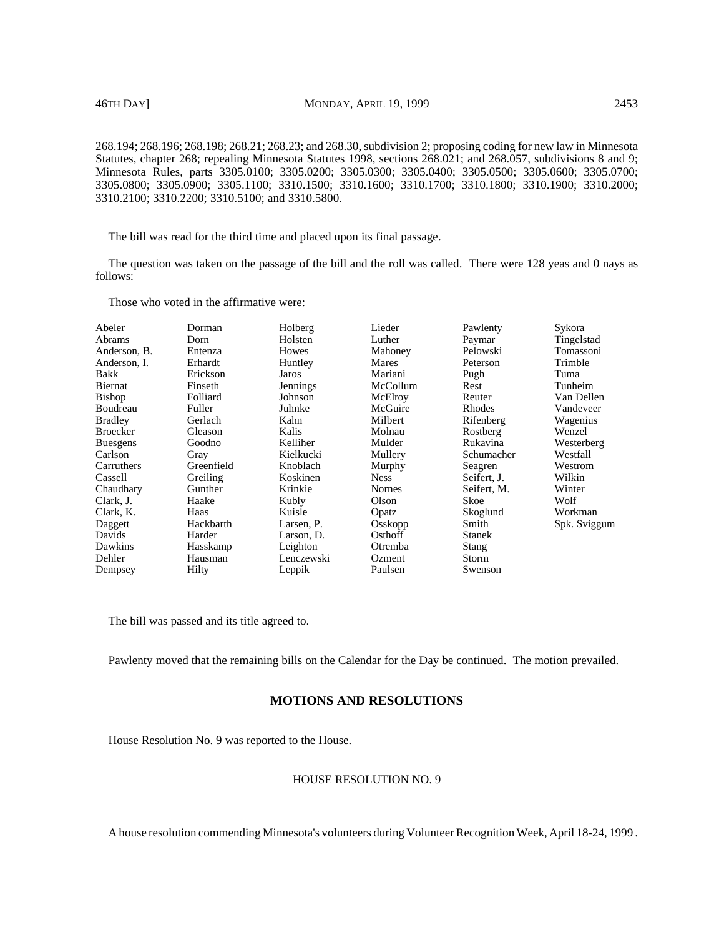268.194; 268.196; 268.198; 268.21; 268.23; and 268.30, subdivision 2; proposing coding for new law in Minnesota Statutes, chapter 268; repealing Minnesota Statutes 1998, sections 268.021; and 268.057, subdivisions 8 and 9; Minnesota Rules, parts 3305.0100; 3305.0200; 3305.0300; 3305.0400; 3305.0500; 3305.0600; 3305.0700; 3305.0800; 3305.0900; 3305.1100; 3310.1500; 3310.1600; 3310.1700; 3310.1800; 3310.1900; 3310.2000; 3310.2100; 3310.2200; 3310.5100; and 3310.5800.

The bill was read for the third time and placed upon its final passage.

The question was taken on the passage of the bill and the roll was called. There were 128 yeas and 0 nays as follows:

Those who voted in the affirmative were:

| Abeler          | Dorman     | Holberg    | Lieder        | Pawlenty      | Sykora       |
|-----------------|------------|------------|---------------|---------------|--------------|
| Abrams          | Dorn       | Holsten    | Luther        | Paymar        | Tingelstad   |
| Anderson, B.    | Entenza    | Howes      | Mahoney       | Pelowski      | Tomassoni    |
| Anderson. I.    | Erhardt    | Huntley    | Mares         | Peterson      | Trimble      |
| Bakk            | Erickson   | Jaros      | Mariani       | Pugh          | Tuma         |
| Biernat         | Finseth    | Jennings   | McCollum      | Rest          | Tunheim      |
| Bishop          | Folliard   | Johnson    | McElroy       | Reuter        | Van Dellen   |
| Boudreau        | Fuller     | Juhnke     | McGuire       | Rhodes        | Vandeveer    |
| <b>Bradley</b>  | Gerlach    | Kahn       | Milbert       | Rifenberg     | Wagenius     |
| Broecker        | Gleason    | Kalis      | Molnau        | Rostberg      | Wenzel       |
| <b>Buesgens</b> | Goodno     | Kelliher   | Mulder        | Rukavina      | Westerberg   |
| Carlson         | Gray       | Kielkucki  | Mullery       | Schumacher    | Westfall     |
| Carruthers      | Greenfield | Knoblach   | Murphy        | Seagren       | Westrom      |
| Cassell         | Greiling   | Koskinen   | <b>Ness</b>   | Seifert, J.   | Wilkin       |
| Chaudhary       | Gunther    | Krinkie    | <b>Nornes</b> | Seifert, M.   | Winter       |
| Clark, J.       | Haake      | Kubly      | Olson         | Skoe          | Wolf         |
| Clark, K.       | Haas       | Kuisle     | Opatz         | Skoglund      | Workman      |
| Daggett         | Hackbarth  | Larsen, P. | Osskopp       | Smith         | Spk. Sviggum |
| Davids          | Harder     | Larson, D. | Osthoff       | <b>Stanek</b> |              |
| Dawkins         | Hasskamp   | Leighton   | Otremba       | Stang         |              |
| Dehler          | Hausman    | Lenczewski | Ozment        | Storm         |              |
| Dempsey         | Hilty      | Leppik     | Paulsen       | Swenson       |              |
|                 |            |            |               |               |              |

The bill was passed and its title agreed to.

Pawlenty moved that the remaining bills on the Calendar for the Day be continued. The motion prevailed.

# **MOTIONS AND RESOLUTIONS**

House Resolution No. 9 was reported to the House.

# HOUSE RESOLUTION NO. 9

A house resolution commending Minnesota's volunteers during Volunteer Recognition Week, April 18-24, 1999 .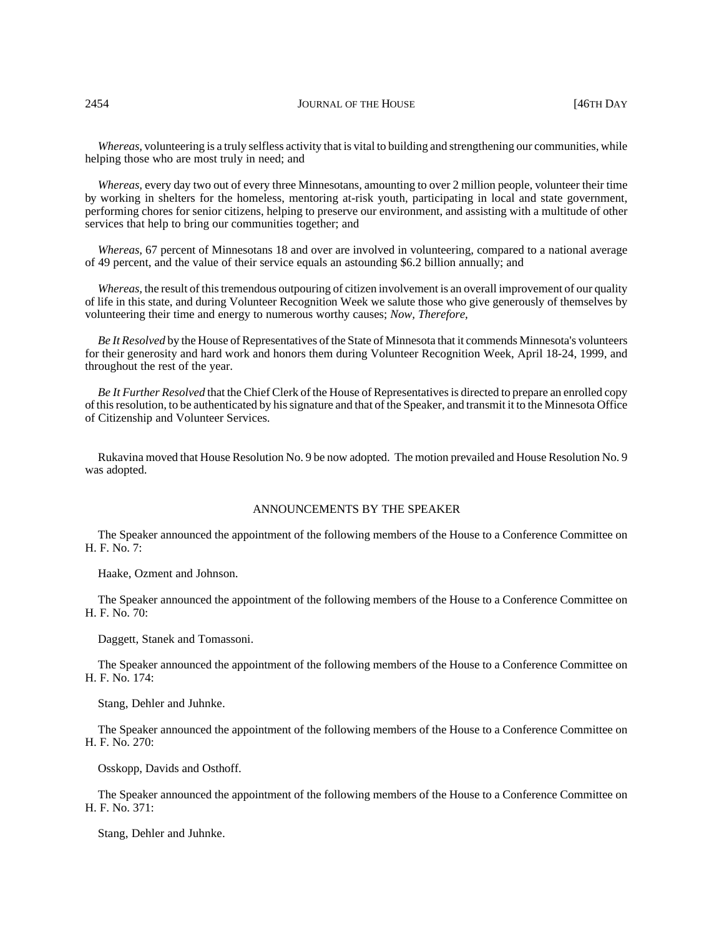2454 **JOURNAL OF THE HOUSE JOURNAL OF THE HOUSE 146TH DAY** 

*Whereas,* volunteering is a truly selfless activity that is vital to building and strengthening our communities, while helping those who are most truly in need; and

*Whereas,* every day two out of every three Minnesotans, amounting to over 2 million people, volunteer their time by working in shelters for the homeless, mentoring at-risk youth, participating in local and state government, performing chores for senior citizens, helping to preserve our environment, and assisting with a multitude of other services that help to bring our communities together; and

*Whereas,* 67 percent of Minnesotans 18 and over are involved in volunteering, compared to a national average of 49 percent, and the value of their service equals an astounding \$6.2 billion annually; and

*Whereas,* the result of this tremendous outpouring of citizen involvement is an overall improvement of our quality of life in this state, and during Volunteer Recognition Week we salute those who give generously of themselves by volunteering their time and energy to numerous worthy causes; *Now, Therefore,*

*Be It Resolved* by the House of Representatives of the State of Minnesota that it commends Minnesota's volunteers for their generosity and hard work and honors them during Volunteer Recognition Week, April 18-24, 1999, and throughout the rest of the year.

*Be It Further Resolved* that the Chief Clerk of the House of Representatives is directed to prepare an enrolled copy of this resolution, to be authenticated by his signature and that of the Speaker, and transmit it to the Minnesota Office of Citizenship and Volunteer Services.

Rukavina moved that House Resolution No. 9 be now adopted. The motion prevailed and House Resolution No. 9 was adopted.

### ANNOUNCEMENTS BY THE SPEAKER

The Speaker announced the appointment of the following members of the House to a Conference Committee on H. F. No. 7:

Haake, Ozment and Johnson.

The Speaker announced the appointment of the following members of the House to a Conference Committee on H. F. No. 70:

Daggett, Stanek and Tomassoni.

The Speaker announced the appointment of the following members of the House to a Conference Committee on H. F. No. 174:

Stang, Dehler and Juhnke.

The Speaker announced the appointment of the following members of the House to a Conference Committee on H. F. No. 270:

Osskopp, Davids and Osthoff.

The Speaker announced the appointment of the following members of the House to a Conference Committee on H. F. No. 371:

Stang, Dehler and Juhnke.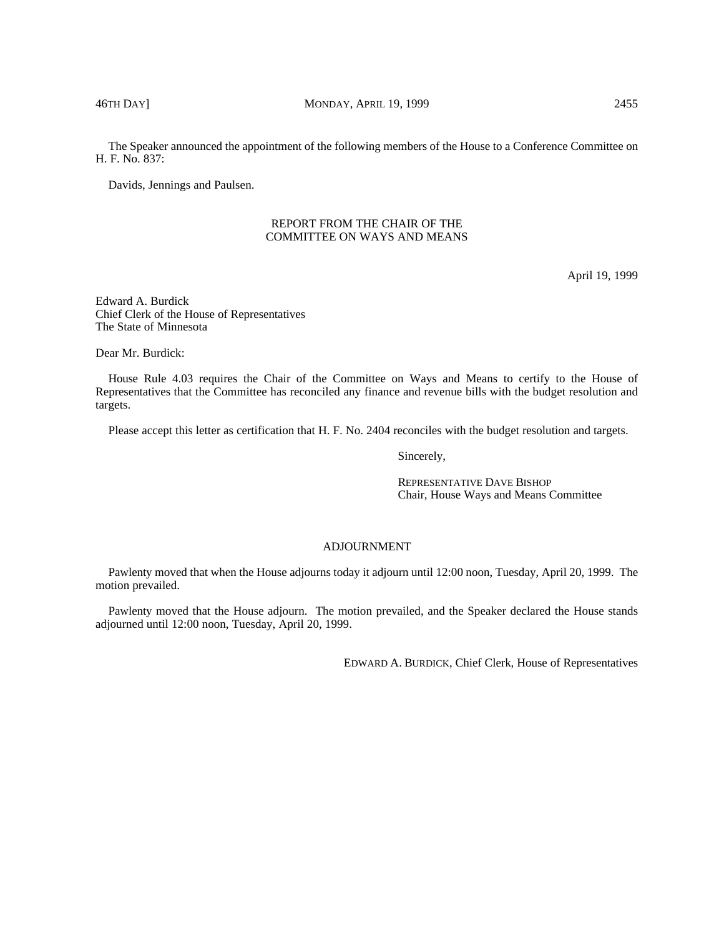The Speaker announced the appointment of the following members of the House to a Conference Committee on H. F. No. 837:

Davids, Jennings and Paulsen.

# REPORT FROM THE CHAIR OF THE COMMITTEE ON WAYS AND MEANS

April 19, 1999

Edward A. Burdick Chief Clerk of the House of Representatives The State of Minnesota

Dear Mr. Burdick:

House Rule 4.03 requires the Chair of the Committee on Ways and Means to certify to the House of Representatives that the Committee has reconciled any finance and revenue bills with the budget resolution and targets.

Please accept this letter as certification that H. F. No. 2404 reconciles with the budget resolution and targets.

Sincerely,

REPRESENTATIVE DAVE BISHOP Chair, House Ways and Means Committee

# ADJOURNMENT

Pawlenty moved that when the House adjourns today it adjourn until 12:00 noon, Tuesday, April 20, 1999. The motion prevailed.

Pawlenty moved that the House adjourn. The motion prevailed, and the Speaker declared the House stands adjourned until 12:00 noon, Tuesday, April 20, 1999.

EDWARD A. BURDICK, Chief Clerk, House of Representatives